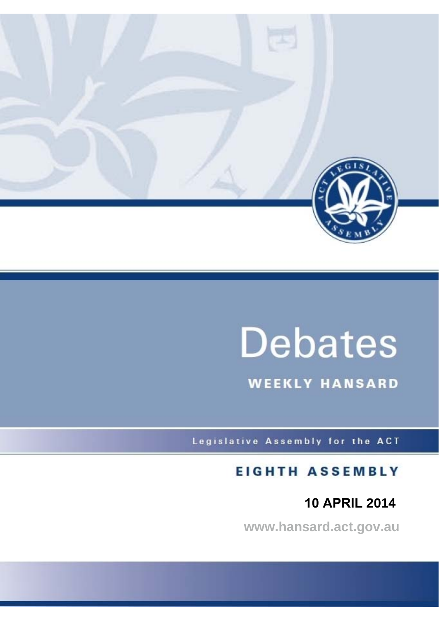

# **Debates**

**WEEKLY HANSARD** 

Legislative Assembly for the ACT

# **EIGHTH ASSEMBLY**

# **10 APRIL 2014**

**www.hansard.act.gov.au**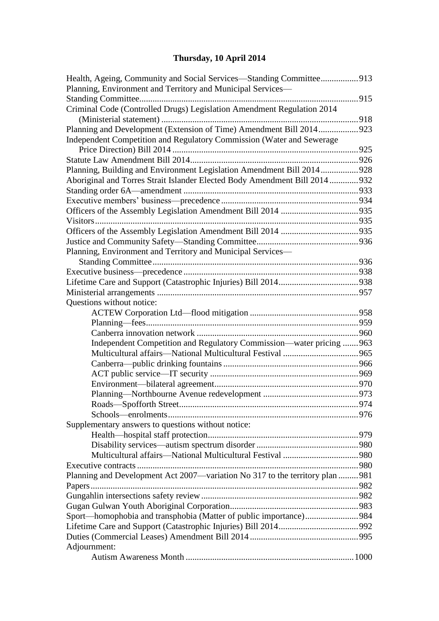# **[Thursday, 10 April 2014](#page-3-0)**

| Health, Ageing, Community and Social Services—Standing Committee913<br>Planning, Environment and Territory and Municipal Services- |  |
|------------------------------------------------------------------------------------------------------------------------------------|--|
|                                                                                                                                    |  |
| Criminal Code (Controlled Drugs) Legislation Amendment Regulation 2014                                                             |  |
|                                                                                                                                    |  |
| Planning and Development (Extension of Time) Amendment Bill 2014923                                                                |  |
| Independent Competition and Regulatory Commission (Water and Sewerage                                                              |  |
|                                                                                                                                    |  |
|                                                                                                                                    |  |
| Planning, Building and Environment Legislation Amendment Bill 2014 928                                                             |  |
| Aboriginal and Torres Strait Islander Elected Body Amendment Bill 2014  932                                                        |  |
|                                                                                                                                    |  |
|                                                                                                                                    |  |
|                                                                                                                                    |  |
|                                                                                                                                    |  |
|                                                                                                                                    |  |
|                                                                                                                                    |  |
| Planning, Environment and Territory and Municipal Services-                                                                        |  |
|                                                                                                                                    |  |
|                                                                                                                                    |  |
|                                                                                                                                    |  |
|                                                                                                                                    |  |
| Questions without notice:                                                                                                          |  |
|                                                                                                                                    |  |
|                                                                                                                                    |  |
|                                                                                                                                    |  |
| Independent Competition and Regulatory Commission—water pricing  963                                                               |  |
|                                                                                                                                    |  |
|                                                                                                                                    |  |
|                                                                                                                                    |  |
|                                                                                                                                    |  |
|                                                                                                                                    |  |
|                                                                                                                                    |  |
|                                                                                                                                    |  |
| Supplementary answers to questions without notice:                                                                                 |  |
|                                                                                                                                    |  |
|                                                                                                                                    |  |
|                                                                                                                                    |  |
|                                                                                                                                    |  |
| Planning and Development Act 2007—variation No 317 to the territory plan  981                                                      |  |
|                                                                                                                                    |  |
|                                                                                                                                    |  |
|                                                                                                                                    |  |
| Sport—homophobia and transphobia (Matter of public importance)984                                                                  |  |
|                                                                                                                                    |  |
|                                                                                                                                    |  |
| Adjournment:                                                                                                                       |  |
|                                                                                                                                    |  |
|                                                                                                                                    |  |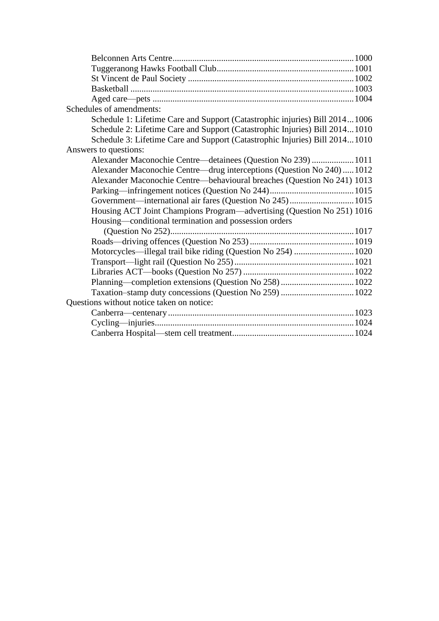| Schedules of amendments:                                                    |  |
|-----------------------------------------------------------------------------|--|
| Schedule 1: Lifetime Care and Support (Catastrophic injuries) Bill 20141006 |  |
| Schedule 2: Lifetime Care and Support (Catastrophic Injuries) Bill 20141010 |  |
| Schedule 3: Lifetime Care and Support (Catastrophic Injuries) Bill 20141010 |  |
| Answers to questions:                                                       |  |
| Alexander Maconochie Centre—detainees (Question No 239)  1011               |  |
| Alexander Maconochie Centre—drug interceptions (Question No 240)1012        |  |
| Alexander Maconochie Centre—behavioural breaches (Question No 241) 1013     |  |
|                                                                             |  |
| Government—international air fares (Question No 245) 1015                   |  |
| Housing ACT Joint Champions Program—advertising (Question No 251) 1016      |  |
| Housing—conditional termination and possession orders                       |  |
|                                                                             |  |
|                                                                             |  |
| Motorcycles—illegal trail bike riding (Question No 254)  1020               |  |
|                                                                             |  |
|                                                                             |  |
|                                                                             |  |
| Taxation-stamp duty concessions (Question No 259)  1022                     |  |
| Questions without notice taken on notice:                                   |  |
|                                                                             |  |
|                                                                             |  |
|                                                                             |  |
|                                                                             |  |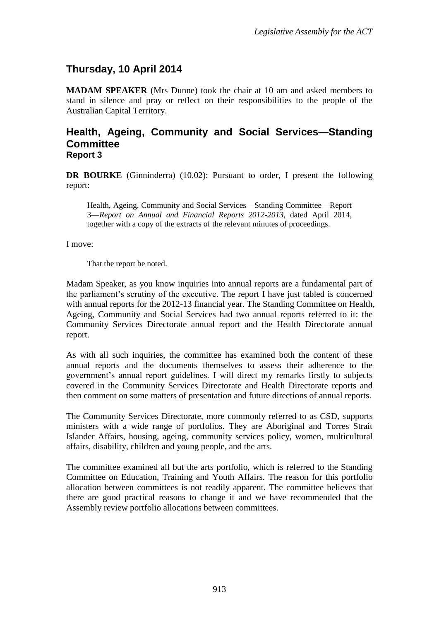# <span id="page-3-0"></span>**Thursday, 10 April 2014**

**MADAM SPEAKER** (Mrs Dunne) took the chair at 10 am and asked members to stand in silence and pray or reflect on their responsibilities to the people of the Australian Capital Territory.

#### <span id="page-3-1"></span>**Health, Ageing, Community and Social Services—Standing Committee Report 3**

**DR BOURKE** (Ginninderra) (10.02): Pursuant to order, I present the following report:

Health, Ageing, Community and Social Services—Standing Committee—Report 3—*Report on Annual and Financial Reports 2012-2013*, dated April 2014, together with a copy of the extracts of the relevant minutes of proceedings.

I move:

That the report be noted.

Madam Speaker, as you know inquiries into annual reports are a fundamental part of the parliament's scrutiny of the executive. The report I have just tabled is concerned with annual reports for the 2012-13 financial year. The Standing Committee on Health, Ageing, Community and Social Services had two annual reports referred to it: the Community Services Directorate annual report and the Health Directorate annual report.

As with all such inquiries, the committee has examined both the content of these annual reports and the documents themselves to assess their adherence to the government's annual report guidelines. I will direct my remarks firstly to subjects covered in the Community Services Directorate and Health Directorate reports and then comment on some matters of presentation and future directions of annual reports.

The Community Services Directorate, more commonly referred to as CSD, supports ministers with a wide range of portfolios. They are Aboriginal and Torres Strait Islander Affairs, housing, ageing, community services policy, women, multicultural affairs, disability, children and young people, and the arts.

The committee examined all but the arts portfolio, which is referred to the Standing Committee on Education, Training and Youth Affairs. The reason for this portfolio allocation between committees is not readily apparent. The committee believes that there are good practical reasons to change it and we have recommended that the Assembly review portfolio allocations between committees.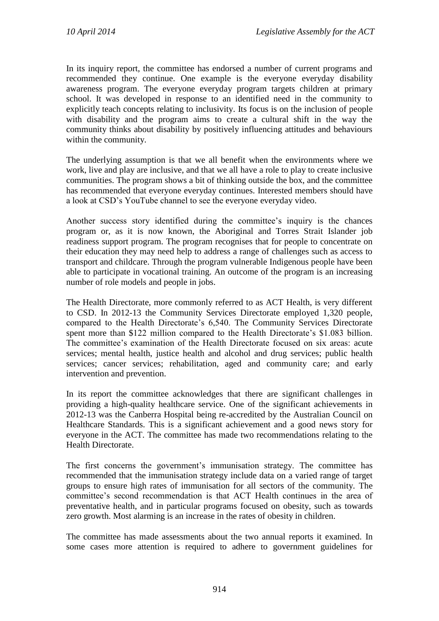In its inquiry report, the committee has endorsed a number of current programs and recommended they continue. One example is the everyone everyday disability awareness program. The everyone everyday program targets children at primary school. It was developed in response to an identified need in the community to explicitly teach concepts relating to inclusivity. Its focus is on the inclusion of people with disability and the program aims to create a cultural shift in the way the community thinks about disability by positively influencing attitudes and behaviours within the community.

The underlying assumption is that we all benefit when the environments where we work, live and play are inclusive, and that we all have a role to play to create inclusive communities. The program shows a bit of thinking outside the box, and the committee has recommended that everyone everyday continues. Interested members should have a look at CSD's YouTube channel to see the everyone everyday video.

Another success story identified during the committee's inquiry is the chances program or, as it is now known, the Aboriginal and Torres Strait Islander job readiness support program. The program recognises that for people to concentrate on their education they may need help to address a range of challenges such as access to transport and childcare. Through the program vulnerable Indigenous people have been able to participate in vocational training. An outcome of the program is an increasing number of role models and people in jobs.

The Health Directorate, more commonly referred to as ACT Health, is very different to CSD. In 2012-13 the Community Services Directorate employed 1,320 people, compared to the Health Directorate's 6,540. The Community Services Directorate spent more than \$122 million compared to the Health Directorate's \$1.083 billion. The committee's examination of the Health Directorate focused on six areas: acute services; mental health, justice health and alcohol and drug services; public health services; cancer services; rehabilitation, aged and community care; and early intervention and prevention.

In its report the committee acknowledges that there are significant challenges in providing a high-quality healthcare service. One of the significant achievements in 2012-13 was the Canberra Hospital being re-accredited by the Australian Council on Healthcare Standards. This is a significant achievement and a good news story for everyone in the ACT. The committee has made two recommendations relating to the Health Directorate.

The first concerns the government's immunisation strategy. The committee has recommended that the immunisation strategy include data on a varied range of target groups to ensure high rates of immunisation for all sectors of the community. The committee's second recommendation is that ACT Health continues in the area of preventative health, and in particular programs focused on obesity, such as towards zero growth. Most alarming is an increase in the rates of obesity in children.

The committee has made assessments about the two annual reports it examined. In some cases more attention is required to adhere to government guidelines for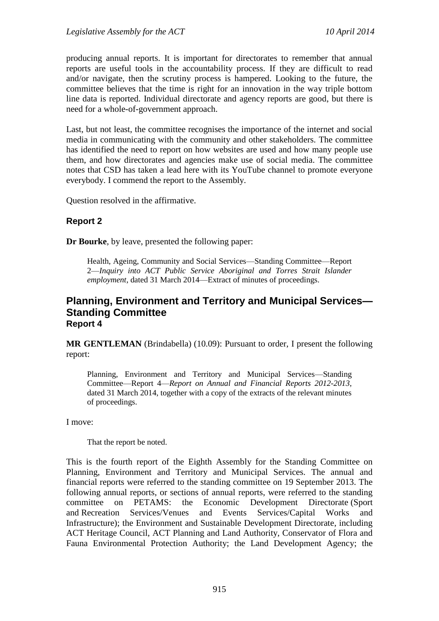producing annual reports. It is important for directorates to remember that annual reports are useful tools in the accountability process. If they are difficult to read and/or navigate, then the scrutiny process is hampered. Looking to the future, the committee believes that the time is right for an innovation in the way triple bottom line data is reported. Individual directorate and agency reports are good, but there is need for a whole-of-government approach.

Last, but not least, the committee recognises the importance of the internet and social media in communicating with the community and other stakeholders. The committee has identified the need to report on how websites are used and how many people use them, and how directorates and agencies make use of social media. The committee notes that CSD has taken a lead here with its YouTube channel to promote everyone everybody. I commend the report to the Assembly.

Question resolved in the affirmative.

#### **Report 2**

**Dr Bourke**, by leave, presented the following paper:

Health, Ageing, Community and Social Services—Standing Committee—Report 2—*Inquiry into ACT Public Service Aboriginal and Torres Strait Islander employment*, dated 31 March 2014—Extract of minutes of proceedings.

#### <span id="page-5-0"></span>**Planning, Environment and Territory and Municipal Services— Standing Committee Report 4**

**MR GENTLEMAN** (Brindabella) (10.09): Pursuant to order, I present the following report:

Planning, Environment and Territory and Municipal Services—Standing Committee—Report 4—*Report on Annual and Financial Reports 2012-2013*, dated 31 March 2014, together with a copy of the extracts of the relevant minutes of proceedings.

I move:

That the report be noted.

This is the fourth report of the Eighth Assembly for the Standing Committee on Planning, Environment and Territory and Municipal Services. The annual and financial reports were referred to the standing committee on 19 September 2013. The following annual reports, or sections of annual reports, were referred to the standing committee on PETAMS: the Economic Development Directorate (Sport and Recreation Services/Venues and Events Services/Capital Works and Infrastructure); the Environment and Sustainable Development Directorate, including ACT Heritage Council, ACT Planning and Land Authority, Conservator of Flora and Fauna Environmental Protection Authority; the Land Development Agency; the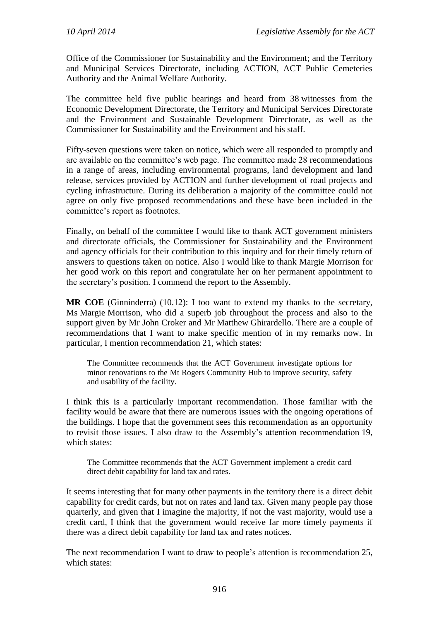Office of the Commissioner for Sustainability and the Environment; and the Territory and Municipal Services Directorate, including ACTION, ACT Public Cemeteries Authority and the Animal Welfare Authority.

The committee held five public hearings and heard from 38 witnesses from the Economic Development Directorate, the Territory and Municipal Services Directorate and the Environment and Sustainable Development Directorate, as well as the Commissioner for Sustainability and the Environment and his staff.

Fifty-seven questions were taken on notice, which were all responded to promptly and are available on the committee's web page. The committee made 28 recommendations in a range of areas, including environmental programs, land development and land release, services provided by ACTION and further development of road projects and cycling infrastructure. During its deliberation a majority of the committee could not agree on only five proposed recommendations and these have been included in the committee's report as footnotes.

Finally, on behalf of the committee I would like to thank ACT government ministers and directorate officials, the Commissioner for Sustainability and the Environment and agency officials for their contribution to this inquiry and for their timely return of answers to questions taken on notice. Also I would like to thank Margie Morrison for her good work on this report and congratulate her on her permanent appointment to the secretary's position. I commend the report to the Assembly.

**MR COE** (Ginninderra) (10.12): I too want to extend my thanks to the secretary, Ms Margie Morrison, who did a superb job throughout the process and also to the support given by Mr John Croker and Mr Matthew Ghirardello. There are a couple of recommendations that I want to make specific mention of in my remarks now. In particular, I mention recommendation 21, which states:

The Committee recommends that the ACT Government investigate options for minor renovations to the Mt Rogers Community Hub to improve security, safety and usability of the facility.

I think this is a particularly important recommendation. Those familiar with the facility would be aware that there are numerous issues with the ongoing operations of the buildings. I hope that the government sees this recommendation as an opportunity to revisit those issues. I also draw to the Assembly's attention recommendation 19, which states:

The Committee recommends that the ACT Government implement a credit card direct debit capability for land tax and rates.

It seems interesting that for many other payments in the territory there is a direct debit capability for credit cards, but not on rates and land tax. Given many people pay those quarterly, and given that I imagine the majority, if not the vast majority, would use a credit card, I think that the government would receive far more timely payments if there was a direct debit capability for land tax and rates notices.

The next recommendation I want to draw to people's attention is recommendation 25, which states: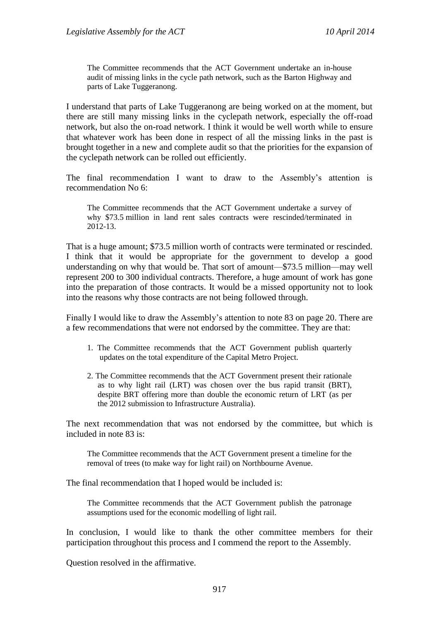The Committee recommends that the ACT Government undertake an in-house audit of missing links in the cycle path network, such as the Barton Highway and parts of Lake Tuggeranong.

I understand that parts of Lake Tuggeranong are being worked on at the moment, but there are still many missing links in the cyclepath network, especially the off-road network, but also the on-road network. I think it would be well worth while to ensure that whatever work has been done in respect of all the missing links in the past is brought together in a new and complete audit so that the priorities for the expansion of the cyclepath network can be rolled out efficiently.

The final recommendation I want to draw to the Assembly's attention is recommendation No 6:

The Committee recommends that the ACT Government undertake a survey of why \$73.5 million in land rent sales contracts were rescinded/terminated in 2012-13.

That is a huge amount; \$73.5 million worth of contracts were terminated or rescinded. I think that it would be appropriate for the government to develop a good understanding on why that would be. That sort of amount—\$73.5 million—may well represent 200 to 300 individual contracts. Therefore, a huge amount of work has gone into the preparation of those contracts. It would be a missed opportunity not to look into the reasons why those contracts are not being followed through.

Finally I would like to draw the Assembly's attention to note 83 on page 20. There are a few recommendations that were not endorsed by the committee. They are that:

- 1. The Committee recommends that the ACT Government publish quarterly updates on the total expenditure of the Capital Metro Project.
- 2. The Committee recommends that the ACT Government present their rationale as to why light rail (LRT) was chosen over the bus rapid transit (BRT), despite BRT offering more than double the economic return of LRT (as per the 2012 submission to Infrastructure Australia).

The next recommendation that was not endorsed by the committee, but which is included in note 83 is:

The Committee recommends that the ACT Government present a timeline for the removal of trees (to make way for light rail) on Northbourne Avenue.

The final recommendation that I hoped would be included is:

The Committee recommends that the ACT Government publish the patronage assumptions used for the economic modelling of light rail.

In conclusion, I would like to thank the other committee members for their participation throughout this process and I commend the report to the Assembly.

Question resolved in the affirmative.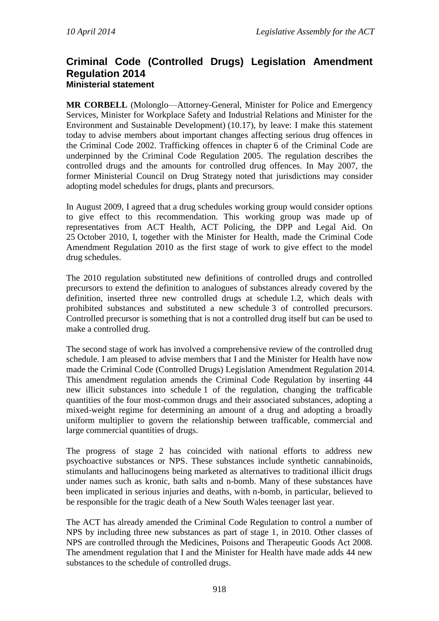#### <span id="page-8-0"></span>**Criminal Code (Controlled Drugs) Legislation Amendment Regulation 2014 Ministerial statement**

<span id="page-8-1"></span>**MR CORBELL** (Molonglo—Attorney-General, Minister for Police and Emergency Services, Minister for Workplace Safety and Industrial Relations and Minister for the Environment and Sustainable Development) (10.17), by leave: I make this statement today to advise members about important changes affecting serious drug offences in the Criminal Code 2002. Trafficking offences in chapter 6 of the Criminal Code are underpinned by the Criminal Code Regulation 2005. The regulation describes the controlled drugs and the amounts for controlled drug offences. In May 2007, the former Ministerial Council on Drug Strategy noted that jurisdictions may consider adopting model schedules for drugs, plants and precursors.

In August 2009, I agreed that a drug schedules working group would consider options to give effect to this recommendation. This working group was made up of representatives from ACT Health, ACT Policing, the DPP and Legal Aid. On 25 October 2010, I, together with the Minister for Health, made the Criminal Code Amendment Regulation 2010 as the first stage of work to give effect to the model drug schedules.

The 2010 regulation substituted new definitions of controlled drugs and controlled precursors to extend the definition to analogues of substances already covered by the definition, inserted three new controlled drugs at schedule 1.2, which deals with prohibited substances and substituted a new schedule 3 of controlled precursors. Controlled precursor is something that is not a controlled drug itself but can be used to make a controlled drug.

The second stage of work has involved a comprehensive review of the controlled drug schedule. I am pleased to advise members that I and the Minister for Health have now made the Criminal Code (Controlled Drugs) Legislation Amendment Regulation 2014. This amendment regulation amends the Criminal Code Regulation by inserting 44 new illicit substances into schedule 1 of the regulation, changing the trafficable quantities of the four most-common drugs and their associated substances, adopting a mixed-weight regime for determining an amount of a drug and adopting a broadly uniform multiplier to govern the relationship between trafficable, commercial and large commercial quantities of drugs.

The progress of stage 2 has coincided with national efforts to address new psychoactive substances or NPS. These substances include synthetic cannabinoids, stimulants and hallucinogens being marketed as alternatives to traditional illicit drugs under names such as kronic, bath salts and n-bomb. Many of these substances have been implicated in serious injuries and deaths, with n-bomb, in particular, believed to be responsible for the tragic death of a New South Wales teenager last year.

The ACT has already amended the Criminal Code Regulation to control a number of NPS by including three new substances as part of stage 1, in 2010. Other classes of NPS are controlled through the Medicines, Poisons and Therapeutic Goods Act 2008. The amendment regulation that I and the Minister for Health have made adds 44 new substances to the schedule of controlled drugs.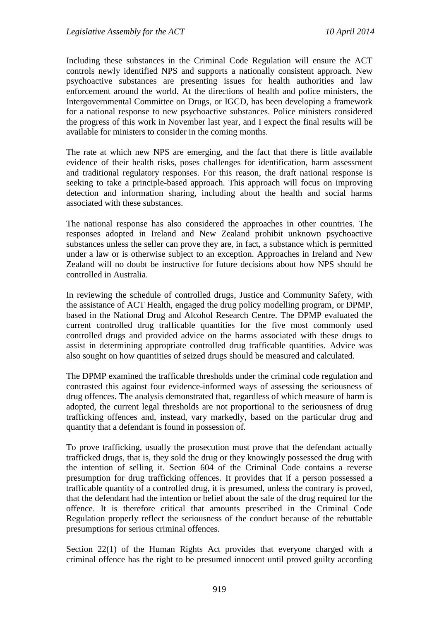Including these substances in the Criminal Code Regulation will ensure the ACT controls newly identified NPS and supports a nationally consistent approach. New psychoactive substances are presenting issues for health authorities and law enforcement around the world. At the directions of health and police ministers, the Intergovernmental Committee on Drugs, or IGCD, has been developing a framework for a national response to new psychoactive substances. Police ministers considered the progress of this work in November last year, and I expect the final results will be available for ministers to consider in the coming months.

The rate at which new NPS are emerging, and the fact that there is little available evidence of their health risks, poses challenges for identification, harm assessment and traditional regulatory responses. For this reason, the draft national response is seeking to take a principle-based approach. This approach will focus on improving detection and information sharing, including about the health and social harms associated with these substances.

The national response has also considered the approaches in other countries. The responses adopted in Ireland and New Zealand prohibit unknown psychoactive substances unless the seller can prove they are, in fact, a substance which is permitted under a law or is otherwise subject to an exception. Approaches in Ireland and New Zealand will no doubt be instructive for future decisions about how NPS should be controlled in Australia.

In reviewing the schedule of controlled drugs, Justice and Community Safety, with the assistance of ACT Health, engaged the drug policy modelling program, or DPMP, based in the National Drug and Alcohol Research Centre. The DPMP evaluated the current controlled drug trafficable quantities for the five most commonly used controlled drugs and provided advice on the harms associated with these drugs to assist in determining appropriate controlled drug trafficable quantities. Advice was also sought on how quantities of seized drugs should be measured and calculated.

The DPMP examined the trafficable thresholds under the criminal code regulation and contrasted this against four evidence-informed ways of assessing the seriousness of drug offences. The analysis demonstrated that, regardless of which measure of harm is adopted, the current legal thresholds are not proportional to the seriousness of drug trafficking offences and, instead, vary markedly, based on the particular drug and quantity that a defendant is found in possession of.

To prove trafficking, usually the prosecution must prove that the defendant actually trafficked drugs, that is, they sold the drug or they knowingly possessed the drug with the intention of selling it. Section 604 of the Criminal Code contains a reverse presumption for drug trafficking offences. It provides that if a person possessed a trafficable quantity of a controlled drug, it is presumed, unless the contrary is proved, that the defendant had the intention or belief about the sale of the drug required for the offence. It is therefore critical that amounts prescribed in the Criminal Code Regulation properly reflect the seriousness of the conduct because of the rebuttable presumptions for serious criminal offences.

Section 22(1) of the Human Rights Act provides that everyone charged with a criminal offence has the right to be presumed innocent until proved guilty according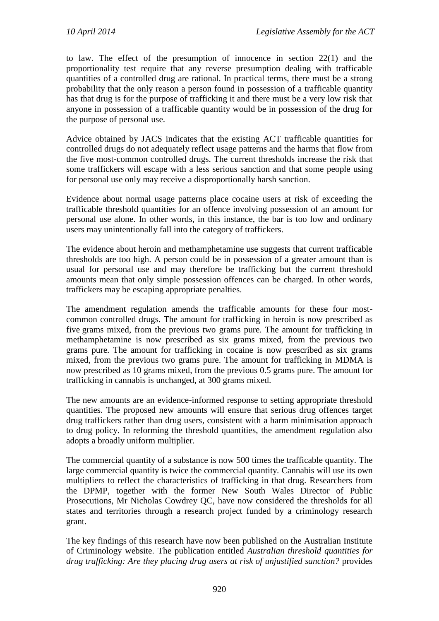to law. The effect of the presumption of innocence in section 22(1) and the proportionality test require that any reverse presumption dealing with trafficable quantities of a controlled drug are rational. In practical terms, there must be a strong probability that the only reason a person found in possession of a trafficable quantity has that drug is for the purpose of trafficking it and there must be a very low risk that anyone in possession of a trafficable quantity would be in possession of the drug for the purpose of personal use.

Advice obtained by JACS indicates that the existing ACT trafficable quantities for controlled drugs do not adequately reflect usage patterns and the harms that flow from the five most-common controlled drugs. The current thresholds increase the risk that some traffickers will escape with a less serious sanction and that some people using for personal use only may receive a disproportionally harsh sanction.

Evidence about normal usage patterns place cocaine users at risk of exceeding the trafficable threshold quantities for an offence involving possession of an amount for personal use alone. In other words, in this instance, the bar is too low and ordinary users may unintentionally fall into the category of traffickers.

The evidence about heroin and methamphetamine use suggests that current trafficable thresholds are too high. A person could be in possession of a greater amount than is usual for personal use and may therefore be trafficking but the current threshold amounts mean that only simple possession offences can be charged. In other words, traffickers may be escaping appropriate penalties.

The amendment regulation amends the trafficable amounts for these four mostcommon controlled drugs. The amount for trafficking in heroin is now prescribed as five grams mixed, from the previous two grams pure. The amount for trafficking in methamphetamine is now prescribed as six grams mixed, from the previous two grams pure. The amount for trafficking in cocaine is now prescribed as six grams mixed, from the previous two grams pure. The amount for trafficking in MDMA is now prescribed as 10 grams mixed, from the previous 0.5 grams pure. The amount for trafficking in cannabis is unchanged, at 300 grams mixed.

The new amounts are an evidence-informed response to setting appropriate threshold quantities. The proposed new amounts will ensure that serious drug offences target drug traffickers rather than drug users, consistent with a harm minimisation approach to drug policy. In reforming the threshold quantities, the amendment regulation also adopts a broadly uniform multiplier.

The commercial quantity of a substance is now 500 times the trafficable quantity. The large commercial quantity is twice the commercial quantity. Cannabis will use its own multipliers to reflect the characteristics of trafficking in that drug. Researchers from the DPMP, together with the former New South Wales Director of Public Prosecutions, Mr Nicholas Cowdrey QC, have now considered the thresholds for all states and territories through a research project funded by a criminology research grant.

The key findings of this research have now been published on the Australian Institute of Criminology website. The publication entitled *Australian threshold quantities for drug trafficking: Are they placing drug users at risk of unjustified sanction?* provides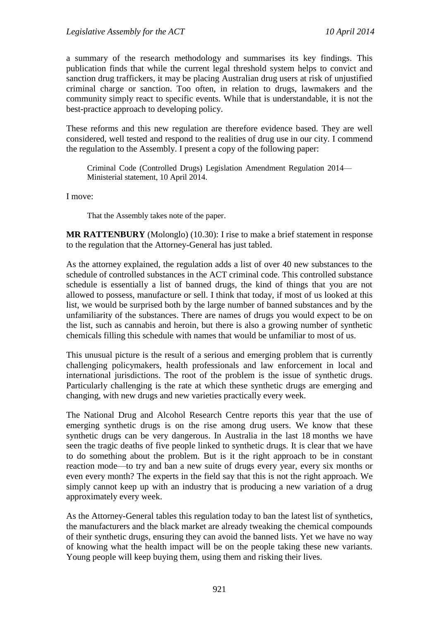a summary of the research methodology and summarises its key findings. This publication finds that while the current legal threshold system helps to convict and sanction drug traffickers, it may be placing Australian drug users at risk of unjustified criminal charge or sanction. Too often, in relation to drugs, lawmakers and the community simply react to specific events. While that is understandable, it is not the best-practice approach to developing policy.

These reforms and this new regulation are therefore evidence based. They are well considered, well tested and respond to the realities of drug use in our city. I commend the regulation to the Assembly. I present a copy of the following paper:

Criminal Code (Controlled Drugs) Legislation Amendment Regulation 2014— Ministerial statement, 10 April 2014.

I move:

That the Assembly takes note of the paper.

**MR RATTENBURY** (Molonglo) (10.30): I rise to make a brief statement in response to the regulation that the Attorney-General has just tabled.

As the attorney explained, the regulation adds a list of over 40 new substances to the schedule of controlled substances in the ACT criminal code. This controlled substance schedule is essentially a list of banned drugs, the kind of things that you are not allowed to possess, manufacture or sell. I think that today, if most of us looked at this list, we would be surprised both by the large number of banned substances and by the unfamiliarity of the substances. There are names of drugs you would expect to be on the list, such as cannabis and heroin, but there is also a growing number of synthetic chemicals filling this schedule with names that would be unfamiliar to most of us.

This unusual picture is the result of a serious and emerging problem that is currently challenging policymakers, health professionals and law enforcement in local and international jurisdictions. The root of the problem is the issue of synthetic drugs. Particularly challenging is the rate at which these synthetic drugs are emerging and changing, with new drugs and new varieties practically every week.

The National Drug and Alcohol Research Centre reports this year that the use of emerging synthetic drugs is on the rise among drug users. We know that these synthetic drugs can be very dangerous. In Australia in the last 18 months we have seen the tragic deaths of five people linked to synthetic drugs. It is clear that we have to do something about the problem. But is it the right approach to be in constant reaction mode—to try and ban a new suite of drugs every year, every six months or even every month? The experts in the field say that this is not the right approach. We simply cannot keep up with an industry that is producing a new variation of a drug approximately every week.

As the Attorney-General tables this regulation today to ban the latest list of synthetics, the manufacturers and the black market are already tweaking the chemical compounds of their synthetic drugs, ensuring they can avoid the banned lists. Yet we have no way of knowing what the health impact will be on the people taking these new variants. Young people will keep buying them, using them and risking their lives.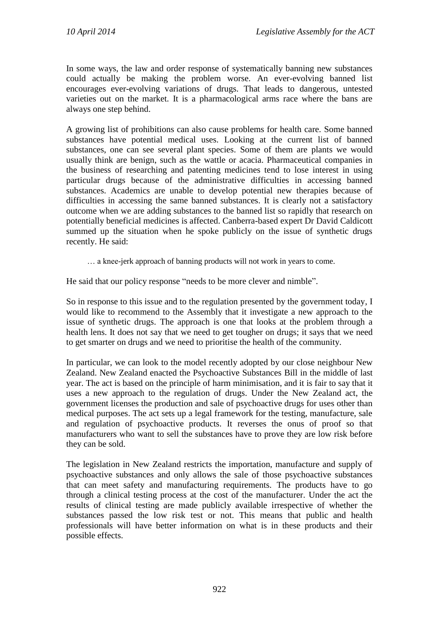In some ways, the law and order response of systematically banning new substances could actually be making the problem worse. An ever-evolving banned list encourages ever-evolving variations of drugs. That leads to dangerous, untested varieties out on the market. It is a pharmacological arms race where the bans are always one step behind.

A growing list of prohibitions can also cause problems for health care. Some banned substances have potential medical uses. Looking at the current list of banned substances, one can see several plant species. Some of them are plants we would usually think are benign, such as the wattle or acacia. Pharmaceutical companies in the business of researching and patenting medicines tend to lose interest in using particular drugs because of the administrative difficulties in accessing banned substances. Academics are unable to develop potential new therapies because of difficulties in accessing the same banned substances. It is clearly not a satisfactory outcome when we are adding substances to the banned list so rapidly that research on potentially beneficial medicines is affected. Canberra-based expert Dr David Caldicott summed up the situation when he spoke publicly on the issue of synthetic drugs recently. He said:

… a knee-jerk approach of banning products will not work in years to come.

He said that our policy response "needs to be more clever and nimble".

So in response to this issue and to the regulation presented by the government today, I would like to recommend to the Assembly that it investigate a new approach to the issue of synthetic drugs. The approach is one that looks at the problem through a health lens. It does not say that we need to get tougher on drugs; it says that we need to get smarter on drugs and we need to prioritise the health of the community.

In particular, we can look to the model recently adopted by our close neighbour New Zealand. New Zealand enacted the Psychoactive Substances Bill in the middle of last year. The act is based on the principle of harm minimisation, and it is fair to say that it uses a new approach to the regulation of drugs. Under the New Zealand act, the government licenses the production and sale of psychoactive drugs for uses other than medical purposes. The act sets up a legal framework for the testing, manufacture, sale and regulation of psychoactive products. It reverses the onus of proof so that manufacturers who want to sell the substances have to prove they are low risk before they can be sold.

The legislation in New Zealand restricts the importation, manufacture and supply of psychoactive substances and only allows the sale of those psychoactive substances that can meet safety and manufacturing requirements. The products have to go through a clinical testing process at the cost of the manufacturer. Under the act the results of clinical testing are made publicly available irrespective of whether the substances passed the low risk test or not. This means that public and health professionals will have better information on what is in these products and their possible effects.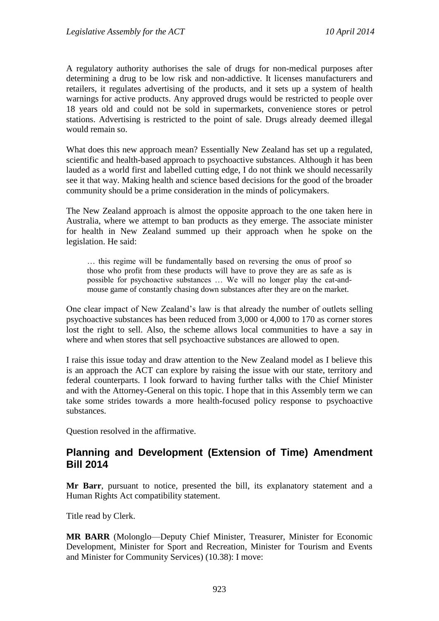A regulatory authority authorises the sale of drugs for non-medical purposes after determining a drug to be low risk and non-addictive. It licenses manufacturers and retailers, it regulates advertising of the products, and it sets up a system of health warnings for active products. Any approved drugs would be restricted to people over 18 years old and could not be sold in supermarkets, convenience stores or petrol stations. Advertising is restricted to the point of sale. Drugs already deemed illegal would remain so.

What does this new approach mean? Essentially New Zealand has set up a regulated, scientific and health-based approach to psychoactive substances. Although it has been lauded as a world first and labelled cutting edge, I do not think we should necessarily see it that way. Making health and science based decisions for the good of the broader community should be a prime consideration in the minds of policymakers.

The New Zealand approach is almost the opposite approach to the one taken here in Australia, where we attempt to ban products as they emerge. The associate minister for health in New Zealand summed up their approach when he spoke on the legislation. He said:

… this regime will be fundamentally based on reversing the onus of proof so those who profit from these products will have to prove they are as safe as is possible for psychoactive substances … We will no longer play the cat-andmouse game of constantly chasing down substances after they are on the market.

One clear impact of New Zealand's law is that already the number of outlets selling psychoactive substances has been reduced from 3,000 or 4,000 to 170 as corner stores lost the right to sell. Also, the scheme allows local communities to have a say in where and when stores that sell psychoactive substances are allowed to open.

I raise this issue today and draw attention to the New Zealand model as I believe this is an approach the ACT can explore by raising the issue with our state, territory and federal counterparts. I look forward to having further talks with the Chief Minister and with the Attorney-General on this topic. I hope that in this Assembly term we can take some strides towards a more health-focused policy response to psychoactive substances.

Question resolved in the affirmative.

#### <span id="page-13-0"></span>**Planning and Development (Extension of Time) Amendment Bill 2014**

**Mr Barr**, pursuant to notice, presented the bill, its explanatory statement and a Human Rights Act compatibility statement.

Title read by Clerk.

**MR BARR** (Molonglo—Deputy Chief Minister, Treasurer, Minister for Economic Development, Minister for Sport and Recreation, Minister for Tourism and Events and Minister for Community Services) (10.38): I move: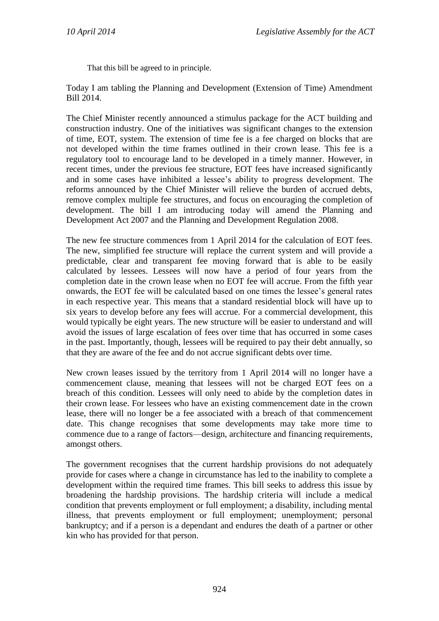That this bill be agreed to in principle.

Today I am tabling the Planning and Development (Extension of Time) Amendment Bill 2014.

The Chief Minister recently announced a stimulus package for the ACT building and construction industry. One of the initiatives was significant changes to the extension of time, EOT, system. The extension of time fee is a fee charged on blocks that are not developed within the time frames outlined in their crown lease. This fee is a regulatory tool to encourage land to be developed in a timely manner. However, in recent times, under the previous fee structure, EOT fees have increased significantly and in some cases have inhibited a lessee's ability to progress development. The reforms announced by the Chief Minister will relieve the burden of accrued debts, remove complex multiple fee structures, and focus on encouraging the completion of development. The bill I am introducing today will amend the Planning and Development Act 2007 and the Planning and Development Regulation 2008.

The new fee structure commences from 1 April 2014 for the calculation of EOT fees. The new, simplified fee structure will replace the current system and will provide a predictable, clear and transparent fee moving forward that is able to be easily calculated by lessees. Lessees will now have a period of four years from the completion date in the crown lease when no EOT fee will accrue. From the fifth year onwards, the EOT fee will be calculated based on one times the lessee's general rates in each respective year. This means that a standard residential block will have up to six years to develop before any fees will accrue. For a commercial development, this would typically be eight years. The new structure will be easier to understand and will avoid the issues of large escalation of fees over time that has occurred in some cases in the past. Importantly, though, lessees will be required to pay their debt annually, so that they are aware of the fee and do not accrue significant debts over time.

New crown leases issued by the territory from 1 April 2014 will no longer have a commencement clause, meaning that lessees will not be charged EOT fees on a breach of this condition. Lessees will only need to abide by the completion dates in their crown lease. For lessees who have an existing commencement date in the crown lease, there will no longer be a fee associated with a breach of that commencement date. This change recognises that some developments may take more time to commence due to a range of factors—design, architecture and financing requirements, amongst others.

The government recognises that the current hardship provisions do not adequately provide for cases where a change in circumstance has led to the inability to complete a development within the required time frames. This bill seeks to address this issue by broadening the hardship provisions. The hardship criteria will include a medical condition that prevents employment or full employment; a disability, including mental illness, that prevents employment or full employment; unemployment; personal bankruptcy; and if a person is a dependant and endures the death of a partner or other kin who has provided for that person.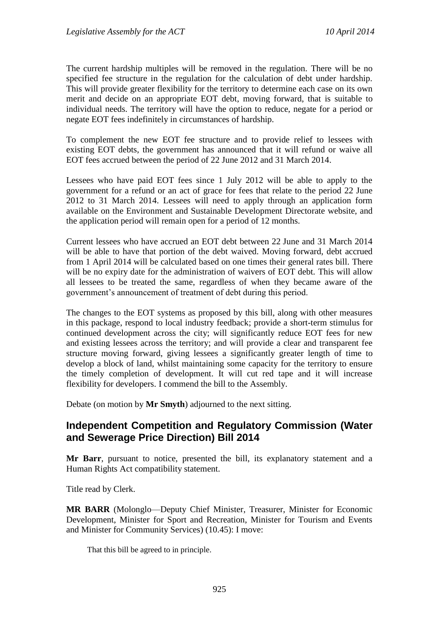The current hardship multiples will be removed in the regulation. There will be no specified fee structure in the regulation for the calculation of debt under hardship. This will provide greater flexibility for the territory to determine each case on its own merit and decide on an appropriate EOT debt, moving forward, that is suitable to individual needs. The territory will have the option to reduce, negate for a period or negate EOT fees indefinitely in circumstances of hardship.

To complement the new EOT fee structure and to provide relief to lessees with existing EOT debts, the government has announced that it will refund or waive all EOT fees accrued between the period of 22 June 2012 and 31 March 2014.

Lessees who have paid EOT fees since 1 July 2012 will be able to apply to the government for a refund or an act of grace for fees that relate to the period 22 June 2012 to 31 March 2014. Lessees will need to apply through an application form available on the Environment and Sustainable Development Directorate website, and the application period will remain open for a period of 12 months.

Current lessees who have accrued an EOT debt between 22 June and 31 March 2014 will be able to have that portion of the debt waived. Moving forward, debt accrued from 1 April 2014 will be calculated based on one times their general rates bill. There will be no expiry date for the administration of waivers of EOT debt. This will allow all lessees to be treated the same, regardless of when they became aware of the government's announcement of treatment of debt during this period.

The changes to the EOT systems as proposed by this bill, along with other measures in this package, respond to local industry feedback; provide a short-term stimulus for continued development across the city; will significantly reduce EOT fees for new and existing lessees across the territory; and will provide a clear and transparent fee structure moving forward, giving lessees a significantly greater length of time to develop a block of land, whilst maintaining some capacity for the territory to ensure the timely completion of development. It will cut red tape and it will increase flexibility for developers. I commend the bill to the Assembly.

Debate (on motion by **Mr Smyth**) adjourned to the next sitting.

#### <span id="page-15-0"></span>**Independent Competition and Regulatory Commission (Water and Sewerage Price Direction) Bill 2014**

**Mr Barr**, pursuant to notice, presented the bill, its explanatory statement and a Human Rights Act compatibility statement.

Title read by Clerk.

**MR BARR** (Molonglo—Deputy Chief Minister, Treasurer, Minister for Economic Development, Minister for Sport and Recreation, Minister for Tourism and Events and Minister for Community Services) (10.45): I move:

That this bill be agreed to in principle.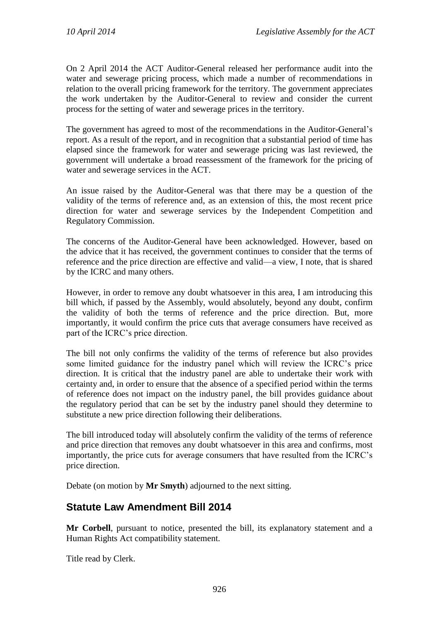On 2 April 2014 the ACT Auditor-General released her performance audit into the water and sewerage pricing process, which made a number of recommendations in relation to the overall pricing framework for the territory. The government appreciates the work undertaken by the Auditor-General to review and consider the current process for the setting of water and sewerage prices in the territory.

The government has agreed to most of the recommendations in the Auditor-General's report. As a result of the report, and in recognition that a substantial period of time has elapsed since the framework for water and sewerage pricing was last reviewed, the government will undertake a broad reassessment of the framework for the pricing of water and sewerage services in the ACT.

An issue raised by the Auditor-General was that there may be a question of the validity of the terms of reference and, as an extension of this, the most recent price direction for water and sewerage services by the Independent Competition and Regulatory Commission.

The concerns of the Auditor-General have been acknowledged. However, based on the advice that it has received, the government continues to consider that the terms of reference and the price direction are effective and valid—a view, I note, that is shared by the ICRC and many others.

However, in order to remove any doubt whatsoever in this area, I am introducing this bill which, if passed by the Assembly, would absolutely, beyond any doubt, confirm the validity of both the terms of reference and the price direction. But, more importantly, it would confirm the price cuts that average consumers have received as part of the ICRC's price direction.

The bill not only confirms the validity of the terms of reference but also provides some limited guidance for the industry panel which will review the ICRC's price direction. It is critical that the industry panel are able to undertake their work with certainty and, in order to ensure that the absence of a specified period within the terms of reference does not impact on the industry panel, the bill provides guidance about the regulatory period that can be set by the industry panel should they determine to substitute a new price direction following their deliberations.

The bill introduced today will absolutely confirm the validity of the terms of reference and price direction that removes any doubt whatsoever in this area and confirms, most importantly, the price cuts for average consumers that have resulted from the ICRC's price direction.

Debate (on motion by **Mr Smyth**) adjourned to the next sitting.

#### <span id="page-16-0"></span>**Statute Law Amendment Bill 2014**

**Mr Corbell**, pursuant to notice, presented the bill, its explanatory statement and a Human Rights Act compatibility statement.

Title read by Clerk.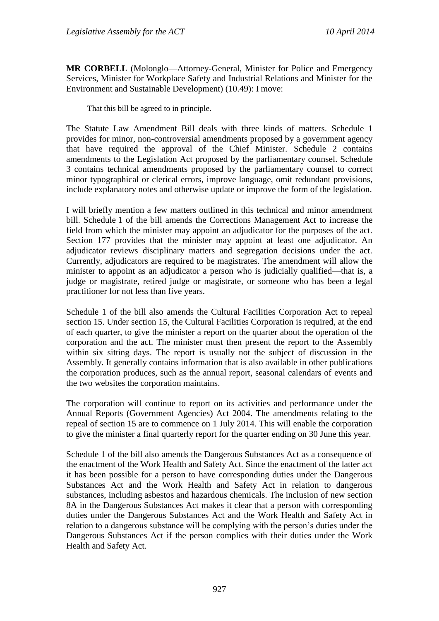**MR CORBELL** (Molonglo—Attorney-General, Minister for Police and Emergency Services, Minister for Workplace Safety and Industrial Relations and Minister for the Environment and Sustainable Development) (10.49): I move:

That this bill be agreed to in principle.

The Statute Law Amendment Bill deals with three kinds of matters. Schedule 1 provides for minor, non-controversial amendments proposed by a government agency that have required the approval of the Chief Minister. Schedule 2 contains amendments to the Legislation Act proposed by the parliamentary counsel. Schedule 3 contains technical amendments proposed by the parliamentary counsel to correct minor typographical or clerical errors, improve language, omit redundant provisions, include explanatory notes and otherwise update or improve the form of the legislation.

I will briefly mention a few matters outlined in this technical and minor amendment bill. Schedule 1 of the bill amends the Corrections Management Act to increase the field from which the minister may appoint an adjudicator for the purposes of the act. Section 177 provides that the minister may appoint at least one adjudicator. An adjudicator reviews disciplinary matters and segregation decisions under the act. Currently, adjudicators are required to be magistrates. The amendment will allow the minister to appoint as an adjudicator a person who is judicially qualified—that is, a judge or magistrate, retired judge or magistrate, or someone who has been a legal practitioner for not less than five years.

Schedule 1 of the bill also amends the Cultural Facilities Corporation Act to repeal section 15. Under section 15, the Cultural Facilities Corporation is required, at the end of each quarter, to give the minister a report on the quarter about the operation of the corporation and the act. The minister must then present the report to the Assembly within six sitting days. The report is usually not the subject of discussion in the Assembly. It generally contains information that is also available in other publications the corporation produces, such as the annual report, seasonal calendars of events and the two websites the corporation maintains.

The corporation will continue to report on its activities and performance under the Annual Reports (Government Agencies) Act 2004. The amendments relating to the repeal of section 15 are to commence on 1 July 2014. This will enable the corporation to give the minister a final quarterly report for the quarter ending on 30 June this year.

Schedule 1 of the bill also amends the Dangerous Substances Act as a consequence of the enactment of the Work Health and Safety Act. Since the enactment of the latter act it has been possible for a person to have corresponding duties under the Dangerous Substances Act and the Work Health and Safety Act in relation to dangerous substances, including asbestos and hazardous chemicals. The inclusion of new section 8A in the Dangerous Substances Act makes it clear that a person with corresponding duties under the Dangerous Substances Act and the Work Health and Safety Act in relation to a dangerous substance will be complying with the person's duties under the Dangerous Substances Act if the person complies with their duties under the Work Health and Safety Act.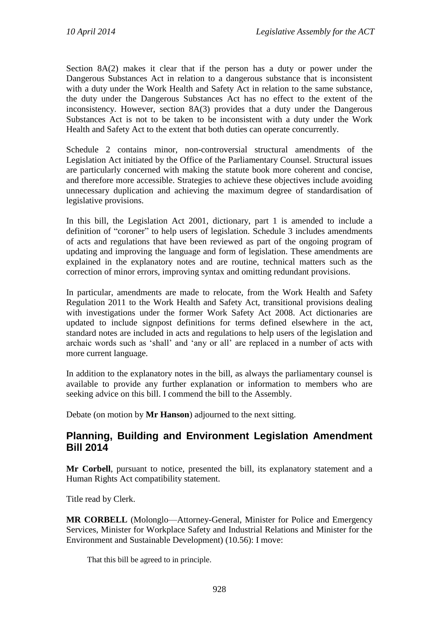Section 8A(2) makes it clear that if the person has a duty or power under the Dangerous Substances Act in relation to a dangerous substance that is inconsistent with a duty under the Work Health and Safety Act in relation to the same substance, the duty under the Dangerous Substances Act has no effect to the extent of the inconsistency. However, section 8A(3) provides that a duty under the Dangerous Substances Act is not to be taken to be inconsistent with a duty under the Work Health and Safety Act to the extent that both duties can operate concurrently.

Schedule 2 contains minor, non-controversial structural amendments of the Legislation Act initiated by the Office of the Parliamentary Counsel. Structural issues are particularly concerned with making the statute book more coherent and concise, and therefore more accessible. Strategies to achieve these objectives include avoiding unnecessary duplication and achieving the maximum degree of standardisation of legislative provisions.

In this bill, the Legislation Act 2001, dictionary, part 1 is amended to include a definition of "coroner" to help users of legislation. Schedule 3 includes amendments of acts and regulations that have been reviewed as part of the ongoing program of updating and improving the language and form of legislation. These amendments are explained in the explanatory notes and are routine, technical matters such as the correction of minor errors, improving syntax and omitting redundant provisions.

In particular, amendments are made to relocate, from the Work Health and Safety Regulation 2011 to the Work Health and Safety Act, transitional provisions dealing with investigations under the former Work Safety Act 2008. Act dictionaries are updated to include signpost definitions for terms defined elsewhere in the act, standard notes are included in acts and regulations to help users of the legislation and archaic words such as 'shall' and 'any or all' are replaced in a number of acts with more current language.

In addition to the explanatory notes in the bill, as always the parliamentary counsel is available to provide any further explanation or information to members who are seeking advice on this bill. I commend the bill to the Assembly.

Debate (on motion by **Mr Hanson**) adjourned to the next sitting.

#### <span id="page-18-0"></span>**Planning, Building and Environment Legislation Amendment Bill 2014**

**Mr Corbell**, pursuant to notice, presented the bill, its explanatory statement and a Human Rights Act compatibility statement.

Title read by Clerk.

**MR CORBELL** (Molonglo—Attorney-General, Minister for Police and Emergency Services, Minister for Workplace Safety and Industrial Relations and Minister for the Environment and Sustainable Development) (10.56): I move:

That this bill be agreed to in principle.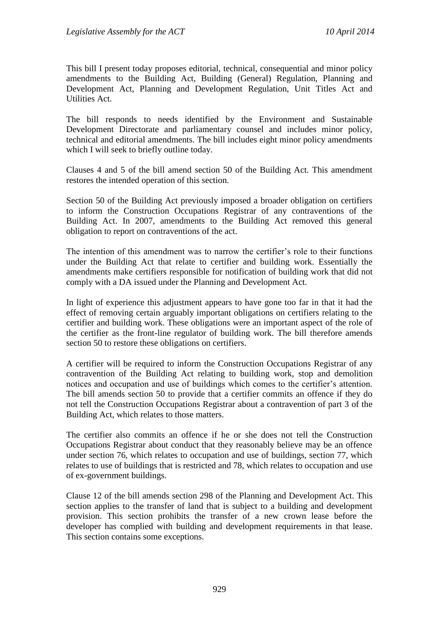This bill I present today proposes editorial, technical, consequential and minor policy amendments to the Building Act, Building (General) Regulation, Planning and Development Act, Planning and Development Regulation, Unit Titles Act and Utilities Act.

The bill responds to needs identified by the Environment and Sustainable Development Directorate and parliamentary counsel and includes minor policy, technical and editorial amendments. The bill includes eight minor policy amendments which I will seek to briefly outline today.

Clauses 4 and 5 of the bill amend section 50 of the Building Act. This amendment restores the intended operation of this section.

Section 50 of the Building Act previously imposed a broader obligation on certifiers to inform the Construction Occupations Registrar of any contraventions of the Building Act. In 2007, amendments to the Building Act removed this general obligation to report on contraventions of the act.

The intention of this amendment was to narrow the certifier's role to their functions under the Building Act that relate to certifier and building work. Essentially the amendments make certifiers responsible for notification of building work that did not comply with a DA issued under the Planning and Development Act.

In light of experience this adjustment appears to have gone too far in that it had the effect of removing certain arguably important obligations on certifiers relating to the certifier and building work. These obligations were an important aspect of the role of the certifier as the front-line regulator of building work. The bill therefore amends section 50 to restore these obligations on certifiers.

A certifier will be required to inform the Construction Occupations Registrar of any contravention of the Building Act relating to building work, stop and demolition notices and occupation and use of buildings which comes to the certifier's attention. The bill amends section 50 to provide that a certifier commits an offence if they do not tell the Construction Occupations Registrar about a contravention of part 3 of the Building Act, which relates to those matters.

The certifier also commits an offence if he or she does not tell the Construction Occupations Registrar about conduct that they reasonably believe may be an offence under section 76, which relates to occupation and use of buildings, section 77, which relates to use of buildings that is restricted and 78, which relates to occupation and use of ex-government buildings.

Clause 12 of the bill amends section 298 of the Planning and Development Act. This section applies to the transfer of land that is subject to a building and development provision. This section prohibits the transfer of a new crown lease before the developer has complied with building and development requirements in that lease. This section contains some exceptions.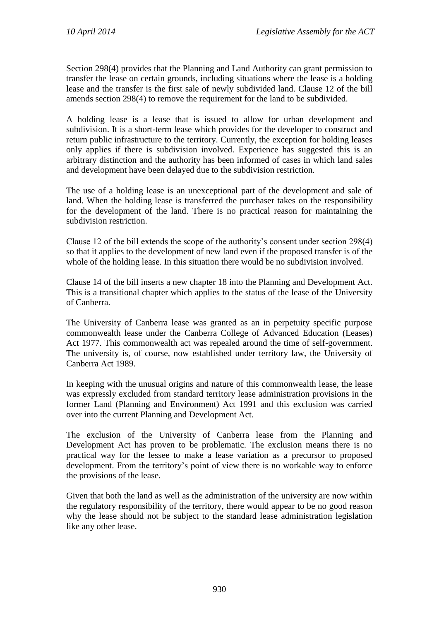Section 298(4) provides that the Planning and Land Authority can grant permission to transfer the lease on certain grounds, including situations where the lease is a holding lease and the transfer is the first sale of newly subdivided land. Clause 12 of the bill amends section 298(4) to remove the requirement for the land to be subdivided.

A holding lease is a lease that is issued to allow for urban development and subdivision. It is a short-term lease which provides for the developer to construct and return public infrastructure to the territory. Currently, the exception for holding leases only applies if there is subdivision involved. Experience has suggested this is an arbitrary distinction and the authority has been informed of cases in which land sales and development have been delayed due to the subdivision restriction.

The use of a holding lease is an unexceptional part of the development and sale of land. When the holding lease is transferred the purchaser takes on the responsibility for the development of the land. There is no practical reason for maintaining the subdivision restriction.

Clause 12 of the bill extends the scope of the authority's consent under section 298(4) so that it applies to the development of new land even if the proposed transfer is of the whole of the holding lease. In this situation there would be no subdivision involved.

Clause 14 of the bill inserts a new chapter 18 into the Planning and Development Act. This is a transitional chapter which applies to the status of the lease of the University of Canberra.

The University of Canberra lease was granted as an in perpetuity specific purpose commonwealth lease under the Canberra College of Advanced Education (Leases) Act 1977. This commonwealth act was repealed around the time of self-government. The university is, of course, now established under territory law, the University of Canberra Act 1989.

In keeping with the unusual origins and nature of this commonwealth lease, the lease was expressly excluded from standard territory lease administration provisions in the former Land (Planning and Environment) Act 1991 and this exclusion was carried over into the current Planning and Development Act.

The exclusion of the University of Canberra lease from the Planning and Development Act has proven to be problematic. The exclusion means there is no practical way for the lessee to make a lease variation as a precursor to proposed development. From the territory's point of view there is no workable way to enforce the provisions of the lease.

Given that both the land as well as the administration of the university are now within the regulatory responsibility of the territory, there would appear to be no good reason why the lease should not be subject to the standard lease administration legislation like any other lease.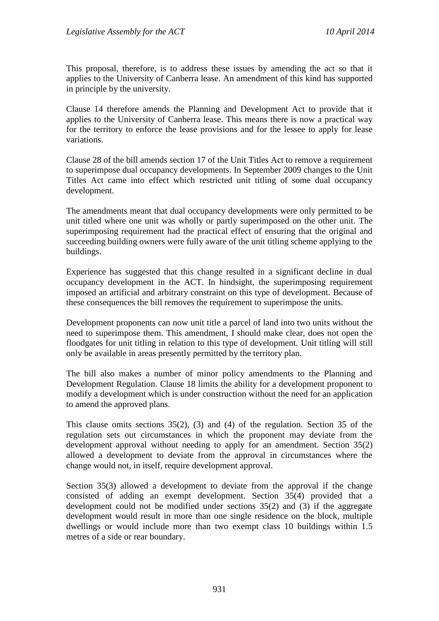This proposal, therefore, is to address these issues by amending the act so that it applies to the University of Canberra lease. An amendment of this kind has supported in principle by the university.

Clause 14 therefore amends the Planning and Development Act to provide that it applies to the University of Canberra lease. This means there is now a practical way for the territory to enforce the lease provisions and for the lessee to apply for lease variations.

Clause 28 of the bill amends section 17 of the Unit Titles Act to remove a requirement to superimpose dual occupancy developments. In September 2009 changes to the Unit Titles Act came into effect which restricted unit titling of some dual occupancy development.

The amendments meant that dual occupancy developments were only permitted to be unit titled where one unit was wholly or partly superimposed on the other unit. The superimposing requirement had the practical effect of ensuring that the original and succeeding building owners were fully aware of the unit titling scheme applying to the buildings.

Experience has suggested that this change resulted in a significant decline in dual occupancy development in the ACT. In hindsight, the superimposing requirement imposed an artificial and arbitrary constraint on this type of development. Because of these consequences the bill removes the requirement to superimpose the units.

Development proponents can now unit title a parcel of land into two units without the need to superimpose them. This amendment, I should make clear, does not open the floodgates for unit titling in relation to this type of development. Unit titling will still only be available in areas presently permitted by the territory plan.

The bill also makes a number of minor policy amendments to the Planning and Development Regulation. Clause 18 limits the ability for a development proponent to modify a development which is under construction without the need for an application to amend the approved plans.

This clause omits sections 35(2), (3) and (4) of the regulation. Section 35 of the regulation sets out circumstances in which the proponent may deviate from the development approval without needing to apply for an amendment. Section 35(2) allowed a development to deviate from the approval in circumstances where the change would not, in itself, require development approval.

Section 35(3) allowed a development to deviate from the approval if the change consisted of adding an exempt development. Section 35(4) provided that a development could not be modified under sections 35(2) and (3) if the aggregate development would result in more than one single residence on the block, multiple dwellings or would include more than two exempt class 10 buildings within 1.5 metres of a side or rear boundary.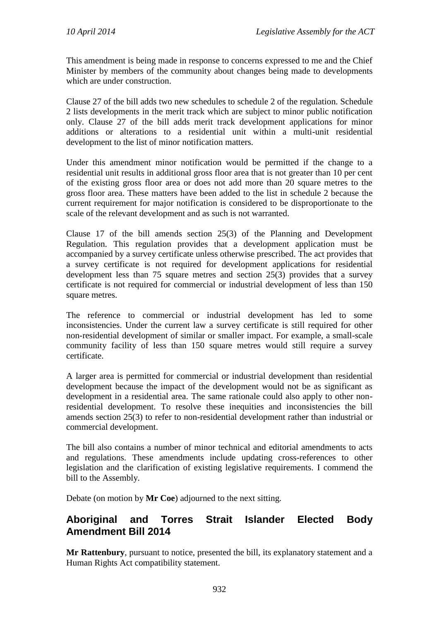This amendment is being made in response to concerns expressed to me and the Chief Minister by members of the community about changes being made to developments which are under construction.

Clause 27 of the bill adds two new schedules to schedule 2 of the regulation. Schedule 2 lists developments in the merit track which are subject to minor public notification only. Clause 27 of the bill adds merit track development applications for minor additions or alterations to a residential unit within a multi-unit residential development to the list of minor notification matters.

Under this amendment minor notification would be permitted if the change to a residential unit results in additional gross floor area that is not greater than 10 per cent of the existing gross floor area or does not add more than 20 square metres to the gross floor area. These matters have been added to the list in schedule 2 because the current requirement for major notification is considered to be disproportionate to the scale of the relevant development and as such is not warranted.

Clause 17 of the bill amends section 25(3) of the Planning and Development Regulation. This regulation provides that a development application must be accompanied by a survey certificate unless otherwise prescribed. The act provides that a survey certificate is not required for development applications for residential development less than 75 square metres and section 25(3) provides that a survey certificate is not required for commercial or industrial development of less than 150 square metres.

The reference to commercial or industrial development has led to some inconsistencies. Under the current law a survey certificate is still required for other non-residential development of similar or smaller impact. For example, a small-scale community facility of less than 150 square metres would still require a survey certificate.

A larger area is permitted for commercial or industrial development than residential development because the impact of the development would not be as significant as development in a residential area. The same rationale could also apply to other nonresidential development. To resolve these inequities and inconsistencies the bill amends section 25(3) to refer to non-residential development rather than industrial or commercial development.

The bill also contains a number of minor technical and editorial amendments to acts and regulations. These amendments include updating cross-references to other legislation and the clarification of existing legislative requirements. I commend the bill to the Assembly.

Debate (on motion by **Mr Coe**) adjourned to the next sitting.

## <span id="page-22-0"></span>**Aboriginal and Torres Strait Islander Elected Body Amendment Bill 2014**

**Mr Rattenbury**, pursuant to notice, presented the bill, its explanatory statement and a Human Rights Act compatibility statement.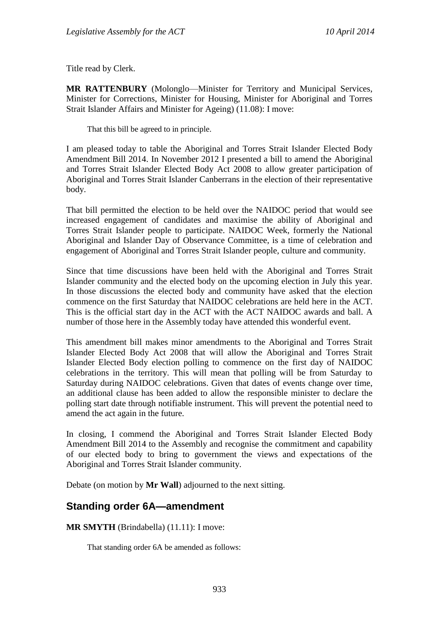Title read by Clerk.

**MR RATTENBURY** (Molonglo—Minister for Territory and Municipal Services, Minister for Corrections, Minister for Housing, Minister for Aboriginal and Torres Strait Islander Affairs and Minister for Ageing) (11.08): I move:

That this bill be agreed to in principle.

I am pleased today to table the Aboriginal and Torres Strait Islander Elected Body Amendment Bill 2014. In November 2012 I presented a bill to amend the Aboriginal and Torres Strait Islander Elected Body Act 2008 to allow greater participation of Aboriginal and Torres Strait Islander Canberrans in the election of their representative body.

That bill permitted the election to be held over the NAIDOC period that would see increased engagement of candidates and maximise the ability of Aboriginal and Torres Strait Islander people to participate. NAIDOC Week, formerly the National Aboriginal and Islander Day of Observance Committee, is a time of celebration and engagement of Aboriginal and Torres Strait Islander people, culture and community.

Since that time discussions have been held with the Aboriginal and Torres Strait Islander community and the elected body on the upcoming election in July this year. In those discussions the elected body and community have asked that the election commence on the first Saturday that NAIDOC celebrations are held here in the ACT. This is the official start day in the ACT with the ACT NAIDOC awards and ball. A number of those here in the Assembly today have attended this wonderful event.

This amendment bill makes minor amendments to the Aboriginal and Torres Strait Islander Elected Body Act 2008 that will allow the Aboriginal and Torres Strait Islander Elected Body election polling to commence on the first day of NAIDOC celebrations in the territory. This will mean that polling will be from Saturday to Saturday during NAIDOC celebrations. Given that dates of events change over time, an additional clause has been added to allow the responsible minister to declare the polling start date through notifiable instrument. This will prevent the potential need to amend the act again in the future.

In closing, I commend the Aboriginal and Torres Strait Islander Elected Body Amendment Bill 2014 to the Assembly and recognise the commitment and capability of our elected body to bring to government the views and expectations of the Aboriginal and Torres Strait Islander community.

Debate (on motion by **Mr Wall**) adjourned to the next sitting.

#### <span id="page-23-0"></span>**Standing order 6A—amendment**

**MR SMYTH** (Brindabella) (11.11): I move:

That standing order 6A be amended as follows: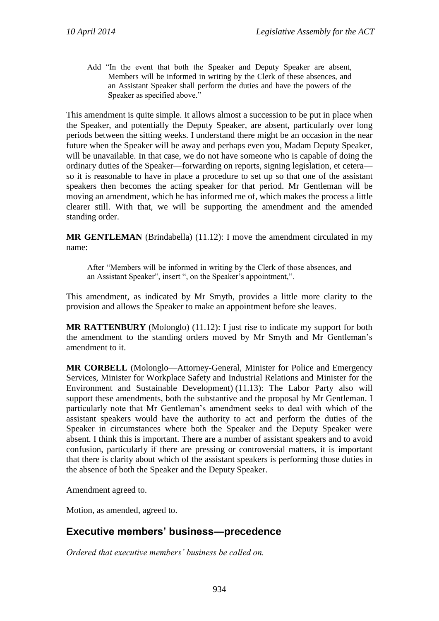Add "In the event that both the Speaker and Deputy Speaker are absent, Members will be informed in writing by the Clerk of these absences, and an Assistant Speaker shall perform the duties and have the powers of the Speaker as specified above."

This amendment is quite simple. It allows almost a succession to be put in place when the Speaker, and potentially the Deputy Speaker, are absent, particularly over long periods between the sitting weeks. I understand there might be an occasion in the near future when the Speaker will be away and perhaps even you, Madam Deputy Speaker, will be unavailable. In that case, we do not have someone who is capable of doing the ordinary duties of the Speaker—forwarding on reports, signing legislation, et cetera so it is reasonable to have in place a procedure to set up so that one of the assistant speakers then becomes the acting speaker for that period. Mr Gentleman will be moving an amendment, which he has informed me of, which makes the process a little clearer still. With that, we will be supporting the amendment and the amended standing order.

**MR GENTLEMAN** (Brindabella) (11.12): I move the amendment circulated in my name:

After "Members will be informed in writing by the Clerk of those absences, and an Assistant Speaker", insert ", on the Speaker's appointment,".

This amendment, as indicated by Mr Smyth, provides a little more clarity to the provision and allows the Speaker to make an appointment before she leaves.

**MR RATTENBURY** (Molonglo) (11.12): I just rise to indicate my support for both the amendment to the standing orders moved by Mr Smyth and Mr Gentleman's amendment to it.

**MR CORBELL** (Molonglo—Attorney-General, Minister for Police and Emergency Services, Minister for Workplace Safety and Industrial Relations and Minister for the Environment and Sustainable Development) (11.13): The Labor Party also will support these amendments, both the substantive and the proposal by Mr Gentleman. I particularly note that Mr Gentleman's amendment seeks to deal with which of the assistant speakers would have the authority to act and perform the duties of the Speaker in circumstances where both the Speaker and the Deputy Speaker were absent. I think this is important. There are a number of assistant speakers and to avoid confusion, particularly if there are pressing or controversial matters, it is important that there is clarity about which of the assistant speakers is performing those duties in the absence of both the Speaker and the Deputy Speaker.

Amendment agreed to.

Motion, as amended, agreed to.

#### <span id="page-24-0"></span>**Executive members' business—precedence**

*Ordered that executive members' business be called on.*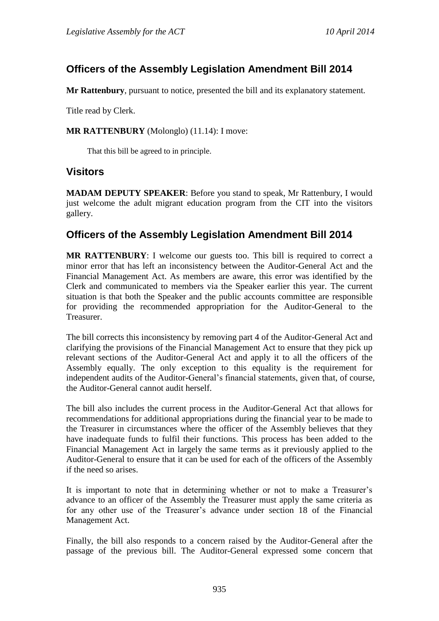# <span id="page-25-0"></span>**Officers of the Assembly Legislation Amendment Bill 2014**

**Mr Rattenbury**, pursuant to notice, presented the bill and its explanatory statement.

Title read by Clerk.

**MR RATTENBURY** (Molonglo) (11.14): I move:

That this bill be agreed to in principle.

#### <span id="page-25-1"></span>**Visitors**

**MADAM DEPUTY SPEAKER**: Before you stand to speak, Mr Rattenbury, I would just welcome the adult migrant education program from the CIT into the visitors gallery.

## <span id="page-25-2"></span>**Officers of the Assembly Legislation Amendment Bill 2014**

**MR RATTENBURY**: I welcome our guests too. This bill is required to correct a minor error that has left an inconsistency between the Auditor-General Act and the Financial Management Act. As members are aware, this error was identified by the Clerk and communicated to members via the Speaker earlier this year. The current situation is that both the Speaker and the public accounts committee are responsible for providing the recommended appropriation for the Auditor-General to the Treasurer.

The bill corrects this inconsistency by removing part 4 of the Auditor-General Act and clarifying the provisions of the Financial Management Act to ensure that they pick up relevant sections of the Auditor-General Act and apply it to all the officers of the Assembly equally. The only exception to this equality is the requirement for independent audits of the Auditor-General's financial statements, given that, of course, the Auditor-General cannot audit herself.

The bill also includes the current process in the Auditor-General Act that allows for recommendations for additional appropriations during the financial year to be made to the Treasurer in circumstances where the officer of the Assembly believes that they have inadequate funds to fulfil their functions. This process has been added to the Financial Management Act in largely the same terms as it previously applied to the Auditor-General to ensure that it can be used for each of the officers of the Assembly if the need so arises.

It is important to note that in determining whether or not to make a Treasurer's advance to an officer of the Assembly the Treasurer must apply the same criteria as for any other use of the Treasurer's advance under section 18 of the Financial Management Act.

Finally, the bill also responds to a concern raised by the Auditor-General after the passage of the previous bill. The Auditor-General expressed some concern that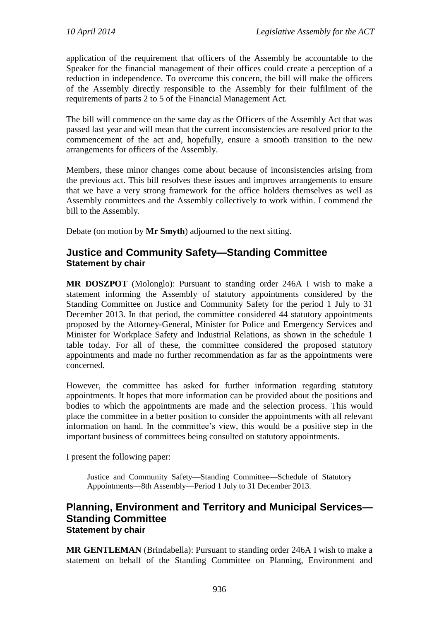application of the requirement that officers of the Assembly be accountable to the Speaker for the financial management of their offices could create a perception of a reduction in independence. To overcome this concern, the bill will make the officers of the Assembly directly responsible to the Assembly for their fulfilment of the requirements of parts 2 to 5 of the Financial Management Act.

The bill will commence on the same day as the Officers of the Assembly Act that was passed last year and will mean that the current inconsistencies are resolved prior to the commencement of the act and, hopefully, ensure a smooth transition to the new arrangements for officers of the Assembly.

Members, these minor changes come about because of inconsistencies arising from the previous act. This bill resolves these issues and improves arrangements to ensure that we have a very strong framework for the office holders themselves as well as Assembly committees and the Assembly collectively to work within. I commend the bill to the Assembly.

Debate (on motion by **Mr Smyth**) adjourned to the next sitting.

#### <span id="page-26-0"></span>**Justice and Community Safety—Standing Committee Statement by chair**

**MR DOSZPOT** (Molonglo): Pursuant to standing order 246A I wish to make a statement informing the Assembly of statutory appointments considered by the Standing Committee on Justice and Community Safety for the period 1 July to 31 December 2013. In that period, the committee considered 44 statutory appointments proposed by the Attorney-General, Minister for Police and Emergency Services and Minister for Workplace Safety and Industrial Relations, as shown in the schedule 1 table today. For all of these, the committee considered the proposed statutory appointments and made no further recommendation as far as the appointments were concerned.

However, the committee has asked for further information regarding statutory appointments. It hopes that more information can be provided about the positions and bodies to which the appointments are made and the selection process. This would place the committee in a better position to consider the appointments with all relevant information on hand. In the committee's view, this would be a positive step in the important business of committees being consulted on statutory appointments.

I present the following paper:

Justice and Community Safety—Standing Committee—Schedule of Statutory Appointments—8th Assembly—Period 1 July to 31 December 2013.

#### <span id="page-26-1"></span>**Planning, Environment and Territory and Municipal Services— Standing Committee Statement by chair**

**MR GENTLEMAN** (Brindabella): Pursuant to standing order 246A I wish to make a statement on behalf of the Standing Committee on Planning, Environment and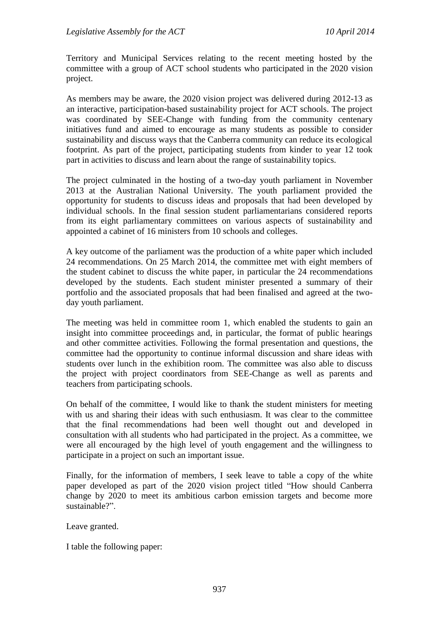Territory and Municipal Services relating to the recent meeting hosted by the committee with a group of ACT school students who participated in the 2020 vision project.

As members may be aware, the 2020 vision project was delivered during 2012-13 as an interactive, participation-based sustainability project for ACT schools. The project was coordinated by SEE-Change with funding from the community centenary initiatives fund and aimed to encourage as many students as possible to consider sustainability and discuss ways that the Canberra community can reduce its ecological footprint. As part of the project, participating students from kinder to year 12 took part in activities to discuss and learn about the range of sustainability topics.

The project culminated in the hosting of a two-day youth parliament in November 2013 at the Australian National University. The youth parliament provided the opportunity for students to discuss ideas and proposals that had been developed by individual schools. In the final session student parliamentarians considered reports from its eight parliamentary committees on various aspects of sustainability and appointed a cabinet of 16 ministers from 10 schools and colleges.

A key outcome of the parliament was the production of a white paper which included 24 recommendations. On 25 March 2014, the committee met with eight members of the student cabinet to discuss the white paper, in particular the 24 recommendations developed by the students. Each student minister presented a summary of their portfolio and the associated proposals that had been finalised and agreed at the twoday youth parliament.

The meeting was held in committee room 1, which enabled the students to gain an insight into committee proceedings and, in particular, the format of public hearings and other committee activities. Following the formal presentation and questions, the committee had the opportunity to continue informal discussion and share ideas with students over lunch in the exhibition room. The committee was also able to discuss the project with project coordinators from SEE-Change as well as parents and teachers from participating schools.

On behalf of the committee, I would like to thank the student ministers for meeting with us and sharing their ideas with such enthusiasm. It was clear to the committee that the final recommendations had been well thought out and developed in consultation with all students who had participated in the project. As a committee, we were all encouraged by the high level of youth engagement and the willingness to participate in a project on such an important issue.

Finally, for the information of members, I seek leave to table a copy of the white paper developed as part of the 2020 vision project titled "How should Canberra change by 2020 to meet its ambitious carbon emission targets and become more sustainable?"

Leave granted.

I table the following paper: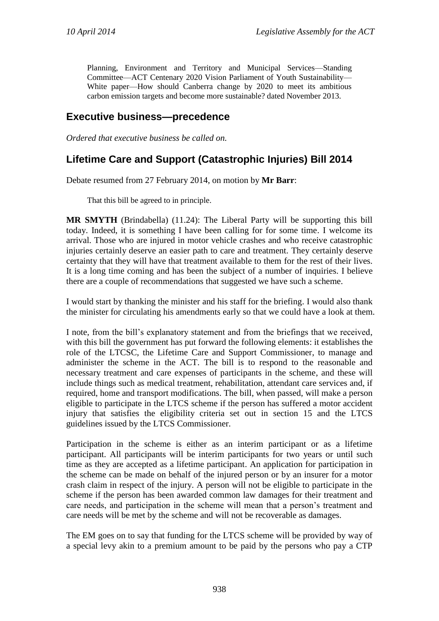Planning, Environment and Territory and Municipal Services—Standing Committee—ACT Centenary 2020 Vision Parliament of Youth Sustainability— White paper—How should Canberra change by 2020 to meet its ambitious carbon emission targets and become more sustainable? dated November 2013.

#### <span id="page-28-0"></span>**Executive business—precedence**

*Ordered that executive business be called on.*

## <span id="page-28-1"></span>**Lifetime Care and Support (Catastrophic Injuries) Bill 2014**

Debate resumed from 27 February 2014, on motion by **Mr Barr**:

That this bill be agreed to in principle.

**MR SMYTH** (Brindabella) (11.24): The Liberal Party will be supporting this bill today. Indeed, it is something I have been calling for for some time. I welcome its arrival. Those who are injured in motor vehicle crashes and who receive catastrophic injuries certainly deserve an easier path to care and treatment. They certainly deserve certainty that they will have that treatment available to them for the rest of their lives. It is a long time coming and has been the subject of a number of inquiries. I believe there are a couple of recommendations that suggested we have such a scheme.

I would start by thanking the minister and his staff for the briefing. I would also thank the minister for circulating his amendments early so that we could have a look at them.

I note, from the bill's explanatory statement and from the briefings that we received, with this bill the government has put forward the following elements: it establishes the role of the LTCSC, the Lifetime Care and Support Commissioner, to manage and administer the scheme in the ACT. The bill is to respond to the reasonable and necessary treatment and care expenses of participants in the scheme, and these will include things such as medical treatment, rehabilitation, attendant care services and, if required, home and transport modifications. The bill, when passed, will make a person eligible to participate in the LTCS scheme if the person has suffered a motor accident injury that satisfies the eligibility criteria set out in section 15 and the LTCS guidelines issued by the LTCS Commissioner.

Participation in the scheme is either as an interim participant or as a lifetime participant. All participants will be interim participants for two years or until such time as they are accepted as a lifetime participant. An application for participation in the scheme can be made on behalf of the injured person or by an insurer for a motor crash claim in respect of the injury. A person will not be eligible to participate in the scheme if the person has been awarded common law damages for their treatment and care needs, and participation in the scheme will mean that a person's treatment and care needs will be met by the scheme and will not be recoverable as damages.

The EM goes on to say that funding for the LTCS scheme will be provided by way of a special levy akin to a premium amount to be paid by the persons who pay a CTP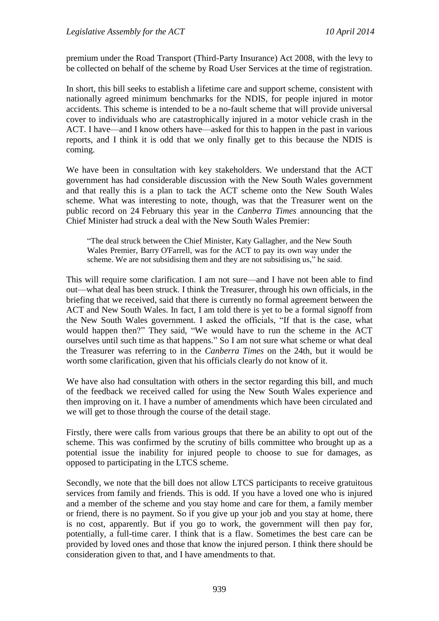premium under the Road Transport (Third-Party Insurance) Act 2008, with the levy to be collected on behalf of the scheme by Road User Services at the time of registration.

In short, this bill seeks to establish a lifetime care and support scheme, consistent with nationally agreed minimum benchmarks for the NDIS, for people injured in motor accidents. This scheme is intended to be a no-fault scheme that will provide universal cover to individuals who are catastrophically injured in a motor vehicle crash in the ACT. I have—and I know others have—asked for this to happen in the past in various reports, and I think it is odd that we only finally get to this because the NDIS is coming.

We have been in consultation with key stakeholders. We understand that the ACT government has had considerable discussion with the New South Wales government and that really this is a plan to tack the ACT scheme onto the New South Wales scheme. What was interesting to note, though, was that the Treasurer went on the public record on 24 February this year in the *Canberra Times* announcing that the Chief Minister had struck a deal with the New South Wales Premier:

"The deal struck between the Chief Minister, Katy Gallagher, and the New South Wales Premier, Barry O'Farrell, was for the ACT to pay its own way under the scheme. We are not subsidising them and they are not subsidising us," he said.

This will require some clarification. I am not sure—and I have not been able to find out—what deal has been struck. I think the Treasurer, through his own officials, in the briefing that we received, said that there is currently no formal agreement between the ACT and New South Wales. In fact, I am told there is yet to be a formal signoff from the New South Wales government. I asked the officials, "If that is the case, what would happen then?" They said, "We would have to run the scheme in the ACT ourselves until such time as that happens." So I am not sure what scheme or what deal the Treasurer was referring to in the *Canberra Times* on the 24th, but it would be worth some clarification, given that his officials clearly do not know of it.

We have also had consultation with others in the sector regarding this bill, and much of the feedback we received called for using the New South Wales experience and then improving on it. I have a number of amendments which have been circulated and we will get to those through the course of the detail stage.

Firstly, there were calls from various groups that there be an ability to opt out of the scheme. This was confirmed by the scrutiny of bills committee who brought up as a potential issue the inability for injured people to choose to sue for damages, as opposed to participating in the LTCS scheme.

Secondly, we note that the bill does not allow LTCS participants to receive gratuitous services from family and friends. This is odd. If you have a loved one who is injured and a member of the scheme and you stay home and care for them, a family member or friend, there is no payment. So if you give up your job and you stay at home, there is no cost, apparently. But if you go to work, the government will then pay for, potentially, a full-time carer. I think that is a flaw. Sometimes the best care can be provided by loved ones and those that know the injured person. I think there should be consideration given to that, and I have amendments to that.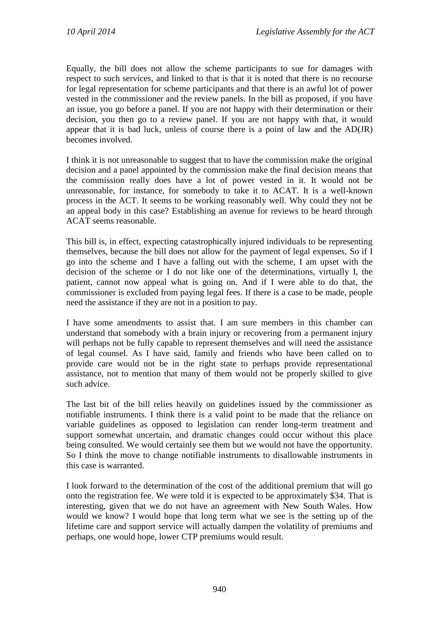Equally, the bill does not allow the scheme participants to sue for damages with respect to such services, and linked to that is that it is noted that there is no recourse for legal representation for scheme participants and that there is an awful lot of power vested in the commissioner and the review panels. In the bill as proposed, if you have an issue, you go before a panel. If you are not happy with their determination or their decision, you then go to a review panel. If you are not happy with that, it would appear that it is bad luck, unless of course there is a point of law and the AD(JR) becomes involved.

I think it is not unreasonable to suggest that to have the commission make the original decision and a panel appointed by the commission make the final decision means that the commission really does have a lot of power vested in it. It would not be unreasonable, for instance, for somebody to take it to ACAT. It is a well-known process in the ACT. It seems to be working reasonably well. Why could they not be an appeal body in this case? Establishing an avenue for reviews to be heard through ACAT seems reasonable.

This bill is, in effect, expecting catastrophically injured individuals to be representing themselves, because the bill does not allow for the payment of legal expenses. So if I go into the scheme and I have a falling out with the scheme, I am upset with the decision of the scheme or I do not like one of the determinations, virtually I, the patient, cannot now appeal what is going on. And if I were able to do that, the commissioner is excluded from paying legal fees. If there is a case to be made, people need the assistance if they are not in a position to pay.

I have some amendments to assist that. I am sure members in this chamber can understand that somebody with a brain injury or recovering from a permanent injury will perhaps not be fully capable to represent themselves and will need the assistance of legal counsel. As I have said, family and friends who have been called on to provide care would not be in the right state to perhaps provide representational assistance, not to mention that many of them would not be properly skilled to give such advice.

The last bit of the bill relies heavily on guidelines issued by the commissioner as notifiable instruments. I think there is a valid point to be made that the reliance on variable guidelines as opposed to legislation can render long-term treatment and support somewhat uncertain, and dramatic changes could occur without this place being consulted. We would certainly see them but we would not have the opportunity. So I think the move to change notifiable instruments to disallowable instruments in this case is warranted.

I look forward to the determination of the cost of the additional premium that will go onto the registration fee. We were told it is expected to be approximately \$34. That is interesting, given that we do not have an agreement with New South Wales. How would we know? I would hope that long term what we see is the setting up of the lifetime care and support service will actually dampen the volatility of premiums and perhaps, one would hope, lower CTP premiums would result.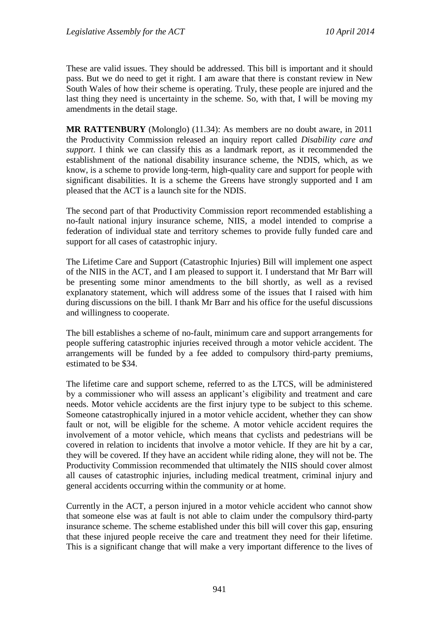These are valid issues. They should be addressed. This bill is important and it should pass. But we do need to get it right. I am aware that there is constant review in New South Wales of how their scheme is operating. Truly, these people are injured and the last thing they need is uncertainty in the scheme. So, with that, I will be moving my amendments in the detail stage.

**MR RATTENBURY** (Molonglo) (11.34): As members are no doubt aware, in 2011 the Productivity Commission released an inquiry report called *Disability care and support*. I think we can classify this as a landmark report, as it recommended the establishment of the national disability insurance scheme, the NDIS, which, as we know, is a scheme to provide long-term, high-quality care and support for people with significant disabilities. It is a scheme the Greens have strongly supported and I am pleased that the ACT is a launch site for the NDIS.

The second part of that Productivity Commission report recommended establishing a no-fault national injury insurance scheme, NIIS, a model intended to comprise a federation of individual state and territory schemes to provide fully funded care and support for all cases of catastrophic injury.

The Lifetime Care and Support (Catastrophic Injuries) Bill will implement one aspect of the NIIS in the ACT, and I am pleased to support it. I understand that Mr Barr will be presenting some minor amendments to the bill shortly, as well as a revised explanatory statement, which will address some of the issues that I raised with him during discussions on the bill. I thank Mr Barr and his office for the useful discussions and willingness to cooperate.

The bill establishes a scheme of no-fault, minimum care and support arrangements for people suffering catastrophic injuries received through a motor vehicle accident. The arrangements will be funded by a fee added to compulsory third-party premiums, estimated to be \$34.

The lifetime care and support scheme, referred to as the LTCS, will be administered by a commissioner who will assess an applicant's eligibility and treatment and care needs. Motor vehicle accidents are the first injury type to be subject to this scheme. Someone catastrophically injured in a motor vehicle accident, whether they can show fault or not, will be eligible for the scheme. A motor vehicle accident requires the involvement of a motor vehicle, which means that cyclists and pedestrians will be covered in relation to incidents that involve a motor vehicle. If they are hit by a car, they will be covered. If they have an accident while riding alone, they will not be. The Productivity Commission recommended that ultimately the NIIS should cover almost all causes of catastrophic injuries, including medical treatment, criminal injury and general accidents occurring within the community or at home.

Currently in the ACT, a person injured in a motor vehicle accident who cannot show that someone else was at fault is not able to claim under the compulsory third-party insurance scheme. The scheme established under this bill will cover this gap, ensuring that these injured people receive the care and treatment they need for their lifetime. This is a significant change that will make a very important difference to the lives of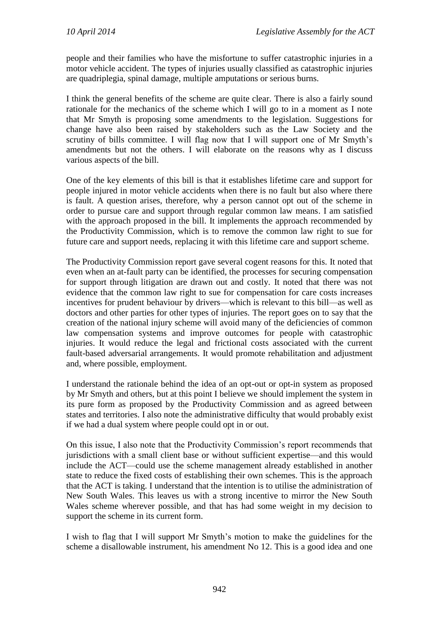people and their families who have the misfortune to suffer catastrophic injuries in a motor vehicle accident. The types of injuries usually classified as catastrophic injuries are quadriplegia, spinal damage, multiple amputations or serious burns.

I think the general benefits of the scheme are quite clear. There is also a fairly sound rationale for the mechanics of the scheme which I will go to in a moment as I note that Mr Smyth is proposing some amendments to the legislation. Suggestions for change have also been raised by stakeholders such as the Law Society and the scrutiny of bills committee. I will flag now that I will support one of Mr Smyth's amendments but not the others. I will elaborate on the reasons why as I discuss various aspects of the bill.

One of the key elements of this bill is that it establishes lifetime care and support for people injured in motor vehicle accidents when there is no fault but also where there is fault. A question arises, therefore, why a person cannot opt out of the scheme in order to pursue care and support through regular common law means. I am satisfied with the approach proposed in the bill. It implements the approach recommended by the Productivity Commission, which is to remove the common law right to sue for future care and support needs, replacing it with this lifetime care and support scheme.

The Productivity Commission report gave several cogent reasons for this. It noted that even when an at-fault party can be identified, the processes for securing compensation for support through litigation are drawn out and costly. It noted that there was not evidence that the common law right to sue for compensation for care costs increases incentives for prudent behaviour by drivers—which is relevant to this bill—as well as doctors and other parties for other types of injuries. The report goes on to say that the creation of the national injury scheme will avoid many of the deficiencies of common law compensation systems and improve outcomes for people with catastrophic injuries. It would reduce the legal and frictional costs associated with the current fault-based adversarial arrangements. It would promote rehabilitation and adjustment and, where possible, employment.

I understand the rationale behind the idea of an opt-out or opt-in system as proposed by Mr Smyth and others, but at this point I believe we should implement the system in its pure form as proposed by the Productivity Commission and as agreed between states and territories. I also note the administrative difficulty that would probably exist if we had a dual system where people could opt in or out.

On this issue, I also note that the Productivity Commission's report recommends that jurisdictions with a small client base or without sufficient expertise—and this would include the ACT—could use the scheme management already established in another state to reduce the fixed costs of establishing their own schemes. This is the approach that the ACT is taking. I understand that the intention is to utilise the administration of New South Wales. This leaves us with a strong incentive to mirror the New South Wales scheme wherever possible, and that has had some weight in my decision to support the scheme in its current form.

I wish to flag that I will support Mr Smyth's motion to make the guidelines for the scheme a disallowable instrument, his amendment No 12. This is a good idea and one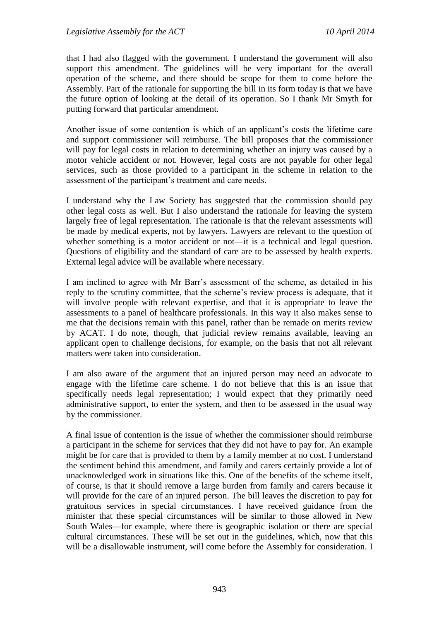that I had also flagged with the government. I understand the government will also support this amendment. The guidelines will be very important for the overall operation of the scheme, and there should be scope for them to come before the Assembly. Part of the rationale for supporting the bill in its form today is that we have the future option of looking at the detail of its operation. So I thank Mr Smyth for putting forward that particular amendment.

Another issue of some contention is which of an applicant's costs the lifetime care and support commissioner will reimburse. The bill proposes that the commissioner will pay for legal costs in relation to determining whether an injury was caused by a motor vehicle accident or not. However, legal costs are not payable for other legal services, such as those provided to a participant in the scheme in relation to the assessment of the participant's treatment and care needs.

I understand why the Law Society has suggested that the commission should pay other legal costs as well. But I also understand the rationale for leaving the system largely free of legal representation. The rationale is that the relevant assessments will be made by medical experts, not by lawyers. Lawyers are relevant to the question of whether something is a motor accident or not—it is a technical and legal question. Questions of eligibility and the standard of care are to be assessed by health experts. External legal advice will be available where necessary.

I am inclined to agree with Mr Barr's assessment of the scheme, as detailed in his reply to the scrutiny committee, that the scheme's review process is adequate, that it will involve people with relevant expertise, and that it is appropriate to leave the assessments to a panel of healthcare professionals. In this way it also makes sense to me that the decisions remain with this panel, rather than be remade on merits review by ACAT. I do note, though, that judicial review remains available, leaving an applicant open to challenge decisions, for example, on the basis that not all relevant matters were taken into consideration.

I am also aware of the argument that an injured person may need an advocate to engage with the lifetime care scheme. I do not believe that this is an issue that specifically needs legal representation; I would expect that they primarily need administrative support, to enter the system, and then to be assessed in the usual way by the commissioner.

A final issue of contention is the issue of whether the commissioner should reimburse a participant in the scheme for services that they did not have to pay for. An example might be for care that is provided to them by a family member at no cost. I understand the sentiment behind this amendment, and family and carers certainly provide a lot of unacknowledged work in situations like this. One of the benefits of the scheme itself, of course, is that it should remove a large burden from family and carers because it will provide for the care of an injured person. The bill leaves the discretion to pay for gratuitous services in special circumstances. I have received guidance from the minister that these special circumstances will be similar to those allowed in New South Wales—for example, where there is geographic isolation or there are special cultural circumstances. These will be set out in the guidelines, which, now that this will be a disallowable instrument, will come before the Assembly for consideration. I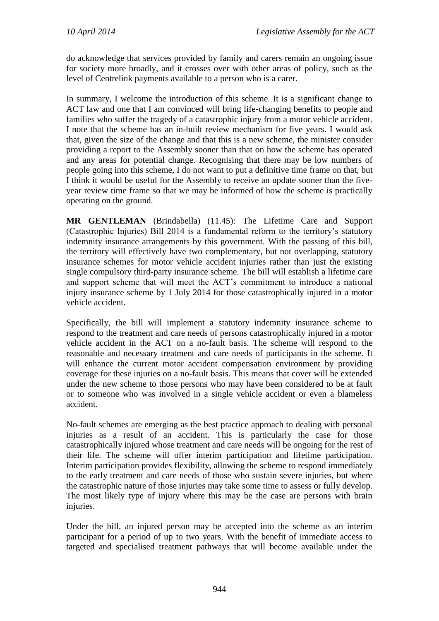do acknowledge that services provided by family and carers remain an ongoing issue for society more broadly, and it crosses over with other areas of policy, such as the level of Centrelink payments available to a person who is a carer.

In summary, I welcome the introduction of this scheme. It is a significant change to ACT law and one that I am convinced will bring life-changing benefits to people and families who suffer the tragedy of a catastrophic injury from a motor vehicle accident. I note that the scheme has an in-built review mechanism for five years. I would ask that, given the size of the change and that this is a new scheme, the minister consider providing a report to the Assembly sooner than that on how the scheme has operated and any areas for potential change. Recognising that there may be low numbers of people going into this scheme, I do not want to put a definitive time frame on that, but I think it would be useful for the Assembly to receive an update sooner than the fiveyear review time frame so that we may be informed of how the scheme is practically operating on the ground.

**MR GENTLEMAN** (Brindabella) (11.45): The Lifetime Care and Support (Catastrophic Injuries) Bill 2014 is a fundamental reform to the territory's statutory indemnity insurance arrangements by this government. With the passing of this bill, the territory will effectively have two complementary, but not overlapping, statutory insurance schemes for motor vehicle accident injuries rather than just the existing single compulsory third-party insurance scheme. The bill will establish a lifetime care and support scheme that will meet the ACT's commitment to introduce a national injury insurance scheme by 1 July 2014 for those catastrophically injured in a motor vehicle accident.

Specifically, the bill will implement a statutory indemnity insurance scheme to respond to the treatment and care needs of persons catastrophically injured in a motor vehicle accident in the ACT on a no-fault basis. The scheme will respond to the reasonable and necessary treatment and care needs of participants in the scheme. It will enhance the current motor accident compensation environment by providing coverage for these injuries on a no-fault basis. This means that cover will be extended under the new scheme to those persons who may have been considered to be at fault or to someone who was involved in a single vehicle accident or even a blameless accident.

No-fault schemes are emerging as the best practice approach to dealing with personal injuries as a result of an accident. This is particularly the case for those catastrophically injured whose treatment and care needs will be ongoing for the rest of their life. The scheme will offer interim participation and lifetime participation. Interim participation provides flexibility, allowing the scheme to respond immediately to the early treatment and care needs of those who sustain severe injuries, but where the catastrophic nature of those injuries may take some time to assess or fully develop. The most likely type of injury where this may be the case are persons with brain injuries.

Under the bill, an injured person may be accepted into the scheme as an interim participant for a period of up to two years. With the benefit of immediate access to targeted and specialised treatment pathways that will become available under the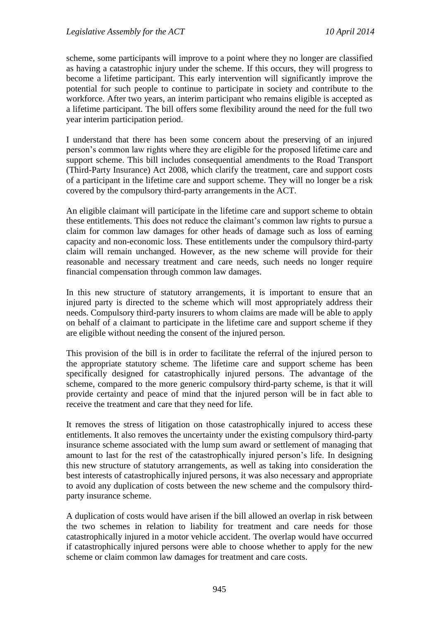scheme, some participants will improve to a point where they no longer are classified as having a catastrophic injury under the scheme. If this occurs, they will progress to become a lifetime participant. This early intervention will significantly improve the potential for such people to continue to participate in society and contribute to the workforce. After two years, an interim participant who remains eligible is accepted as a lifetime participant. The bill offers some flexibility around the need for the full two year interim participation period.

I understand that there has been some concern about the preserving of an injured person's common law rights where they are eligible for the proposed lifetime care and support scheme. This bill includes consequential amendments to the Road Transport (Third-Party Insurance) Act 2008, which clarify the treatment, care and support costs of a participant in the lifetime care and support scheme. They will no longer be a risk covered by the compulsory third-party arrangements in the ACT.

An eligible claimant will participate in the lifetime care and support scheme to obtain these entitlements. This does not reduce the claimant's common law rights to pursue a claim for common law damages for other heads of damage such as loss of earning capacity and non-economic loss. These entitlements under the compulsory third-party claim will remain unchanged. However, as the new scheme will provide for their reasonable and necessary treatment and care needs, such needs no longer require financial compensation through common law damages.

In this new structure of statutory arrangements, it is important to ensure that an injured party is directed to the scheme which will most appropriately address their needs. Compulsory third-party insurers to whom claims are made will be able to apply on behalf of a claimant to participate in the lifetime care and support scheme if they are eligible without needing the consent of the injured person.

This provision of the bill is in order to facilitate the referral of the injured person to the appropriate statutory scheme. The lifetime care and support scheme has been specifically designed for catastrophically injured persons. The advantage of the scheme, compared to the more generic compulsory third-party scheme, is that it will provide certainty and peace of mind that the injured person will be in fact able to receive the treatment and care that they need for life.

It removes the stress of litigation on those catastrophically injured to access these entitlements. It also removes the uncertainty under the existing compulsory third-party insurance scheme associated with the lump sum award or settlement of managing that amount to last for the rest of the catastrophically injured person's life. In designing this new structure of statutory arrangements, as well as taking into consideration the best interests of catastrophically injured persons, it was also necessary and appropriate to avoid any duplication of costs between the new scheme and the compulsory thirdparty insurance scheme.

A duplication of costs would have arisen if the bill allowed an overlap in risk between the two schemes in relation to liability for treatment and care needs for those catastrophically injured in a motor vehicle accident. The overlap would have occurred if catastrophically injured persons were able to choose whether to apply for the new scheme or claim common law damages for treatment and care costs.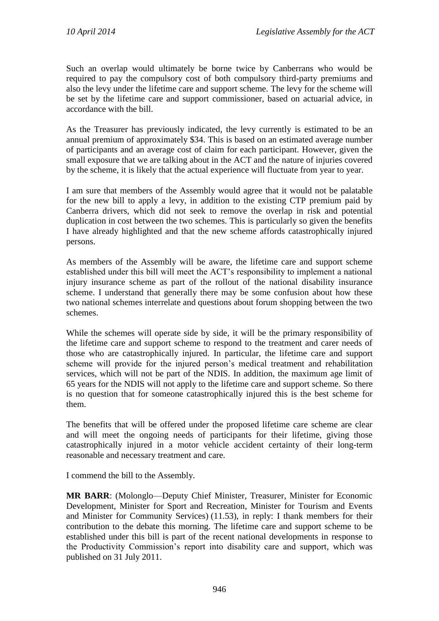Such an overlap would ultimately be borne twice by Canberrans who would be required to pay the compulsory cost of both compulsory third-party premiums and also the levy under the lifetime care and support scheme. The levy for the scheme will be set by the lifetime care and support commissioner, based on actuarial advice, in accordance with the bill.

As the Treasurer has previously indicated, the levy currently is estimated to be an annual premium of approximately \$34. This is based on an estimated average number of participants and an average cost of claim for each participant. However, given the small exposure that we are talking about in the ACT and the nature of injuries covered by the scheme, it is likely that the actual experience will fluctuate from year to year.

I am sure that members of the Assembly would agree that it would not be palatable for the new bill to apply a levy, in addition to the existing CTP premium paid by Canberra drivers, which did not seek to remove the overlap in risk and potential duplication in cost between the two schemes. This is particularly so given the benefits I have already highlighted and that the new scheme affords catastrophically injured persons.

As members of the Assembly will be aware, the lifetime care and support scheme established under this bill will meet the ACT's responsibility to implement a national injury insurance scheme as part of the rollout of the national disability insurance scheme. I understand that generally there may be some confusion about how these two national schemes interrelate and questions about forum shopping between the two schemes.

While the schemes will operate side by side, it will be the primary responsibility of the lifetime care and support scheme to respond to the treatment and carer needs of those who are catastrophically injured. In particular, the lifetime care and support scheme will provide for the injured person's medical treatment and rehabilitation services, which will not be part of the NDIS. In addition, the maximum age limit of 65 years for the NDIS will not apply to the lifetime care and support scheme. So there is no question that for someone catastrophically injured this is the best scheme for them.

The benefits that will be offered under the proposed lifetime care scheme are clear and will meet the ongoing needs of participants for their lifetime, giving those catastrophically injured in a motor vehicle accident certainty of their long-term reasonable and necessary treatment and care.

I commend the bill to the Assembly.

**MR BARR**: (Molonglo—Deputy Chief Minister, Treasurer, Minister for Economic Development, Minister for Sport and Recreation, Minister for Tourism and Events and Minister for Community Services) (11.53), in reply: I thank members for their contribution to the debate this morning. The lifetime care and support scheme to be established under this bill is part of the recent national developments in response to the Productivity Commission's report into disability care and support, which was published on 31 July 2011.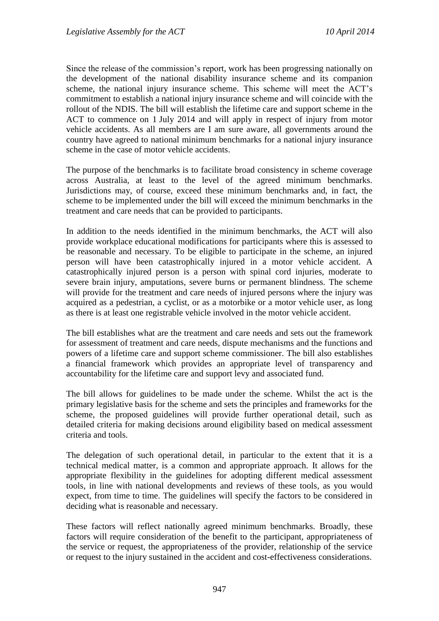Since the release of the commission's report, work has been progressing nationally on the development of the national disability insurance scheme and its companion scheme, the national injury insurance scheme. This scheme will meet the ACT's commitment to establish a national injury insurance scheme and will coincide with the rollout of the NDIS. The bill will establish the lifetime care and support scheme in the ACT to commence on 1 July 2014 and will apply in respect of injury from motor vehicle accidents. As all members are I am sure aware, all governments around the country have agreed to national minimum benchmarks for a national injury insurance scheme in the case of motor vehicle accidents.

The purpose of the benchmarks is to facilitate broad consistency in scheme coverage across Australia, at least to the level of the agreed minimum benchmarks. Jurisdictions may, of course, exceed these minimum benchmarks and, in fact, the scheme to be implemented under the bill will exceed the minimum benchmarks in the treatment and care needs that can be provided to participants.

In addition to the needs identified in the minimum benchmarks, the ACT will also provide workplace educational modifications for participants where this is assessed to be reasonable and necessary. To be eligible to participate in the scheme, an injured person will have been catastrophically injured in a motor vehicle accident. A catastrophically injured person is a person with spinal cord injuries, moderate to severe brain injury, amputations, severe burns or permanent blindness. The scheme will provide for the treatment and care needs of injured persons where the injury was acquired as a pedestrian, a cyclist, or as a motorbike or a motor vehicle user, as long as there is at least one registrable vehicle involved in the motor vehicle accident.

The bill establishes what are the treatment and care needs and sets out the framework for assessment of treatment and care needs, dispute mechanisms and the functions and powers of a lifetime care and support scheme commissioner. The bill also establishes a financial framework which provides an appropriate level of transparency and accountability for the lifetime care and support levy and associated fund.

The bill allows for guidelines to be made under the scheme. Whilst the act is the primary legislative basis for the scheme and sets the principles and frameworks for the scheme, the proposed guidelines will provide further operational detail, such as detailed criteria for making decisions around eligibility based on medical assessment criteria and tools.

The delegation of such operational detail, in particular to the extent that it is a technical medical matter, is a common and appropriate approach. It allows for the appropriate flexibility in the guidelines for adopting different medical assessment tools, in line with national developments and reviews of these tools, as you would expect, from time to time. The guidelines will specify the factors to be considered in deciding what is reasonable and necessary.

These factors will reflect nationally agreed minimum benchmarks. Broadly, these factors will require consideration of the benefit to the participant, appropriateness of the service or request, the appropriateness of the provider, relationship of the service or request to the injury sustained in the accident and cost-effectiveness considerations.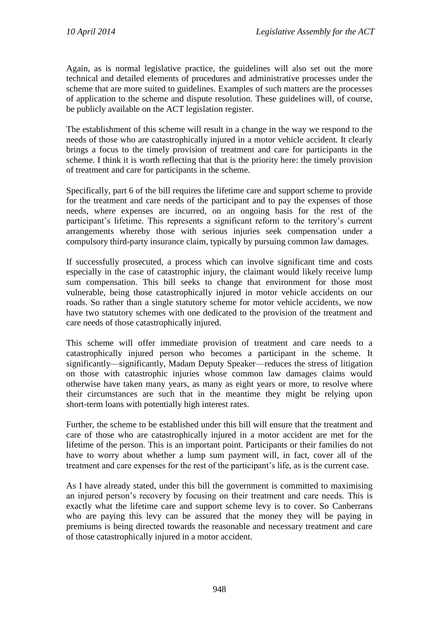Again, as is normal legislative practice, the guidelines will also set out the more technical and detailed elements of procedures and administrative processes under the scheme that are more suited to guidelines. Examples of such matters are the processes of application to the scheme and dispute resolution. These guidelines will, of course, be publicly available on the ACT legislation register.

The establishment of this scheme will result in a change in the way we respond to the needs of those who are catastrophically injured in a motor vehicle accident. It clearly brings a focus to the timely provision of treatment and care for participants in the scheme. I think it is worth reflecting that that is the priority here: the timely provision of treatment and care for participants in the scheme.

Specifically, part 6 of the bill requires the lifetime care and support scheme to provide for the treatment and care needs of the participant and to pay the expenses of those needs, where expenses are incurred, on an ongoing basis for the rest of the participant's lifetime. This represents a significant reform to the territory's current arrangements whereby those with serious injuries seek compensation under a compulsory third-party insurance claim, typically by pursuing common law damages.

If successfully prosecuted, a process which can involve significant time and costs especially in the case of catastrophic injury, the claimant would likely receive lump sum compensation. This bill seeks to change that environment for those most vulnerable, being those catastrophically injured in motor vehicle accidents on our roads. So rather than a single statutory scheme for motor vehicle accidents, we now have two statutory schemes with one dedicated to the provision of the treatment and care needs of those catastrophically injured.

This scheme will offer immediate provision of treatment and care needs to a catastrophically injured person who becomes a participant in the scheme. It significantly—significantly, Madam Deputy Speaker—reduces the stress of litigation on those with catastrophic injuries whose common law damages claims would otherwise have taken many years, as many as eight years or more, to resolve where their circumstances are such that in the meantime they might be relying upon short-term loans with potentially high interest rates.

Further, the scheme to be established under this bill will ensure that the treatment and care of those who are catastrophically injured in a motor accident are met for the lifetime of the person. This is an important point. Participants or their families do not have to worry about whether a lump sum payment will, in fact, cover all of the treatment and care expenses for the rest of the participant's life, as is the current case.

As I have already stated, under this bill the government is committed to maximising an injured person's recovery by focusing on their treatment and care needs. This is exactly what the lifetime care and support scheme levy is to cover. So Canberrans who are paying this levy can be assured that the money they will be paying in premiums is being directed towards the reasonable and necessary treatment and care of those catastrophically injured in a motor accident.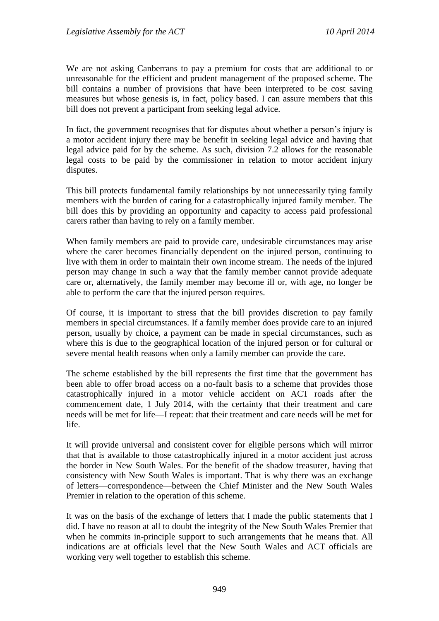We are not asking Canberrans to pay a premium for costs that are additional to or unreasonable for the efficient and prudent management of the proposed scheme. The bill contains a number of provisions that have been interpreted to be cost saving measures but whose genesis is, in fact, policy based. I can assure members that this bill does not prevent a participant from seeking legal advice.

In fact, the government recognises that for disputes about whether a person's injury is a motor accident injury there may be benefit in seeking legal advice and having that legal advice paid for by the scheme. As such, division 7.2 allows for the reasonable legal costs to be paid by the commissioner in relation to motor accident injury disputes.

This bill protects fundamental family relationships by not unnecessarily tying family members with the burden of caring for a catastrophically injured family member. The bill does this by providing an opportunity and capacity to access paid professional carers rather than having to rely on a family member.

When family members are paid to provide care, undesirable circumstances may arise where the carer becomes financially dependent on the injured person, continuing to live with them in order to maintain their own income stream. The needs of the injured person may change in such a way that the family member cannot provide adequate care or, alternatively, the family member may become ill or, with age, no longer be able to perform the care that the injured person requires.

Of course, it is important to stress that the bill provides discretion to pay family members in special circumstances. If a family member does provide care to an injured person, usually by choice, a payment can be made in special circumstances, such as where this is due to the geographical location of the injured person or for cultural or severe mental health reasons when only a family member can provide the care.

The scheme established by the bill represents the first time that the government has been able to offer broad access on a no-fault basis to a scheme that provides those catastrophically injured in a motor vehicle accident on ACT roads after the commencement date, 1 July 2014, with the certainty that their treatment and care needs will be met for life—I repeat: that their treatment and care needs will be met for life.

It will provide universal and consistent cover for eligible persons which will mirror that that is available to those catastrophically injured in a motor accident just across the border in New South Wales. For the benefit of the shadow treasurer, having that consistency with New South Wales is important. That is why there was an exchange of letters—correspondence—between the Chief Minister and the New South Wales Premier in relation to the operation of this scheme.

It was on the basis of the exchange of letters that I made the public statements that I did. I have no reason at all to doubt the integrity of the New South Wales Premier that when he commits in-principle support to such arrangements that he means that. All indications are at officials level that the New South Wales and ACT officials are working very well together to establish this scheme.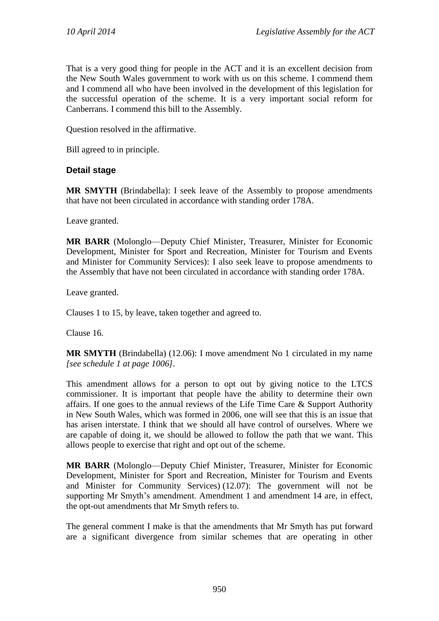That is a very good thing for people in the ACT and it is an excellent decision from the New South Wales government to work with us on this scheme. I commend them and I commend all who have been involved in the development of this legislation for the successful operation of the scheme. It is a very important social reform for Canberrans. I commend this bill to the Assembly.

Question resolved in the affirmative.

Bill agreed to in principle.

### **Detail stage**

**MR SMYTH** (Brindabella): I seek leave of the Assembly to propose amendments that have not been circulated in accordance with standing order 178A.

Leave granted.

**MR BARR** (Molonglo—Deputy Chief Minister, Treasurer, Minister for Economic Development, Minister for Sport and Recreation, Minister for Tourism and Events and Minister for Community Services): I also seek leave to propose amendments to the Assembly that have not been circulated in accordance with standing order 178A.

Leave granted.

Clauses 1 to 15, by leave, taken together and agreed to.

Clause 16.

**MR SMYTH** (Brindabella) (12.06): I move amendment No 1 circulated in my name *[see schedule 1 at page 1006]*.

This amendment allows for a person to opt out by giving notice to the LTCS commissioner. It is important that people have the ability to determine their own affairs. If one goes to the annual reviews of the Life Time Care & Support Authority in New South Wales, which was formed in 2006, one will see that this is an issue that has arisen interstate. I think that we should all have control of ourselves. Where we are capable of doing it, we should be allowed to follow the path that we want. This allows people to exercise that right and opt out of the scheme.

**MR BARR** (Molonglo—Deputy Chief Minister, Treasurer, Minister for Economic Development, Minister for Sport and Recreation, Minister for Tourism and Events and Minister for Community Services) (12.07): The government will not be supporting Mr Smyth's amendment. Amendment 1 and amendment 14 are, in effect, the opt-out amendments that Mr Smyth refers to.

The general comment I make is that the amendments that Mr Smyth has put forward are a significant divergence from similar schemes that are operating in other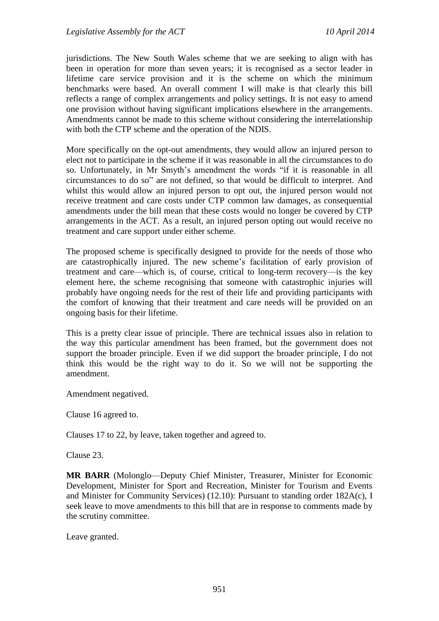jurisdictions. The New South Wales scheme that we are seeking to align with has been in operation for more than seven years; it is recognised as a sector leader in lifetime care service provision and it is the scheme on which the minimum benchmarks were based. An overall comment I will make is that clearly this bill reflects a range of complex arrangements and policy settings. It is not easy to amend one provision without having significant implications elsewhere in the arrangements. Amendments cannot be made to this scheme without considering the interrelationship with both the CTP scheme and the operation of the NDIS.

More specifically on the opt-out amendments, they would allow an injured person to elect not to participate in the scheme if it was reasonable in all the circumstances to do so. Unfortunately, in Mr Smyth's amendment the words "if it is reasonable in all circumstances to do so" are not defined, so that would be difficult to interpret. And whilst this would allow an injured person to opt out, the injured person would not receive treatment and care costs under CTP common law damages, as consequential amendments under the bill mean that these costs would no longer be covered by CTP arrangements in the ACT. As a result, an injured person opting out would receive no treatment and care support under either scheme.

The proposed scheme is specifically designed to provide for the needs of those who are catastrophically injured. The new scheme's facilitation of early provision of treatment and care—which is, of course, critical to long-term recovery—is the key element here, the scheme recognising that someone with catastrophic injuries will probably have ongoing needs for the rest of their life and providing participants with the comfort of knowing that their treatment and care needs will be provided on an ongoing basis for their lifetime.

This is a pretty clear issue of principle. There are technical issues also in relation to the way this particular amendment has been framed, but the government does not support the broader principle. Even if we did support the broader principle, I do not think this would be the right way to do it. So we will not be supporting the amendment.

Amendment negatived.

Clause 16 agreed to.

Clauses 17 to 22, by leave, taken together and agreed to.

Clause 23.

**MR BARR** (Molonglo—Deputy Chief Minister, Treasurer, Minister for Economic Development, Minister for Sport and Recreation, Minister for Tourism and Events and Minister for Community Services) (12.10): Pursuant to standing order 182A(c), I seek leave to move amendments to this bill that are in response to comments made by the scrutiny committee.

Leave granted.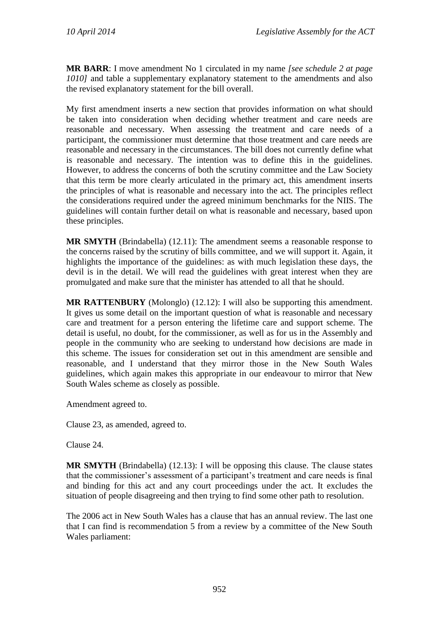**MR BARR**: I move amendment No 1 circulated in my name *[see schedule 2 at page 1010]* and table a supplementary explanatory statement to the amendments and also the revised explanatory statement for the bill overall.

My first amendment inserts a new section that provides information on what should be taken into consideration when deciding whether treatment and care needs are reasonable and necessary. When assessing the treatment and care needs of a participant, the commissioner must determine that those treatment and care needs are reasonable and necessary in the circumstances. The bill does not currently define what is reasonable and necessary. The intention was to define this in the guidelines. However, to address the concerns of both the scrutiny committee and the Law Society that this term be more clearly articulated in the primary act, this amendment inserts the principles of what is reasonable and necessary into the act. The principles reflect the considerations required under the agreed minimum benchmarks for the NIIS. The guidelines will contain further detail on what is reasonable and necessary, based upon these principles.

**MR SMYTH** (Brindabella) (12.11): The amendment seems a reasonable response to the concerns raised by the scrutiny of bills committee, and we will support it. Again, it highlights the importance of the guidelines: as with much legislation these days, the devil is in the detail. We will read the guidelines with great interest when they are promulgated and make sure that the minister has attended to all that he should.

**MR RATTENBURY** (Molonglo) (12.12): I will also be supporting this amendment. It gives us some detail on the important question of what is reasonable and necessary care and treatment for a person entering the lifetime care and support scheme. The detail is useful, no doubt, for the commissioner, as well as for us in the Assembly and people in the community who are seeking to understand how decisions are made in this scheme. The issues for consideration set out in this amendment are sensible and reasonable, and I understand that they mirror those in the New South Wales guidelines, which again makes this appropriate in our endeavour to mirror that New South Wales scheme as closely as possible.

Amendment agreed to.

Clause 23, as amended, agreed to.

Clause 24.

**MR SMYTH** (Brindabella) (12.13): I will be opposing this clause. The clause states that the commissioner's assessment of a participant's treatment and care needs is final and binding for this act and any court proceedings under the act. It excludes the situation of people disagreeing and then trying to find some other path to resolution.

The 2006 act in New South Wales has a clause that has an annual review. The last one that I can find is recommendation 5 from a review by a committee of the New South Wales parliament: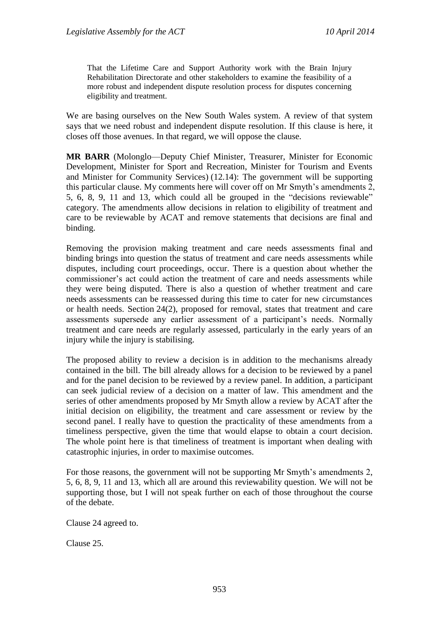That the Lifetime Care and Support Authority work with the Brain Injury Rehabilitation Directorate and other stakeholders to examine the feasibility of a more robust and independent dispute resolution process for disputes concerning eligibility and treatment.

We are basing ourselves on the New South Wales system. A review of that system says that we need robust and independent dispute resolution. If this clause is here, it closes off those avenues. In that regard, we will oppose the clause.

**MR BARR** (Molonglo—Deputy Chief Minister, Treasurer, Minister for Economic Development, Minister for Sport and Recreation, Minister for Tourism and Events and Minister for Community Services) (12.14): The government will be supporting this particular clause. My comments here will cover off on Mr Smyth's amendments 2, 5, 6, 8, 9, 11 and 13, which could all be grouped in the "decisions reviewable" category. The amendments allow decisions in relation to eligibility of treatment and care to be reviewable by ACAT and remove statements that decisions are final and binding.

Removing the provision making treatment and care needs assessments final and binding brings into question the status of treatment and care needs assessments while disputes, including court proceedings, occur. There is a question about whether the commissioner's act could action the treatment of care and needs assessments while they were being disputed. There is also a question of whether treatment and care needs assessments can be reassessed during this time to cater for new circumstances or health needs. Section 24(2), proposed for removal, states that treatment and care assessments supersede any earlier assessment of a participant's needs. Normally treatment and care needs are regularly assessed, particularly in the early years of an injury while the injury is stabilising.

The proposed ability to review a decision is in addition to the mechanisms already contained in the bill. The bill already allows for a decision to be reviewed by a panel and for the panel decision to be reviewed by a review panel. In addition, a participant can seek judicial review of a decision on a matter of law. This amendment and the series of other amendments proposed by Mr Smyth allow a review by ACAT after the initial decision on eligibility, the treatment and care assessment or review by the second panel. I really have to question the practicality of these amendments from a timeliness perspective, given the time that would elapse to obtain a court decision. The whole point here is that timeliness of treatment is important when dealing with catastrophic injuries, in order to maximise outcomes.

For those reasons, the government will not be supporting Mr Smyth's amendments 2, 5, 6, 8, 9, 11 and 13, which all are around this reviewability question. We will not be supporting those, but I will not speak further on each of those throughout the course of the debate.

Clause 24 agreed to.

Clause 25.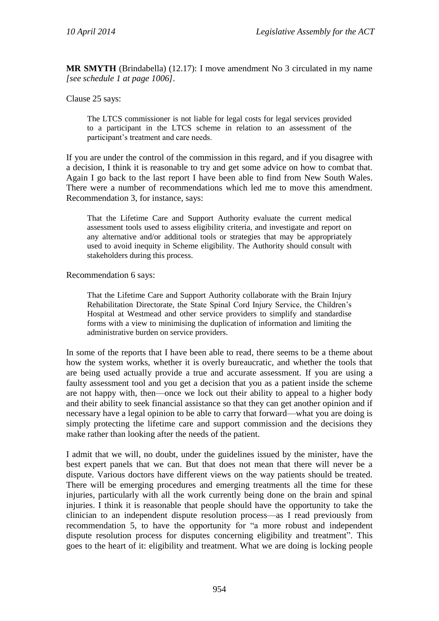**MR SMYTH** (Brindabella) (12.17): I move amendment No 3 circulated in my name *[see schedule 1 at page 1006]*.

Clause 25 says:

The LTCS commissioner is not liable for legal costs for legal services provided to a participant in the LTCS scheme in relation to an assessment of the participant's treatment and care needs.

If you are under the control of the commission in this regard, and if you disagree with a decision, I think it is reasonable to try and get some advice on how to combat that. Again I go back to the last report I have been able to find from New South Wales. There were a number of recommendations which led me to move this amendment. Recommendation 3, for instance, says:

That the Lifetime Care and Support Authority evaluate the current medical assessment tools used to assess eligibility criteria, and investigate and report on any alternative and/or additional tools or strategies that may be appropriately used to avoid inequity in Scheme eligibility. The Authority should consult with stakeholders during this process.

Recommendation 6 says:

That the Lifetime Care and Support Authority collaborate with the Brain Injury Rehabilitation Directorate, the State Spinal Cord Injury Service, the Children's Hospital at Westmead and other service providers to simplify and standardise forms with a view to minimising the duplication of information and limiting the administrative burden on service providers.

In some of the reports that I have been able to read, there seems to be a theme about how the system works, whether it is overly bureaucratic, and whether the tools that are being used actually provide a true and accurate assessment. If you are using a faulty assessment tool and you get a decision that you as a patient inside the scheme are not happy with, then—once we lock out their ability to appeal to a higher body and their ability to seek financial assistance so that they can get another opinion and if necessary have a legal opinion to be able to carry that forward—what you are doing is simply protecting the lifetime care and support commission and the decisions they make rather than looking after the needs of the patient.

I admit that we will, no doubt, under the guidelines issued by the minister, have the best expert panels that we can. But that does not mean that there will never be a dispute. Various doctors have different views on the way patients should be treated. There will be emerging procedures and emerging treatments all the time for these injuries, particularly with all the work currently being done on the brain and spinal injuries. I think it is reasonable that people should have the opportunity to take the clinician to an independent dispute resolution process—as I read previously from recommendation 5, to have the opportunity for "a more robust and independent dispute resolution process for disputes concerning eligibility and treatment". This goes to the heart of it: eligibility and treatment. What we are doing is locking people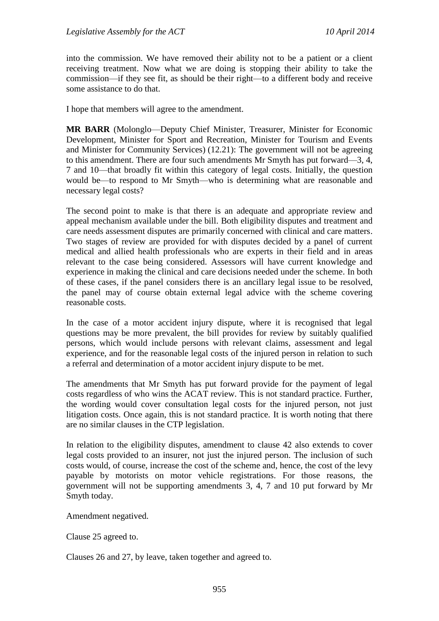into the commission. We have removed their ability not to be a patient or a client receiving treatment. Now what we are doing is stopping their ability to take the commission—if they see fit, as should be their right—to a different body and receive some assistance to do that.

I hope that members will agree to the amendment.

**MR BARR** (Molonglo—Deputy Chief Minister, Treasurer, Minister for Economic Development, Minister for Sport and Recreation, Minister for Tourism and Events and Minister for Community Services) (12.21): The government will not be agreeing to this amendment. There are four such amendments Mr Smyth has put forward—3, 4, 7 and 10—that broadly fit within this category of legal costs. Initially, the question would be—to respond to Mr Smyth—who is determining what are reasonable and necessary legal costs?

The second point to make is that there is an adequate and appropriate review and appeal mechanism available under the bill. Both eligibility disputes and treatment and care needs assessment disputes are primarily concerned with clinical and care matters. Two stages of review are provided for with disputes decided by a panel of current medical and allied health professionals who are experts in their field and in areas relevant to the case being considered. Assessors will have current knowledge and experience in making the clinical and care decisions needed under the scheme. In both of these cases, if the panel considers there is an ancillary legal issue to be resolved, the panel may of course obtain external legal advice with the scheme covering reasonable costs.

In the case of a motor accident injury dispute, where it is recognised that legal questions may be more prevalent, the bill provides for review by suitably qualified persons, which would include persons with relevant claims, assessment and legal experience, and for the reasonable legal costs of the injured person in relation to such a referral and determination of a motor accident injury dispute to be met.

The amendments that Mr Smyth has put forward provide for the payment of legal costs regardless of who wins the ACAT review. This is not standard practice. Further, the wording would cover consultation legal costs for the injured person, not just litigation costs. Once again, this is not standard practice. It is worth noting that there are no similar clauses in the CTP legislation.

In relation to the eligibility disputes, amendment to clause 42 also extends to cover legal costs provided to an insurer, not just the injured person. The inclusion of such costs would, of course, increase the cost of the scheme and, hence, the cost of the levy payable by motorists on motor vehicle registrations. For those reasons, the government will not be supporting amendments 3, 4, 7 and 10 put forward by Mr Smyth today.

Amendment negatived.

Clause 25 agreed to.

Clauses 26 and 27, by leave, taken together and agreed to.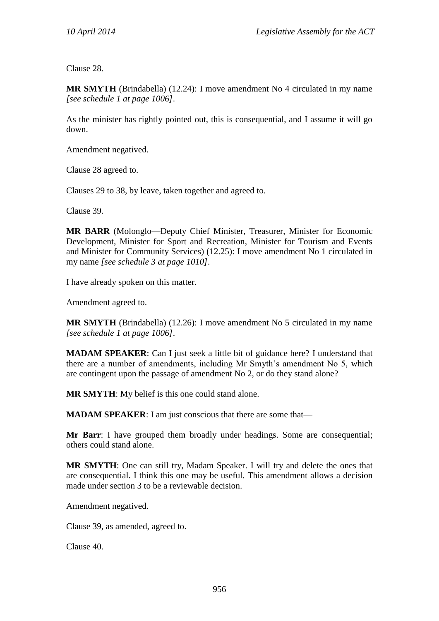Clause 28.

**MR SMYTH** (Brindabella) (12.24): I move amendment No 4 circulated in my name *[see schedule 1 at page 1006]*.

As the minister has rightly pointed out, this is consequential, and I assume it will go down.

Amendment negatived.

Clause 28 agreed to.

Clauses 29 to 38, by leave, taken together and agreed to.

Clause 39.

**MR BARR** (Molonglo—Deputy Chief Minister, Treasurer, Minister for Economic Development, Minister for Sport and Recreation, Minister for Tourism and Events and Minister for Community Services) (12.25): I move amendment No 1 circulated in my name *[see schedule 3 at page 1010]*.

I have already spoken on this matter.

Amendment agreed to.

**MR SMYTH** (Brindabella) (12.26): I move amendment No 5 circulated in my name *[see schedule 1 at page 1006]*.

**MADAM SPEAKER:** Can I just seek a little bit of guidance here? I understand that there are a number of amendments, including Mr Smyth's amendment No 5, which are contingent upon the passage of amendment No 2, or do they stand alone?

**MR SMYTH**: My belief is this one could stand alone.

**MADAM SPEAKER:** I am just conscious that there are some that—

**Mr Barr**: I have grouped them broadly under headings. Some are consequential; others could stand alone.

**MR SMYTH**: One can still try, Madam Speaker. I will try and delete the ones that are consequential. I think this one may be useful. This amendment allows a decision made under section 3 to be a reviewable decision.

Amendment negatived.

Clause 39, as amended, agreed to.

Clause 40.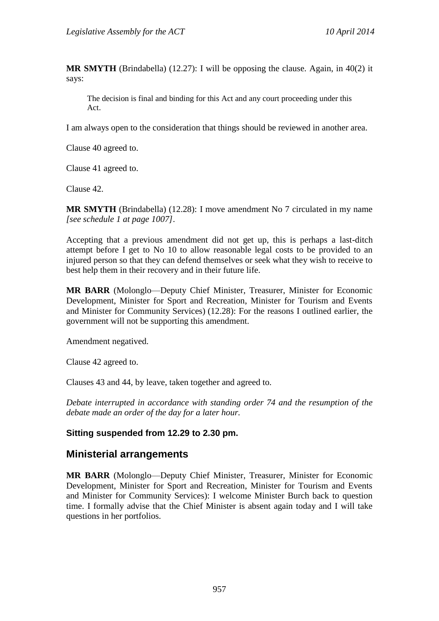**MR SMYTH** (Brindabella) (12.27): I will be opposing the clause. Again, in 40(2) it says:

The decision is final and binding for this Act and any court proceeding under this Act.

I am always open to the consideration that things should be reviewed in another area.

Clause 40 agreed to.

Clause 41 agreed to.

Clause 42.

**MR SMYTH** (Brindabella) (12.28): I move amendment No 7 circulated in my name *[see schedule 1 at page 1007]*.

Accepting that a previous amendment did not get up, this is perhaps a last-ditch attempt before I get to No 10 to allow reasonable legal costs to be provided to an injured person so that they can defend themselves or seek what they wish to receive to best help them in their recovery and in their future life.

**MR BARR** (Molonglo—Deputy Chief Minister, Treasurer, Minister for Economic Development, Minister for Sport and Recreation, Minister for Tourism and Events and Minister for Community Services) (12.28): For the reasons I outlined earlier, the government will not be supporting this amendment.

Amendment negatived.

Clause 42 agreed to.

Clauses 43 and 44, by leave, taken together and agreed to.

*Debate interrupted in accordance with standing order 74 and the resumption of the debate made an order of the day for a later hour.*

## **Sitting suspended from 12.29 to 2.30 pm.**

## **Ministerial arrangements**

**MR BARR** (Molonglo—Deputy Chief Minister, Treasurer, Minister for Economic Development, Minister for Sport and Recreation, Minister for Tourism and Events and Minister for Community Services): I welcome Minister Burch back to question time. I formally advise that the Chief Minister is absent again today and I will take questions in her portfolios.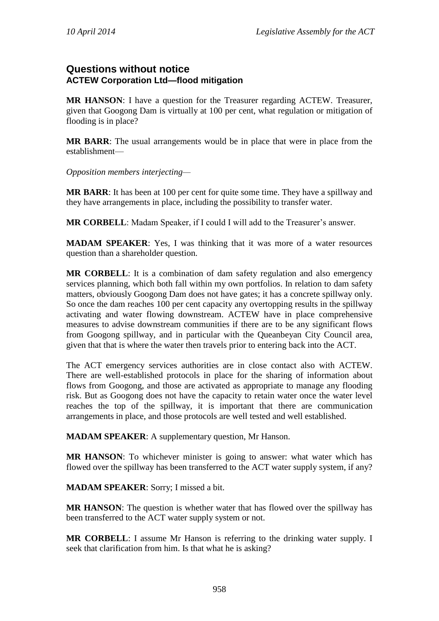# **Questions without notice ACTEW Corporation Ltd—flood mitigation**

**MR HANSON**: I have a question for the Treasurer regarding ACTEW. Treasurer, given that Googong Dam is virtually at 100 per cent, what regulation or mitigation of flooding is in place?

**MR BARR**: The usual arrangements would be in place that were in place from the establishment—

*Opposition members interjecting—*

**MR BARR**: It has been at 100 per cent for quite some time. They have a spillway and they have arrangements in place, including the possibility to transfer water.

**MR CORBELL**: Madam Speaker, if I could I will add to the Treasurer's answer.

**MADAM SPEAKER**: Yes, I was thinking that it was more of a water resources question than a shareholder question.

**MR CORBELL**: It is a combination of dam safety regulation and also emergency services planning, which both fall within my own portfolios. In relation to dam safety matters, obviously Googong Dam does not have gates; it has a concrete spillway only. So once the dam reaches 100 per cent capacity any overtopping results in the spillway activating and water flowing downstream. ACTEW have in place comprehensive measures to advise downstream communities if there are to be any significant flows from Googong spillway, and in particular with the Queanbeyan City Council area, given that that is where the water then travels prior to entering back into the ACT.

The ACT emergency services authorities are in close contact also with ACTEW. There are well-established protocols in place for the sharing of information about flows from Googong, and those are activated as appropriate to manage any flooding risk. But as Googong does not have the capacity to retain water once the water level reaches the top of the spillway, it is important that there are communication arrangements in place, and those protocols are well tested and well established.

**MADAM SPEAKER**: A supplementary question, Mr Hanson.

**MR HANSON**: To whichever minister is going to answer: what water which has flowed over the spillway has been transferred to the ACT water supply system, if any?

**MADAM SPEAKER**: Sorry; I missed a bit.

**MR HANSON**: The question is whether water that has flowed over the spillway has been transferred to the ACT water supply system or not.

**MR CORBELL**: I assume Mr Hanson is referring to the drinking water supply. I seek that clarification from him. Is that what he is asking?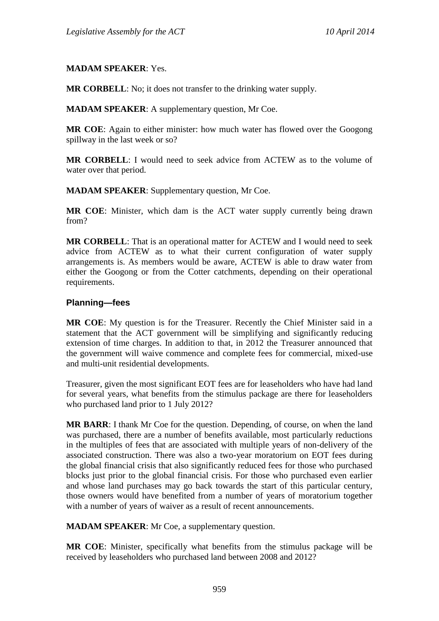### **MADAM SPEAKER**: Yes.

**MR CORBELL**: No; it does not transfer to the drinking water supply.

**MADAM SPEAKER**: A supplementary question, Mr Coe.

**MR COE**: Again to either minister: how much water has flowed over the Googong spillway in the last week or so?

**MR CORBELL**: I would need to seek advice from ACTEW as to the volume of water over that period.

**MADAM SPEAKER**: Supplementary question, Mr Coe.

**MR COE**: Minister, which dam is the ACT water supply currently being drawn from?

**MR CORBELL**: That is an operational matter for ACTEW and I would need to seek advice from ACTEW as to what their current configuration of water supply arrangements is. As members would be aware, ACTEW is able to draw water from either the Googong or from the Cotter catchments, depending on their operational requirements.

### **Planning—fees**

**MR COE**: My question is for the Treasurer. Recently the Chief Minister said in a statement that the ACT government will be simplifying and significantly reducing extension of time charges. In addition to that, in 2012 the Treasurer announced that the government will waive commence and complete fees for commercial, mixed-use and multi-unit residential developments.

Treasurer, given the most significant EOT fees are for leaseholders who have had land for several years, what benefits from the stimulus package are there for leaseholders who purchased land prior to 1 July 2012?

**MR BARR**: I thank Mr Coe for the question. Depending, of course, on when the land was purchased, there are a number of benefits available, most particularly reductions in the multiples of fees that are associated with multiple years of non-delivery of the associated construction. There was also a two-year moratorium on EOT fees during the global financial crisis that also significantly reduced fees for those who purchased blocks just prior to the global financial crisis. For those who purchased even earlier and whose land purchases may go back towards the start of this particular century, those owners would have benefited from a number of years of moratorium together with a number of years of waiver as a result of recent announcements.

**MADAM SPEAKER**: Mr Coe, a supplementary question.

**MR COE**: Minister, specifically what benefits from the stimulus package will be received by leaseholders who purchased land between 2008 and 2012?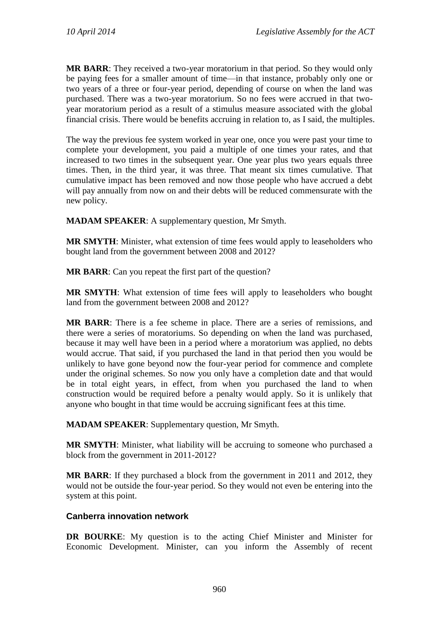**MR BARR**: They received a two-year moratorium in that period. So they would only be paying fees for a smaller amount of time—in that instance, probably only one or two years of a three or four-year period, depending of course on when the land was purchased. There was a two-year moratorium. So no fees were accrued in that twoyear moratorium period as a result of a stimulus measure associated with the global financial crisis. There would be benefits accruing in relation to, as I said, the multiples.

The way the previous fee system worked in year one, once you were past your time to complete your development, you paid a multiple of one times your rates, and that increased to two times in the subsequent year. One year plus two years equals three times. Then, in the third year, it was three. That meant six times cumulative. That cumulative impact has been removed and now those people who have accrued a debt will pay annually from now on and their debts will be reduced commensurate with the new policy.

**MADAM SPEAKER**: A supplementary question, Mr Smyth.

**MR SMYTH**: Minister, what extension of time fees would apply to leaseholders who bought land from the government between 2008 and 2012?

**MR BARR**: Can you repeat the first part of the question?

**MR SMYTH**: What extension of time fees will apply to leaseholders who bought land from the government between 2008 and 2012?

**MR BARR**: There is a fee scheme in place. There are a series of remissions, and there were a series of moratoriums. So depending on when the land was purchased, because it may well have been in a period where a moratorium was applied, no debts would accrue. That said, if you purchased the land in that period then you would be unlikely to have gone beyond now the four-year period for commence and complete under the original schemes. So now you only have a completion date and that would be in total eight years, in effect, from when you purchased the land to when construction would be required before a penalty would apply. So it is unlikely that anyone who bought in that time would be accruing significant fees at this time.

**MADAM SPEAKER**: Supplementary question, Mr Smyth.

**MR SMYTH**: Minister, what liability will be accruing to someone who purchased a block from the government in 2011-2012?

**MR BARR**: If they purchased a block from the government in 2011 and 2012, they would not be outside the four-year period. So they would not even be entering into the system at this point.

### **Canberra innovation network**

**DR BOURKE**: My question is to the acting Chief Minister and Minister for Economic Development. Minister, can you inform the Assembly of recent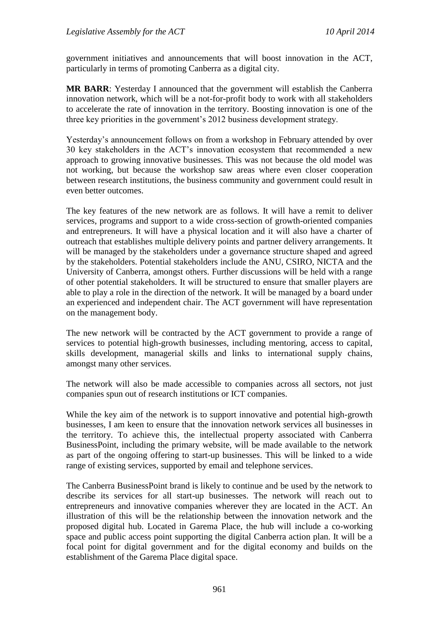government initiatives and announcements that will boost innovation in the ACT, particularly in terms of promoting Canberra as a digital city.

**MR BARR**: Yesterday I announced that the government will establish the Canberra innovation network, which will be a not-for-profit body to work with all stakeholders to accelerate the rate of innovation in the territory. Boosting innovation is one of the three key priorities in the government's 2012 business development strategy.

Yesterday's announcement follows on from a workshop in February attended by over 30 key stakeholders in the ACT's innovation ecosystem that recommended a new approach to growing innovative businesses. This was not because the old model was not working, but because the workshop saw areas where even closer cooperation between research institutions, the business community and government could result in even better outcomes.

The key features of the new network are as follows. It will have a remit to deliver services, programs and support to a wide cross-section of growth-oriented companies and entrepreneurs. It will have a physical location and it will also have a charter of outreach that establishes multiple delivery points and partner delivery arrangements. It will be managed by the stakeholders under a governance structure shaped and agreed by the stakeholders. Potential stakeholders include the ANU, CSIRO, NICTA and the University of Canberra, amongst others. Further discussions will be held with a range of other potential stakeholders. It will be structured to ensure that smaller players are able to play a role in the direction of the network. It will be managed by a board under an experienced and independent chair. The ACT government will have representation on the management body.

The new network will be contracted by the ACT government to provide a range of services to potential high-growth businesses, including mentoring, access to capital, skills development, managerial skills and links to international supply chains, amongst many other services.

The network will also be made accessible to companies across all sectors, not just companies spun out of research institutions or ICT companies.

While the key aim of the network is to support innovative and potential high-growth businesses, I am keen to ensure that the innovation network services all businesses in the territory. To achieve this, the intellectual property associated with Canberra BusinessPoint, including the primary website, will be made available to the network as part of the ongoing offering to start-up businesses. This will be linked to a wide range of existing services, supported by email and telephone services.

The Canberra BusinessPoint brand is likely to continue and be used by the network to describe its services for all start-up businesses. The network will reach out to entrepreneurs and innovative companies wherever they are located in the ACT. An illustration of this will be the relationship between the innovation network and the proposed digital hub. Located in Garema Place, the hub will include a co-working space and public access point supporting the digital Canberra action plan. It will be a focal point for digital government and for the digital economy and builds on the establishment of the Garema Place digital space.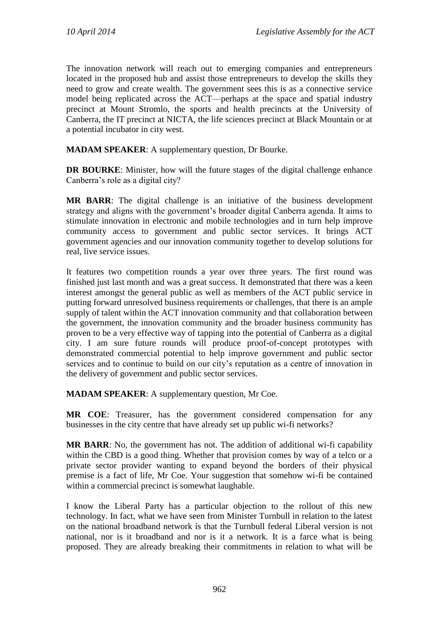The innovation network will reach out to emerging companies and entrepreneurs located in the proposed hub and assist those entrepreneurs to develop the skills they need to grow and create wealth. The government sees this is as a connective service model being replicated across the ACT—perhaps at the space and spatial industry precinct at Mount Stromlo, the sports and health precincts at the University of Canberra, the IT precinct at NICTA, the life sciences precinct at Black Mountain or at a potential incubator in city west.

**MADAM SPEAKER**: A supplementary question, Dr Bourke.

**DR BOURKE:** Minister, how will the future stages of the digital challenge enhance Canberra's role as a digital city?

**MR BARR**: The digital challenge is an initiative of the business development strategy and aligns with the government's broader digital Canberra agenda. It aims to stimulate innovation in electronic and mobile technologies and in turn help improve community access to government and public sector services. It brings ACT government agencies and our innovation community together to develop solutions for real, live service issues.

It features two competition rounds a year over three years. The first round was finished just last month and was a great success. It demonstrated that there was a keen interest amongst the general public as well as members of the ACT public service in putting forward unresolved business requirements or challenges, that there is an ample supply of talent within the ACT innovation community and that collaboration between the government, the innovation community and the broader business community has proven to be a very effective way of tapping into the potential of Canberra as a digital city. I am sure future rounds will produce proof-of-concept prototypes with demonstrated commercial potential to help improve government and public sector services and to continue to build on our city's reputation as a centre of innovation in the delivery of government and public sector services.

**MADAM SPEAKER**: A supplementary question, Mr Coe.

**MR COE**: Treasurer, has the government considered compensation for any businesses in the city centre that have already set up public wi-fi networks?

**MR BARR**: No, the government has not. The addition of additional wi-fi capability within the CBD is a good thing. Whether that provision comes by way of a telco or a private sector provider wanting to expand beyond the borders of their physical premise is a fact of life, Mr Coe. Your suggestion that somehow wi-fi be contained within a commercial precinct is somewhat laughable.

I know the Liberal Party has a particular objection to the rollout of this new technology. In fact, what we have seen from Minister Turnbull in relation to the latest on the national broadband network is that the Turnbull federal Liberal version is not national, nor is it broadband and nor is it a network. It is a farce what is being proposed. They are already breaking their commitments in relation to what will be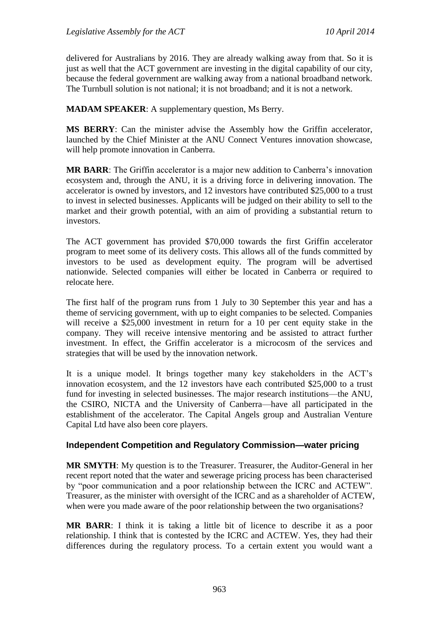delivered for Australians by 2016. They are already walking away from that. So it is just as well that the ACT government are investing in the digital capability of our city, because the federal government are walking away from a national broadband network. The Turnbull solution is not national; it is not broadband; and it is not a network.

**MADAM SPEAKER**: A supplementary question, Ms Berry.

**MS BERRY**: Can the minister advise the Assembly how the Griffin accelerator, launched by the Chief Minister at the ANU Connect Ventures innovation showcase, will help promote innovation in Canberra.

**MR BARR**: The Griffin accelerator is a major new addition to Canberra's innovation ecosystem and, through the ANU, it is a driving force in delivering innovation. The accelerator is owned by investors, and 12 investors have contributed \$25,000 to a trust to invest in selected businesses. Applicants will be judged on their ability to sell to the market and their growth potential, with an aim of providing a substantial return to investors.

The ACT government has provided \$70,000 towards the first Griffin accelerator program to meet some of its delivery costs. This allows all of the funds committed by investors to be used as development equity. The program will be advertised nationwide. Selected companies will either be located in Canberra or required to relocate here.

The first half of the program runs from 1 July to 30 September this year and has a theme of servicing government, with up to eight companies to be selected. Companies will receive a \$25,000 investment in return for a 10 per cent equity stake in the company. They will receive intensive mentoring and be assisted to attract further investment. In effect, the Griffin accelerator is a microcosm of the services and strategies that will be used by the innovation network.

It is a unique model. It brings together many key stakeholders in the ACT's innovation ecosystem, and the 12 investors have each contributed \$25,000 to a trust fund for investing in selected businesses. The major research institutions—the ANU, the CSIRO, NICTA and the University of Canberra—have all participated in the establishment of the accelerator. The Capital Angels group and Australian Venture Capital Ltd have also been core players.

### **Independent Competition and Regulatory Commission—water pricing**

**MR SMYTH**: My question is to the Treasurer. Treasurer, the Auditor-General in her recent report noted that the water and sewerage pricing process has been characterised by "poor communication and a poor relationship between the ICRC and ACTEW". Treasurer, as the minister with oversight of the ICRC and as a shareholder of ACTEW, when were you made aware of the poor relationship between the two organisations?

**MR BARR**: I think it is taking a little bit of licence to describe it as a poor relationship. I think that is contested by the ICRC and ACTEW. Yes, they had their differences during the regulatory process. To a certain extent you would want a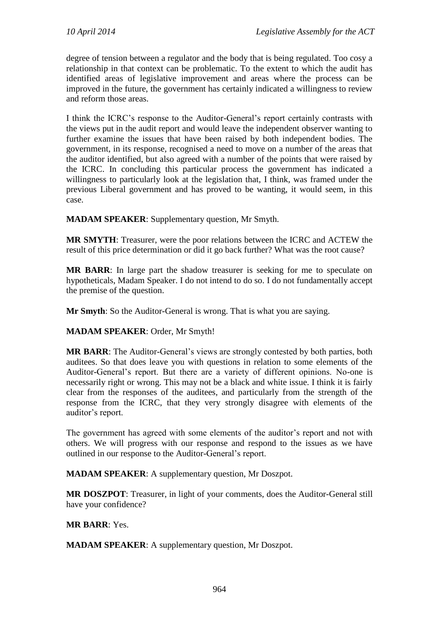degree of tension between a regulator and the body that is being regulated. Too cosy a relationship in that context can be problematic. To the extent to which the audit has identified areas of legislative improvement and areas where the process can be improved in the future, the government has certainly indicated a willingness to review and reform those areas.

I think the ICRC's response to the Auditor-General's report certainly contrasts with the views put in the audit report and would leave the independent observer wanting to further examine the issues that have been raised by both independent bodies. The government, in its response, recognised a need to move on a number of the areas that the auditor identified, but also agreed with a number of the points that were raised by the ICRC. In concluding this particular process the government has indicated a willingness to particularly look at the legislation that, I think, was framed under the previous Liberal government and has proved to be wanting, it would seem, in this case.

**MADAM SPEAKER**: Supplementary question, Mr Smyth.

**MR SMYTH**: Treasurer, were the poor relations between the ICRC and ACTEW the result of this price determination or did it go back further? What was the root cause?

**MR BARR**: In large part the shadow treasurer is seeking for me to speculate on hypotheticals, Madam Speaker. I do not intend to do so. I do not fundamentally accept the premise of the question.

**Mr Smyth**: So the Auditor-General is wrong. That is what you are saying.

### **MADAM SPEAKER**: Order, Mr Smyth!

**MR BARR**: The Auditor-General's views are strongly contested by both parties, both auditees. So that does leave you with questions in relation to some elements of the Auditor-General's report. But there are a variety of different opinions. No-one is necessarily right or wrong. This may not be a black and white issue. I think it is fairly clear from the responses of the auditees, and particularly from the strength of the response from the ICRC, that they very strongly disagree with elements of the auditor's report.

The government has agreed with some elements of the auditor's report and not with others. We will progress with our response and respond to the issues as we have outlined in our response to the Auditor-General's report.

**MADAM SPEAKER**: A supplementary question, Mr Doszpot.

**MR DOSZPOT**: Treasurer, in light of your comments, does the Auditor-General still have your confidence?

#### **MR BARR**: Yes.

**MADAM SPEAKER**: A supplementary question, Mr Doszpot.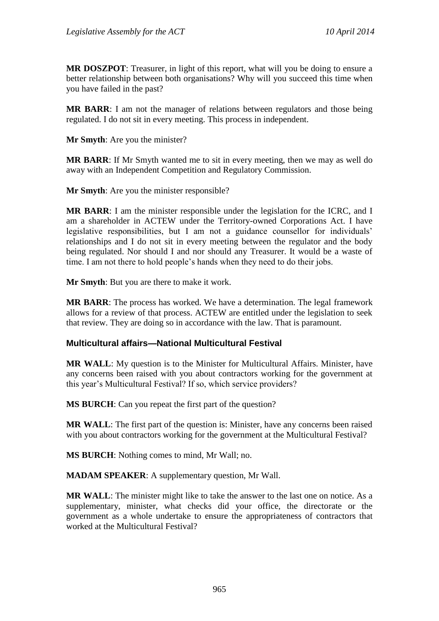**MR DOSZPOT**: Treasurer, in light of this report, what will you be doing to ensure a better relationship between both organisations? Why will you succeed this time when you have failed in the past?

**MR BARR**: I am not the manager of relations between regulators and those being regulated. I do not sit in every meeting. This process in independent.

**Mr Smyth**: Are you the minister?

**MR BARR**: If Mr Smyth wanted me to sit in every meeting, then we may as well do away with an Independent Competition and Regulatory Commission.

**Mr Smyth**: Are you the minister responsible?

**MR BARR**: I am the minister responsible under the legislation for the ICRC, and I am a shareholder in ACTEW under the Territory-owned Corporations Act. I have legislative responsibilities, but I am not a guidance counsellor for individuals' relationships and I do not sit in every meeting between the regulator and the body being regulated. Nor should I and nor should any Treasurer. It would be a waste of time. I am not there to hold people's hands when they need to do their jobs.

**Mr Smyth**: But you are there to make it work.

**MR BARR**: The process has worked. We have a determination. The legal framework allows for a review of that process. ACTEW are entitled under the legislation to seek that review. They are doing so in accordance with the law. That is paramount.

#### **Multicultural affairs—National Multicultural Festival**

**MR WALL**: My question is to the Minister for Multicultural Affairs. Minister, have any concerns been raised with you about contractors working for the government at this year's Multicultural Festival? If so, which service providers?

**MS BURCH**: Can you repeat the first part of the question?

**MR WALL**: The first part of the question is: Minister, have any concerns been raised with you about contractors working for the government at the Multicultural Festival?

**MS BURCH**: Nothing comes to mind, Mr Wall; no.

**MADAM SPEAKER**: A supplementary question, Mr Wall.

**MR WALL**: The minister might like to take the answer to the last one on notice. As a supplementary, minister, what checks did your office, the directorate or the government as a whole undertake to ensure the appropriateness of contractors that worked at the Multicultural Festival?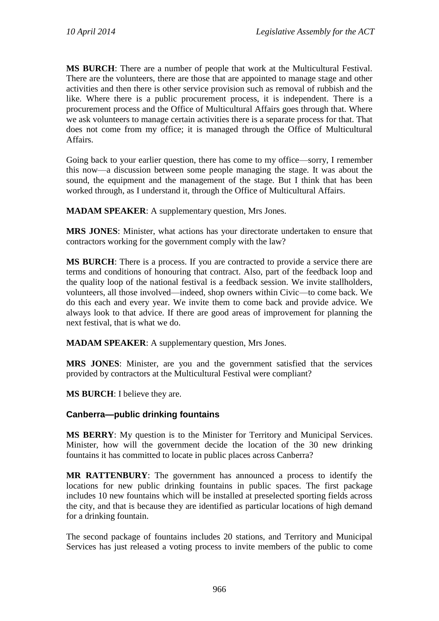**MS BURCH**: There are a number of people that work at the Multicultural Festival. There are the volunteers, there are those that are appointed to manage stage and other activities and then there is other service provision such as removal of rubbish and the like. Where there is a public procurement process, it is independent. There is a procurement process and the Office of Multicultural Affairs goes through that. Where we ask volunteers to manage certain activities there is a separate process for that. That does not come from my office; it is managed through the Office of Multicultural Affairs.

Going back to your earlier question, there has come to my office—sorry, I remember this now—a discussion between some people managing the stage. It was about the sound, the equipment and the management of the stage. But I think that has been worked through, as I understand it, through the Office of Multicultural Affairs.

**MADAM SPEAKER**: A supplementary question, Mrs Jones.

**MRS JONES**: Minister, what actions has your directorate undertaken to ensure that contractors working for the government comply with the law?

**MS BURCH**: There is a process. If you are contracted to provide a service there are terms and conditions of honouring that contract. Also, part of the feedback loop and the quality loop of the national festival is a feedback session. We invite stallholders, volunteers, all those involved—indeed, shop owners within Civic—to come back. We do this each and every year. We invite them to come back and provide advice. We always look to that advice. If there are good areas of improvement for planning the next festival, that is what we do.

**MADAM SPEAKER**: A supplementary question, Mrs Jones.

**MRS JONES**: Minister, are you and the government satisfied that the services provided by contractors at the Multicultural Festival were compliant?

**MS BURCH**: I believe they are.

### **Canberra—public drinking fountains**

**MS BERRY**: My question is to the Minister for Territory and Municipal Services. Minister, how will the government decide the location of the 30 new drinking fountains it has committed to locate in public places across Canberra?

**MR RATTENBURY**: The government has announced a process to identify the locations for new public drinking fountains in public spaces. The first package includes 10 new fountains which will be installed at preselected sporting fields across the city, and that is because they are identified as particular locations of high demand for a drinking fountain.

The second package of fountains includes 20 stations, and Territory and Municipal Services has just released a voting process to invite members of the public to come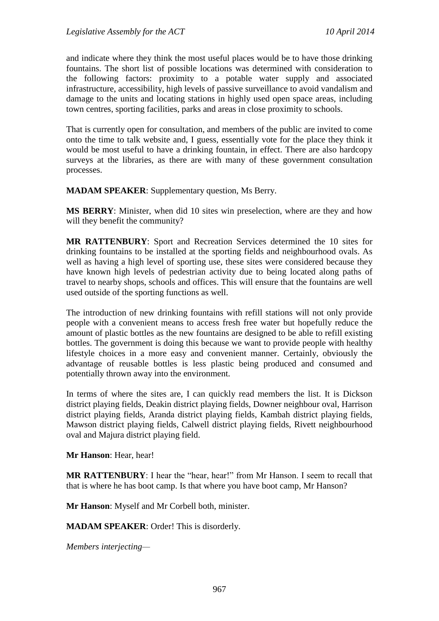and indicate where they think the most useful places would be to have those drinking fountains. The short list of possible locations was determined with consideration to the following factors: proximity to a potable water supply and associated infrastructure, accessibility, high levels of passive surveillance to avoid vandalism and damage to the units and locating stations in highly used open space areas, including town centres, sporting facilities, parks and areas in close proximity to schools.

That is currently open for consultation, and members of the public are invited to come onto the time to talk website and, I guess, essentially vote for the place they think it would be most useful to have a drinking fountain, in effect. There are also hardcopy surveys at the libraries, as there are with many of these government consultation processes.

**MADAM SPEAKER**: Supplementary question, Ms Berry.

**MS BERRY**: Minister, when did 10 sites win preselection, where are they and how will they benefit the community?

**MR RATTENBURY**: Sport and Recreation Services determined the 10 sites for drinking fountains to be installed at the sporting fields and neighbourhood ovals. As well as having a high level of sporting use, these sites were considered because they have known high levels of pedestrian activity due to being located along paths of travel to nearby shops, schools and offices. This will ensure that the fountains are well used outside of the sporting functions as well.

The introduction of new drinking fountains with refill stations will not only provide people with a convenient means to access fresh free water but hopefully reduce the amount of plastic bottles as the new fountains are designed to be able to refill existing bottles. The government is doing this because we want to provide people with healthy lifestyle choices in a more easy and convenient manner. Certainly, obviously the advantage of reusable bottles is less plastic being produced and consumed and potentially thrown away into the environment.

In terms of where the sites are, I can quickly read members the list. It is Dickson district playing fields, Deakin district playing fields, Downer neighbour oval, Harrison district playing fields, Aranda district playing fields, Kambah district playing fields, Mawson district playing fields, Calwell district playing fields, Rivett neighbourhood oval and Majura district playing field.

**Mr Hanson**: Hear, hear!

**MR RATTENBURY**: I hear the "hear, hear!" from Mr Hanson. I seem to recall that that is where he has boot camp. Is that where you have boot camp, Mr Hanson?

**Mr Hanson**: Myself and Mr Corbell both, minister.

**MADAM SPEAKER**: Order! This is disorderly.

*Members interjecting—*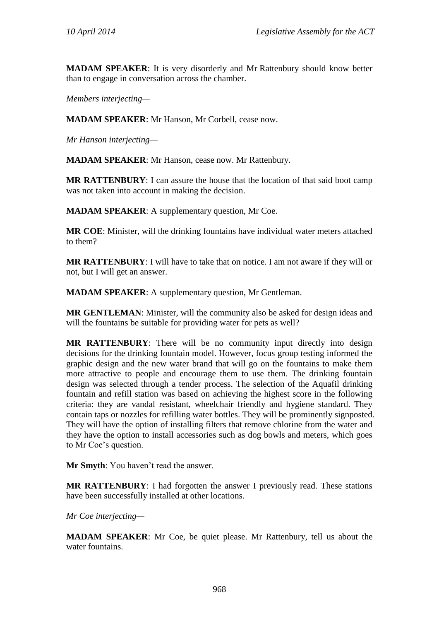**MADAM SPEAKER**: It is very disorderly and Mr Rattenbury should know better than to engage in conversation across the chamber.

*Members interjecting—*

**MADAM SPEAKER**: Mr Hanson, Mr Corbell, cease now.

*Mr Hanson interjecting—*

**MADAM SPEAKER**: Mr Hanson, cease now. Mr Rattenbury.

**MR RATTENBURY**: I can assure the house that the location of that said boot camp was not taken into account in making the decision.

**MADAM SPEAKER**: A supplementary question, Mr Coe.

**MR COE**: Minister, will the drinking fountains have individual water meters attached to them?

**MR RATTENBURY**: I will have to take that on notice. I am not aware if they will or not, but I will get an answer.

**MADAM SPEAKER**: A supplementary question, Mr Gentleman.

**MR GENTLEMAN**: Minister, will the community also be asked for design ideas and will the fountains be suitable for providing water for pets as well?

**MR RATTENBURY**: There will be no community input directly into design decisions for the drinking fountain model. However, focus group testing informed the graphic design and the new water brand that will go on the fountains to make them more attractive to people and encourage them to use them. The drinking fountain design was selected through a tender process. The selection of the Aquafil drinking fountain and refill station was based on achieving the highest score in the following criteria: they are vandal resistant, wheelchair friendly and hygiene standard. They contain taps or nozzles for refilling water bottles. They will be prominently signposted. They will have the option of installing filters that remove chlorine from the water and they have the option to install accessories such as dog bowls and meters, which goes to Mr Coe's question.

**Mr Smyth**: You haven't read the answer.

**MR RATTENBURY**: I had forgotten the answer I previously read. These stations have been successfully installed at other locations.

*Mr Coe interjecting—*

**MADAM SPEAKER**: Mr Coe, be quiet please. Mr Rattenbury, tell us about the water fountains.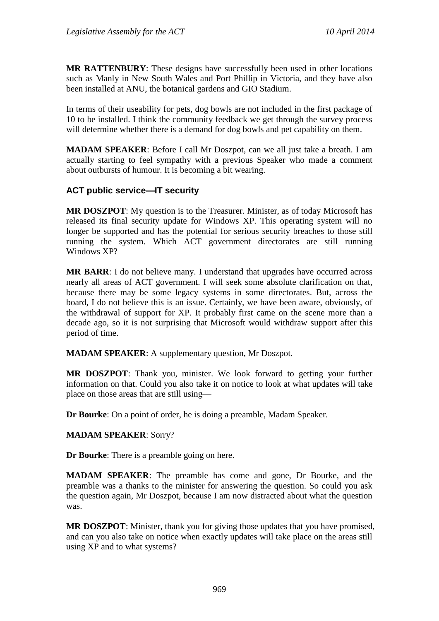**MR RATTENBURY**: These designs have successfully been used in other locations such as Manly in New South Wales and Port Phillip in Victoria, and they have also been installed at ANU, the botanical gardens and GIO Stadium.

In terms of their useability for pets, dog bowls are not included in the first package of 10 to be installed. I think the community feedback we get through the survey process will determine whether there is a demand for dog bowls and pet capability on them.

**MADAM SPEAKER**: Before I call Mr Doszpot, can we all just take a breath. I am actually starting to feel sympathy with a previous Speaker who made a comment about outbursts of humour. It is becoming a bit wearing.

### **ACT public service—IT security**

**MR DOSZPOT**: My question is to the Treasurer. Minister, as of today Microsoft has released its final security update for Windows XP. This operating system will no longer be supported and has the potential for serious security breaches to those still running the system. Which ACT government directorates are still running Windows XP?

**MR BARR:** I do not believe many. I understand that upgrades have occurred across nearly all areas of ACT government. I will seek some absolute clarification on that, because there may be some legacy systems in some directorates. But, across the board, I do not believe this is an issue. Certainly, we have been aware, obviously, of the withdrawal of support for XP. It probably first came on the scene more than a decade ago, so it is not surprising that Microsoft would withdraw support after this period of time.

**MADAM SPEAKER**: A supplementary question, Mr Doszpot.

**MR DOSZPOT**: Thank you, minister. We look forward to getting your further information on that. Could you also take it on notice to look at what updates will take place on those areas that are still using—

**Dr Bourke**: On a point of order, he is doing a preamble, Madam Speaker.

### **MADAM SPEAKER**: Sorry?

**Dr Bourke**: There is a preamble going on here.

**MADAM SPEAKER**: The preamble has come and gone, Dr Bourke, and the preamble was a thanks to the minister for answering the question. So could you ask the question again, Mr Doszpot, because I am now distracted about what the question was.

**MR DOSZPOT**: Minister, thank you for giving those updates that you have promised, and can you also take on notice when exactly updates will take place on the areas still using XP and to what systems?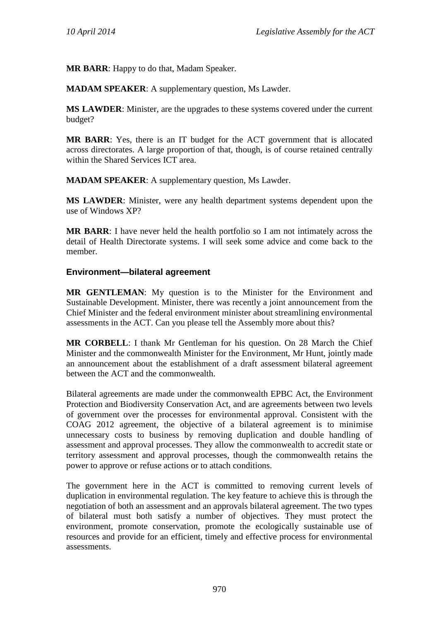**MR BARR**: Happy to do that, Madam Speaker.

**MADAM SPEAKER**: A supplementary question, Ms Lawder.

**MS LAWDER**: Minister, are the upgrades to these systems covered under the current budget?

**MR BARR**: Yes, there is an IT budget for the ACT government that is allocated across directorates. A large proportion of that, though, is of course retained centrally within the Shared Services ICT area.

**MADAM SPEAKER**: A supplementary question, Ms Lawder.

**MS LAWDER**: Minister, were any health department systems dependent upon the use of Windows XP?

**MR BARR**: I have never held the health portfolio so I am not intimately across the detail of Health Directorate systems. I will seek some advice and come back to the member.

### **Environment—bilateral agreement**

**MR GENTLEMAN**: My question is to the Minister for the Environment and Sustainable Development. Minister, there was recently a joint announcement from the Chief Minister and the federal environment minister about streamlining environmental assessments in the ACT. Can you please tell the Assembly more about this?

**MR CORBELL**: I thank Mr Gentleman for his question. On 28 March the Chief Minister and the commonwealth Minister for the Environment, Mr Hunt, jointly made an announcement about the establishment of a draft assessment bilateral agreement between the ACT and the commonwealth.

Bilateral agreements are made under the commonwealth EPBC Act, the Environment Protection and Biodiversity Conservation Act, and are agreements between two levels of government over the processes for environmental approval. Consistent with the COAG 2012 agreement, the objective of a bilateral agreement is to minimise unnecessary costs to business by removing duplication and double handling of assessment and approval processes. They allow the commonwealth to accredit state or territory assessment and approval processes, though the commonwealth retains the power to approve or refuse actions or to attach conditions.

The government here in the ACT is committed to removing current levels of duplication in environmental regulation. The key feature to achieve this is through the negotiation of both an assessment and an approvals bilateral agreement. The two types of bilateral must both satisfy a number of objectives. They must protect the environment, promote conservation, promote the ecologically sustainable use of resources and provide for an efficient, timely and effective process for environmental assessments.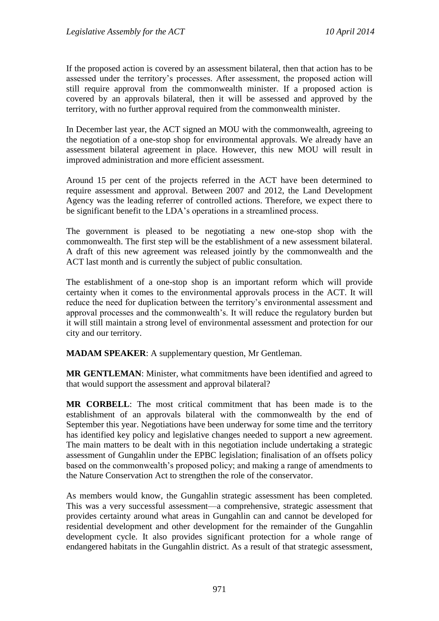If the proposed action is covered by an assessment bilateral, then that action has to be assessed under the territory's processes. After assessment, the proposed action will still require approval from the commonwealth minister. If a proposed action is covered by an approvals bilateral, then it will be assessed and approved by the territory, with no further approval required from the commonwealth minister.

In December last year, the ACT signed an MOU with the commonwealth, agreeing to the negotiation of a one-stop shop for environmental approvals. We already have an assessment bilateral agreement in place. However, this new MOU will result in improved administration and more efficient assessment.

Around 15 per cent of the projects referred in the ACT have been determined to require assessment and approval. Between 2007 and 2012, the Land Development Agency was the leading referrer of controlled actions. Therefore, we expect there to be significant benefit to the LDA's operations in a streamlined process.

The government is pleased to be negotiating a new one-stop shop with the commonwealth. The first step will be the establishment of a new assessment bilateral. A draft of this new agreement was released jointly by the commonwealth and the ACT last month and is currently the subject of public consultation.

The establishment of a one-stop shop is an important reform which will provide certainty when it comes to the environmental approvals process in the ACT. It will reduce the need for duplication between the territory's environmental assessment and approval processes and the commonwealth's. It will reduce the regulatory burden but it will still maintain a strong level of environmental assessment and protection for our city and our territory.

**MADAM SPEAKER**: A supplementary question, Mr Gentleman.

**MR GENTLEMAN**: Minister, what commitments have been identified and agreed to that would support the assessment and approval bilateral?

**MR CORBELL**: The most critical commitment that has been made is to the establishment of an approvals bilateral with the commonwealth by the end of September this year. Negotiations have been underway for some time and the territory has identified key policy and legislative changes needed to support a new agreement. The main matters to be dealt with in this negotiation include undertaking a strategic assessment of Gungahlin under the EPBC legislation; finalisation of an offsets policy based on the commonwealth's proposed policy; and making a range of amendments to the Nature Conservation Act to strengthen the role of the conservator.

As members would know, the Gungahlin strategic assessment has been completed. This was a very successful assessment—a comprehensive, strategic assessment that provides certainty around what areas in Gungahlin can and cannot be developed for residential development and other development for the remainder of the Gungahlin development cycle. It also provides significant protection for a whole range of endangered habitats in the Gungahlin district. As a result of that strategic assessment,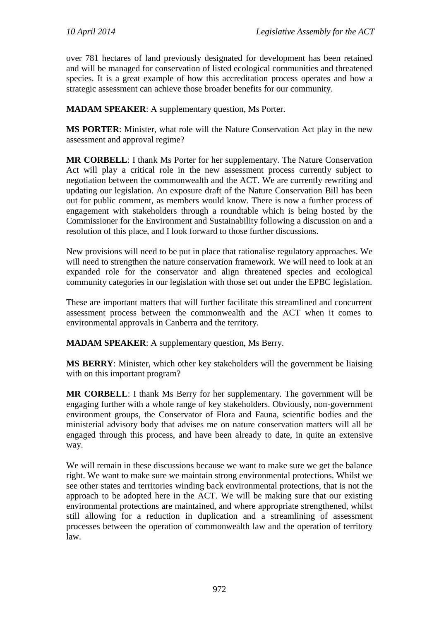over 781 hectares of land previously designated for development has been retained and will be managed for conservation of listed ecological communities and threatened species. It is a great example of how this accreditation process operates and how a strategic assessment can achieve those broader benefits for our community.

**MADAM SPEAKER**: A supplementary question, Ms Porter.

**MS PORTER**: Minister, what role will the Nature Conservation Act play in the new assessment and approval regime?

**MR CORBELL**: I thank Ms Porter for her supplementary. The Nature Conservation Act will play a critical role in the new assessment process currently subject to negotiation between the commonwealth and the ACT. We are currently rewriting and updating our legislation. An exposure draft of the Nature Conservation Bill has been out for public comment, as members would know. There is now a further process of engagement with stakeholders through a roundtable which is being hosted by the Commissioner for the Environment and Sustainability following a discussion on and a resolution of this place, and I look forward to those further discussions.

New provisions will need to be put in place that rationalise regulatory approaches. We will need to strengthen the nature conservation framework. We will need to look at an expanded role for the conservator and align threatened species and ecological community categories in our legislation with those set out under the EPBC legislation.

These are important matters that will further facilitate this streamlined and concurrent assessment process between the commonwealth and the ACT when it comes to environmental approvals in Canberra and the territory.

**MADAM SPEAKER**: A supplementary question, Ms Berry.

**MS BERRY**: Minister, which other key stakeholders will the government be liaising with on this important program?

**MR CORBELL**: I thank Ms Berry for her supplementary. The government will be engaging further with a whole range of key stakeholders. Obviously, non-government environment groups, the Conservator of Flora and Fauna, scientific bodies and the ministerial advisory body that advises me on nature conservation matters will all be engaged through this process, and have been already to date, in quite an extensive way.

We will remain in these discussions because we want to make sure we get the balance right. We want to make sure we maintain strong environmental protections. Whilst we see other states and territories winding back environmental protections, that is not the approach to be adopted here in the ACT. We will be making sure that our existing environmental protections are maintained, and where appropriate strengthened, whilst still allowing for a reduction in duplication and a streamlining of assessment processes between the operation of commonwealth law and the operation of territory law.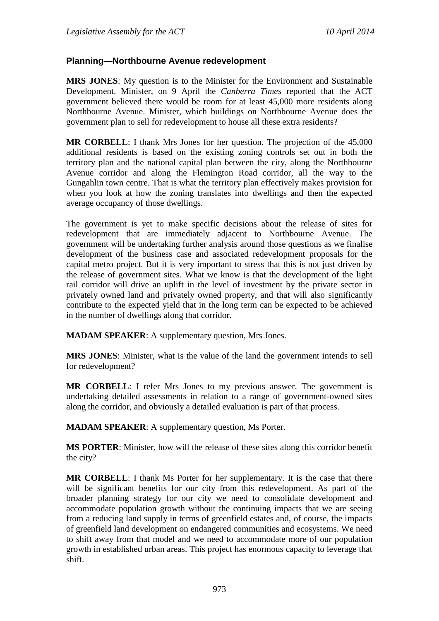### **Planning—Northbourne Avenue redevelopment**

**MRS JONES**: My question is to the Minister for the Environment and Sustainable Development. Minister, on 9 April the *Canberra Times* reported that the ACT government believed there would be room for at least 45,000 more residents along Northbourne Avenue. Minister, which buildings on Northbourne Avenue does the government plan to sell for redevelopment to house all these extra residents?

**MR CORBELL**: I thank Mrs Jones for her question. The projection of the 45,000 additional residents is based on the existing zoning controls set out in both the territory plan and the national capital plan between the city, along the Northbourne Avenue corridor and along the Flemington Road corridor, all the way to the Gungahlin town centre. That is what the territory plan effectively makes provision for when you look at how the zoning translates into dwellings and then the expected average occupancy of those dwellings.

The government is yet to make specific decisions about the release of sites for redevelopment that are immediately adjacent to Northbourne Avenue. The government will be undertaking further analysis around those questions as we finalise development of the business case and associated redevelopment proposals for the capital metro project. But it is very important to stress that this is not just driven by the release of government sites. What we know is that the development of the light rail corridor will drive an uplift in the level of investment by the private sector in privately owned land and privately owned property, and that will also significantly contribute to the expected yield that in the long term can be expected to be achieved in the number of dwellings along that corridor.

**MADAM SPEAKER**: A supplementary question, Mrs Jones.

**MRS JONES**: Minister, what is the value of the land the government intends to sell for redevelopment?

**MR CORBELL**: I refer Mrs Jones to my previous answer. The government is undertaking detailed assessments in relation to a range of government-owned sites along the corridor, and obviously a detailed evaluation is part of that process.

**MADAM SPEAKER**: A supplementary question, Ms Porter.

**MS PORTER**: Minister, how will the release of these sites along this corridor benefit the city?

**MR CORBELL**: I thank Ms Porter for her supplementary. It is the case that there will be significant benefits for our city from this redevelopment. As part of the broader planning strategy for our city we need to consolidate development and accommodate population growth without the continuing impacts that we are seeing from a reducing land supply in terms of greenfield estates and, of course, the impacts of greenfield land development on endangered communities and ecosystems. We need to shift away from that model and we need to accommodate more of our population growth in established urban areas. This project has enormous capacity to leverage that shift.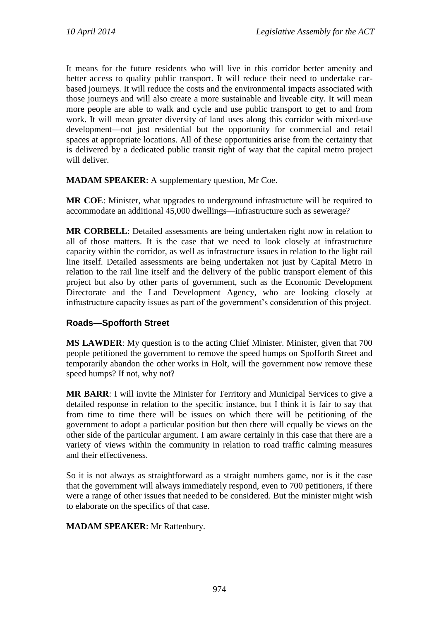It means for the future residents who will live in this corridor better amenity and better access to quality public transport. It will reduce their need to undertake carbased journeys. It will reduce the costs and the environmental impacts associated with those journeys and will also create a more sustainable and liveable city. It will mean more people are able to walk and cycle and use public transport to get to and from work. It will mean greater diversity of land uses along this corridor with mixed-use development—not just residential but the opportunity for commercial and retail spaces at appropriate locations. All of these opportunities arise from the certainty that is delivered by a dedicated public transit right of way that the capital metro project will deliver.

**MADAM SPEAKER**: A supplementary question, Mr Coe.

**MR COE**: Minister, what upgrades to underground infrastructure will be required to accommodate an additional 45,000 dwellings—infrastructure such as sewerage?

**MR CORBELL**: Detailed assessments are being undertaken right now in relation to all of those matters. It is the case that we need to look closely at infrastructure capacity within the corridor, as well as infrastructure issues in relation to the light rail line itself. Detailed assessments are being undertaken not just by Capital Metro in relation to the rail line itself and the delivery of the public transport element of this project but also by other parts of government, such as the Economic Development Directorate and the Land Development Agency, who are looking closely at infrastructure capacity issues as part of the government's consideration of this project.

# **Roads—Spofforth Street**

**MS LAWDER**: My question is to the acting Chief Minister. Minister, given that 700 people petitioned the government to remove the speed humps on Spofforth Street and temporarily abandon the other works in Holt, will the government now remove these speed humps? If not, why not?

**MR BARR**: I will invite the Minister for Territory and Municipal Services to give a detailed response in relation to the specific instance, but I think it is fair to say that from time to time there will be issues on which there will be petitioning of the government to adopt a particular position but then there will equally be views on the other side of the particular argument. I am aware certainly in this case that there are a variety of views within the community in relation to road traffic calming measures and their effectiveness.

So it is not always as straightforward as a straight numbers game, nor is it the case that the government will always immediately respond, even to 700 petitioners, if there were a range of other issues that needed to be considered. But the minister might wish to elaborate on the specifics of that case.

## **MADAM SPEAKER**: Mr Rattenbury.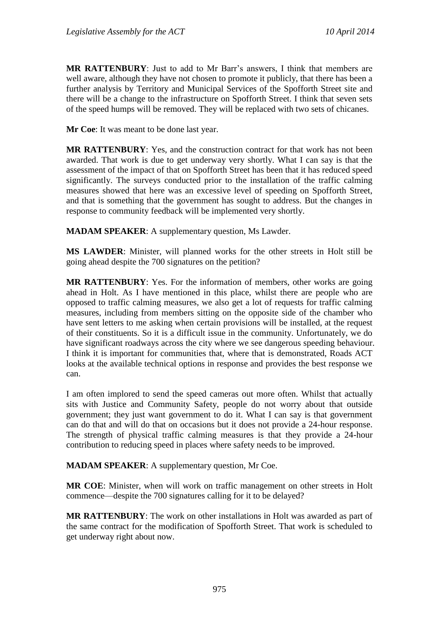**MR RATTENBURY**: Just to add to Mr Barr's answers, I think that members are well aware, although they have not chosen to promote it publicly, that there has been a further analysis by Territory and Municipal Services of the Spofforth Street site and there will be a change to the infrastructure on Spofforth Street. I think that seven sets of the speed humps will be removed. They will be replaced with two sets of chicanes.

**Mr Coe**: It was meant to be done last year.

**MR RATTENBURY**: Yes, and the construction contract for that work has not been awarded. That work is due to get underway very shortly. What I can say is that the assessment of the impact of that on Spofforth Street has been that it has reduced speed significantly. The surveys conducted prior to the installation of the traffic calming measures showed that here was an excessive level of speeding on Spofforth Street, and that is something that the government has sought to address. But the changes in response to community feedback will be implemented very shortly.

**MADAM SPEAKER:** A supplementary question, Ms Lawder.

**MS LAWDER**: Minister, will planned works for the other streets in Holt still be going ahead despite the 700 signatures on the petition?

**MR RATTENBURY**: Yes. For the information of members, other works are going ahead in Holt. As I have mentioned in this place, whilst there are people who are opposed to traffic calming measures, we also get a lot of requests for traffic calming measures, including from members sitting on the opposite side of the chamber who have sent letters to me asking when certain provisions will be installed, at the request of their constituents. So it is a difficult issue in the community. Unfortunately, we do have significant roadways across the city where we see dangerous speeding behaviour. I think it is important for communities that, where that is demonstrated, Roads ACT looks at the available technical options in response and provides the best response we can.

I am often implored to send the speed cameras out more often. Whilst that actually sits with Justice and Community Safety, people do not worry about that outside government; they just want government to do it. What I can say is that government can do that and will do that on occasions but it does not provide a 24-hour response. The strength of physical traffic calming measures is that they provide a 24-hour contribution to reducing speed in places where safety needs to be improved.

**MADAM SPEAKER**: A supplementary question, Mr Coe.

**MR COE**: Minister, when will work on traffic management on other streets in Holt commence—despite the 700 signatures calling for it to be delayed?

**MR RATTENBURY**: The work on other installations in Holt was awarded as part of the same contract for the modification of Spofforth Street. That work is scheduled to get underway right about now.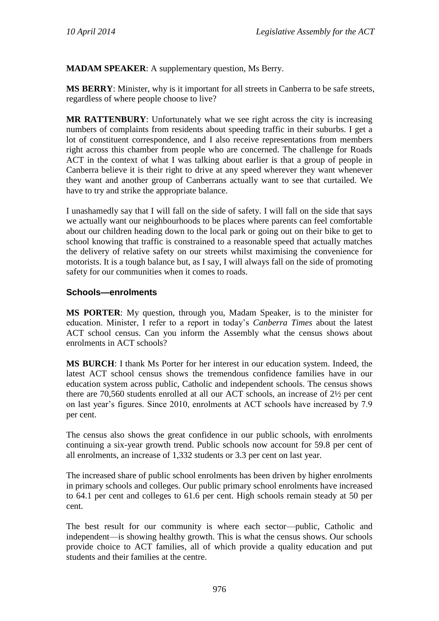**MADAM SPEAKER**: A supplementary question, Ms Berry.

**MS BERRY**: Minister, why is it important for all streets in Canberra to be safe streets, regardless of where people choose to live?

**MR RATTENBURY**: Unfortunately what we see right across the city is increasing numbers of complaints from residents about speeding traffic in their suburbs. I get a lot of constituent correspondence, and I also receive representations from members right across this chamber from people who are concerned. The challenge for Roads ACT in the context of what I was talking about earlier is that a group of people in Canberra believe it is their right to drive at any speed wherever they want whenever they want and another group of Canberrans actually want to see that curtailed. We have to try and strike the appropriate balance.

I unashamedly say that I will fall on the side of safety. I will fall on the side that says we actually want our neighbourhoods to be places where parents can feel comfortable about our children heading down to the local park or going out on their bike to get to school knowing that traffic is constrained to a reasonable speed that actually matches the delivery of relative safety on our streets whilst maximising the convenience for motorists. It is a tough balance but, as I say, I will always fall on the side of promoting safety for our communities when it comes to roads.

### **Schools—enrolments**

**MS PORTER**: My question, through you, Madam Speaker, is to the minister for education. Minister, I refer to a report in today's *Canberra Times* about the latest ACT school census. Can you inform the Assembly what the census shows about enrolments in ACT schools?

**MS BURCH**: I thank Ms Porter for her interest in our education system. Indeed, the latest ACT school census shows the tremendous confidence families have in our education system across public, Catholic and independent schools. The census shows there are 70,560 students enrolled at all our ACT schools, an increase of 2½ per cent on last year's figures. Since 2010, enrolments at ACT schools have increased by 7.9 per cent.

The census also shows the great confidence in our public schools, with enrolments continuing a six-year growth trend. Public schools now account for 59.8 per cent of all enrolments, an increase of 1,332 students or 3.3 per cent on last year.

The increased share of public school enrolments has been driven by higher enrolments in primary schools and colleges. Our public primary school enrolments have increased to 64.1 per cent and colleges to 61.6 per cent. High schools remain steady at 50 per cent.

The best result for our community is where each sector—public, Catholic and independent—is showing healthy growth. This is what the census shows. Our schools provide choice to ACT families, all of which provide a quality education and put students and their families at the centre.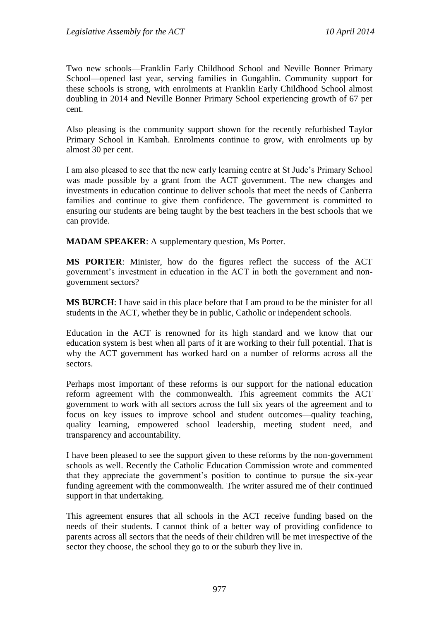Two new schools—Franklin Early Childhood School and Neville Bonner Primary School—opened last year, serving families in Gungahlin. Community support for these schools is strong, with enrolments at Franklin Early Childhood School almost doubling in 2014 and Neville Bonner Primary School experiencing growth of 67 per cent.

Also pleasing is the community support shown for the recently refurbished Taylor Primary School in Kambah. Enrolments continue to grow, with enrolments up by almost 30 per cent.

I am also pleased to see that the new early learning centre at St Jude's Primary School was made possible by a grant from the ACT government. The new changes and investments in education continue to deliver schools that meet the needs of Canberra families and continue to give them confidence. The government is committed to ensuring our students are being taught by the best teachers in the best schools that we can provide.

**MADAM SPEAKER**: A supplementary question, Ms Porter.

**MS PORTER**: Minister, how do the figures reflect the success of the ACT government's investment in education in the ACT in both the government and nongovernment sectors?

**MS BURCH**: I have said in this place before that I am proud to be the minister for all students in the ACT, whether they be in public, Catholic or independent schools.

Education in the ACT is renowned for its high standard and we know that our education system is best when all parts of it are working to their full potential. That is why the ACT government has worked hard on a number of reforms across all the sectors.

Perhaps most important of these reforms is our support for the national education reform agreement with the commonwealth. This agreement commits the ACT government to work with all sectors across the full six years of the agreement and to focus on key issues to improve school and student outcomes—quality teaching, quality learning, empowered school leadership, meeting student need, and transparency and accountability.

I have been pleased to see the support given to these reforms by the non-government schools as well. Recently the Catholic Education Commission wrote and commented that they appreciate the government's position to continue to pursue the six-year funding agreement with the commonwealth. The writer assured me of their continued support in that undertaking.

This agreement ensures that all schools in the ACT receive funding based on the needs of their students. I cannot think of a better way of providing confidence to parents across all sectors that the needs of their children will be met irrespective of the sector they choose, the school they go to or the suburb they live in.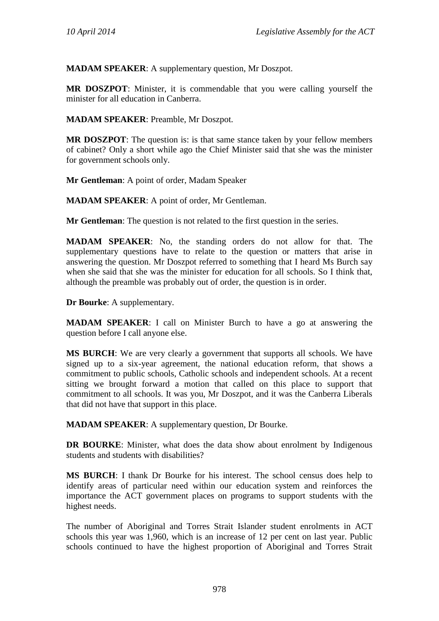**MADAM SPEAKER**: A supplementary question, Mr Doszpot.

**MR DOSZPOT**: Minister, it is commendable that you were calling yourself the minister for all education in Canberra.

**MADAM SPEAKER**: Preamble, Mr Doszpot.

**MR DOSZPOT:** The question is: is that same stance taken by your fellow members of cabinet? Only a short while ago the Chief Minister said that she was the minister for government schools only.

**Mr Gentleman**: A point of order, Madam Speaker

**MADAM SPEAKER**: A point of order, Mr Gentleman.

**Mr Gentleman**: The question is not related to the first question in the series.

**MADAM SPEAKER**: No, the standing orders do not allow for that. The supplementary questions have to relate to the question or matters that arise in answering the question. Mr Doszpot referred to something that I heard Ms Burch say when she said that she was the minister for education for all schools. So I think that, although the preamble was probably out of order, the question is in order.

**Dr Bourke**: A supplementary.

**MADAM SPEAKER**: I call on Minister Burch to have a go at answering the question before I call anyone else.

**MS BURCH**: We are very clearly a government that supports all schools. We have signed up to a six-year agreement, the national education reform, that shows a commitment to public schools, Catholic schools and independent schools. At a recent sitting we brought forward a motion that called on this place to support that commitment to all schools. It was you, Mr Doszpot, and it was the Canberra Liberals that did not have that support in this place.

**MADAM SPEAKER**: A supplementary question, Dr Bourke.

**DR BOURKE**: Minister, what does the data show about enrolment by Indigenous students and students with disabilities?

**MS BURCH**: I thank Dr Bourke for his interest. The school census does help to identify areas of particular need within our education system and reinforces the importance the ACT government places on programs to support students with the highest needs.

The number of Aboriginal and Torres Strait Islander student enrolments in ACT schools this year was 1,960, which is an increase of 12 per cent on last year. Public schools continued to have the highest proportion of Aboriginal and Torres Strait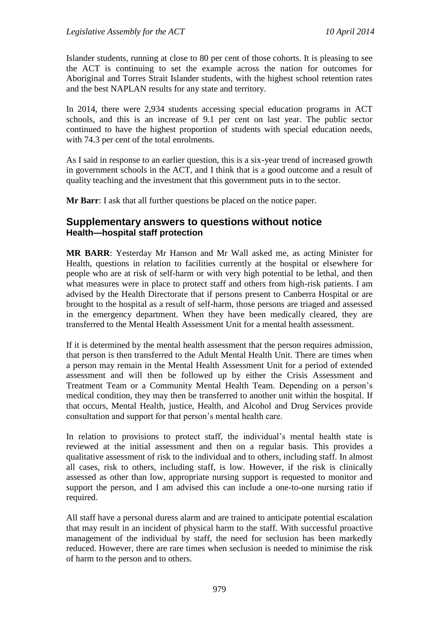Islander students, running at close to 80 per cent of those cohorts. It is pleasing to see the ACT is continuing to set the example across the nation for outcomes for Aboriginal and Torres Strait Islander students, with the highest school retention rates and the best NAPLAN results for any state and territory.

In 2014, there were 2,934 students accessing special education programs in ACT schools, and this is an increase of 9.1 per cent on last year. The public sector continued to have the highest proportion of students with special education needs, with 74.3 per cent of the total enrolments.

As I said in response to an earlier question, this is a six-year trend of increased growth in government schools in the ACT, and I think that is a good outcome and a result of quality teaching and the investment that this government puts in to the sector.

**Mr Barr**: I ask that all further questions be placed on the notice paper.

# **Supplementary answers to questions without notice Health—hospital staff protection**

**MR BARR**: Yesterday Mr Hanson and Mr Wall asked me, as acting Minister for Health, questions in relation to facilities currently at the hospital or elsewhere for people who are at risk of self-harm or with very high potential to be lethal, and then what measures were in place to protect staff and others from high-risk patients. I am advised by the Health Directorate that if persons present to Canberra Hospital or are brought to the hospital as a result of self-harm, those persons are triaged and assessed in the emergency department. When they have been medically cleared, they are transferred to the Mental Health Assessment Unit for a mental health assessment.

If it is determined by the mental health assessment that the person requires admission, that person is then transferred to the Adult Mental Health Unit. There are times when a person may remain in the Mental Health Assessment Unit for a period of extended assessment and will then be followed up by either the Crisis Assessment and Treatment Team or a Community Mental Health Team. Depending on a person's medical condition, they may then be transferred to another unit within the hospital. If that occurs, Mental Health, justice, Health, and Alcohol and Drug Services provide consultation and support for that person's mental health care.

In relation to provisions to protect staff, the individual's mental health state is reviewed at the initial assessment and then on a regular basis. This provides a qualitative assessment of risk to the individual and to others, including staff. In almost all cases, risk to others, including staff, is low. However, if the risk is clinically assessed as other than low, appropriate nursing support is requested to monitor and support the person, and I am advised this can include a one-to-one nursing ratio if required.

All staff have a personal duress alarm and are trained to anticipate potential escalation that may result in an incident of physical harm to the staff. With successful proactive management of the individual by staff, the need for seclusion has been markedly reduced. However, there are rare times when seclusion is needed to minimise the risk of harm to the person and to others.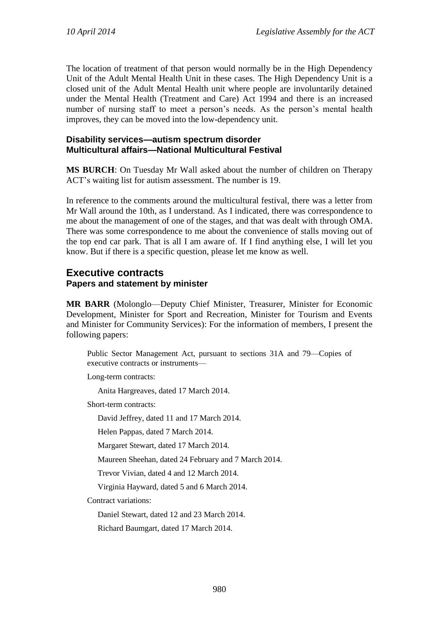The location of treatment of that person would normally be in the High Dependency Unit of the Adult Mental Health Unit in these cases. The High Dependency Unit is a closed unit of the Adult Mental Health unit where people are involuntarily detained under the Mental Health (Treatment and Care) Act 1994 and there is an increased number of nursing staff to meet a person's needs. As the person's mental health improves, they can be moved into the low-dependency unit.

### **Disability services—autism spectrum disorder Multicultural affairs—National Multicultural Festival**

**MS BURCH**: On Tuesday Mr Wall asked about the number of children on Therapy ACT's waiting list for autism assessment. The number is 19.

In reference to the comments around the multicultural festival, there was a letter from Mr Wall around the 10th, as I understand. As I indicated, there was correspondence to me about the management of one of the stages, and that was dealt with through OMA. There was some correspondence to me about the convenience of stalls moving out of the top end car park. That is all I am aware of. If I find anything else, I will let you know. But if there is a specific question, please let me know as well.

# **Executive contracts Papers and statement by minister**

**MR BARR** (Molonglo—Deputy Chief Minister, Treasurer, Minister for Economic Development, Minister for Sport and Recreation, Minister for Tourism and Events and Minister for Community Services): For the information of members, I present the following papers:

Public Sector Management Act, pursuant to sections 31A and 79—Copies of executive contracts or instruments—

Long-term contracts:

Anita Hargreaves, dated 17 March 2014.

Short-term contracts:

David Jeffrey, dated 11 and 17 March 2014.

Helen Pappas, dated 7 March 2014.

Margaret Stewart, dated 17 March 2014.

Maureen Sheehan, dated 24 February and 7 March 2014.

Trevor Vivian, dated 4 and 12 March 2014.

Virginia Hayward, dated 5 and 6 March 2014.

Contract variations:

Daniel Stewart, dated 12 and 23 March 2014.

Richard Baumgart, dated 17 March 2014.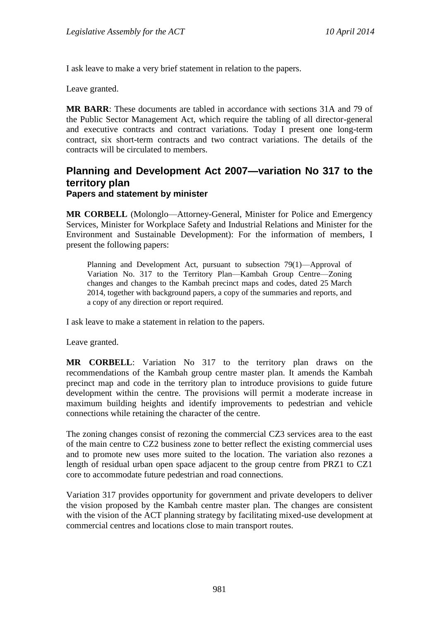I ask leave to make a very brief statement in relation to the papers.

Leave granted.

**MR BARR**: These documents are tabled in accordance with sections 31A and 79 of the Public Sector Management Act, which require the tabling of all director-general and executive contracts and contract variations. Today I present one long-term contract, six short-term contracts and two contract variations. The details of the contracts will be circulated to members.

### **Planning and Development Act 2007—variation No 317 to the territory plan Papers and statement by minister**

**MR CORBELL** (Molonglo—Attorney-General, Minister for Police and Emergency Services, Minister for Workplace Safety and Industrial Relations and Minister for the Environment and Sustainable Development): For the information of members, I present the following papers:

Planning and Development Act, pursuant to subsection 79(1)—Approval of Variation No. 317 to the Territory Plan—Kambah Group Centre—Zoning changes and changes to the Kambah precinct maps and codes, dated 25 March 2014, together with background papers, a copy of the summaries and reports, and a copy of any direction or report required.

I ask leave to make a statement in relation to the papers.

Leave granted.

**MR CORBELL**: Variation No 317 to the territory plan draws on the recommendations of the Kambah group centre master plan. It amends the Kambah precinct map and code in the territory plan to introduce provisions to guide future development within the centre. The provisions will permit a moderate increase in maximum building heights and identify improvements to pedestrian and vehicle connections while retaining the character of the centre.

The zoning changes consist of rezoning the commercial CZ3 services area to the east of the main centre to CZ2 business zone to better reflect the existing commercial uses and to promote new uses more suited to the location. The variation also rezones a length of residual urban open space adjacent to the group centre from PRZ1 to CZ1 core to accommodate future pedestrian and road connections.

Variation 317 provides opportunity for government and private developers to deliver the vision proposed by the Kambah centre master plan. The changes are consistent with the vision of the ACT planning strategy by facilitating mixed-use development at commercial centres and locations close to main transport routes.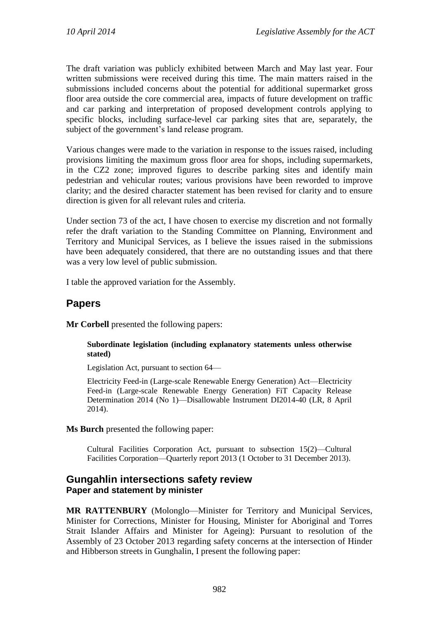The draft variation was publicly exhibited between March and May last year. Four written submissions were received during this time. The main matters raised in the submissions included concerns about the potential for additional supermarket gross floor area outside the core commercial area, impacts of future development on traffic and car parking and interpretation of proposed development controls applying to specific blocks, including surface-level car parking sites that are, separately, the subject of the government's land release program.

Various changes were made to the variation in response to the issues raised, including provisions limiting the maximum gross floor area for shops, including supermarkets, in the CZ2 zone; improved figures to describe parking sites and identify main pedestrian and vehicular routes; various provisions have been reworded to improve clarity; and the desired character statement has been revised for clarity and to ensure direction is given for all relevant rules and criteria.

Under section 73 of the act, I have chosen to exercise my discretion and not formally refer the draft variation to the Standing Committee on Planning, Environment and Territory and Municipal Services, as I believe the issues raised in the submissions have been adequately considered, that there are no outstanding issues and that there was a very low level of public submission.

I table the approved variation for the Assembly.

# **Papers**

**Mr Corbell** presented the following papers:

### **Subordinate legislation (including explanatory statements unless otherwise stated)**

Legislation Act, pursuant to section 64—

Electricity Feed-in (Large-scale Renewable Energy Generation) Act—Electricity Feed-in (Large-scale Renewable Energy Generation) FiT Capacity Release Determination 2014 (No 1)—Disallowable Instrument DI2014-40 (LR, 8 April 2014).

**Ms Burch** presented the following paper:

Cultural Facilities Corporation Act, pursuant to subsection 15(2)—Cultural Facilities Corporation—Quarterly report 2013 (1 October to 31 December 2013).

## **Gungahlin intersections safety review Paper and statement by minister**

**MR RATTENBURY** (Molonglo—Minister for Territory and Municipal Services, Minister for Corrections, Minister for Housing, Minister for Aboriginal and Torres Strait Islander Affairs and Minister for Ageing): Pursuant to resolution of the Assembly of 23 October 2013 regarding safety concerns at the intersection of Hinder and Hibberson streets in Gunghalin, I present the following paper: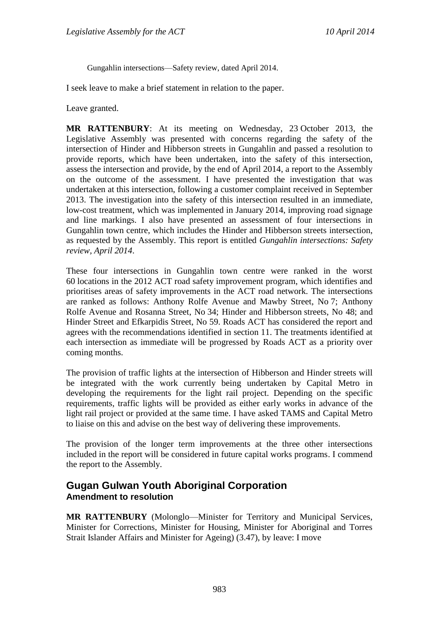Gungahlin intersections—Safety review, dated April 2014.

I seek leave to make a brief statement in relation to the paper.

Leave granted.

**MR RATTENBURY**: At its meeting on Wednesday, 23 October 2013, the Legislative Assembly was presented with concerns regarding the safety of the intersection of Hinder and Hibberson streets in Gungahlin and passed a resolution to provide reports, which have been undertaken, into the safety of this intersection, assess the intersection and provide, by the end of April 2014, a report to the Assembly on the outcome of the assessment. I have presented the investigation that was undertaken at this intersection, following a customer complaint received in September 2013. The investigation into the safety of this intersection resulted in an immediate, low-cost treatment, which was implemented in January 2014, improving road signage and line markings. I also have presented an assessment of four intersections in Gungahlin town centre, which includes the Hinder and Hibberson streets intersection, as requested by the Assembly. This report is entitled *Gungahlin intersections: Safety review, April 2014*.

These four intersections in Gungahlin town centre were ranked in the worst 60 locations in the 2012 ACT road safety improvement program, which identifies and prioritises areas of safety improvements in the ACT road network. The intersections are ranked as follows: Anthony Rolfe Avenue and Mawby Street, No 7; Anthony Rolfe Avenue and Rosanna Street, No 34; Hinder and Hibberson streets, No 48; and Hinder Street and Efkarpidis Street, No 59. Roads ACT has considered the report and agrees with the recommendations identified in section 11. The treatments identified at each intersection as immediate will be progressed by Roads ACT as a priority over coming months.

The provision of traffic lights at the intersection of Hibberson and Hinder streets will be integrated with the work currently being undertaken by Capital Metro in developing the requirements for the light rail project. Depending on the specific requirements, traffic lights will be provided as either early works in advance of the light rail project or provided at the same time. I have asked TAMS and Capital Metro to liaise on this and advise on the best way of delivering these improvements.

The provision of the longer term improvements at the three other intersections included in the report will be considered in future capital works programs. I commend the report to the Assembly.

## **Gugan Gulwan Youth Aboriginal Corporation Amendment to resolution**

**MR RATTENBURY** (Molonglo—Minister for Territory and Municipal Services, Minister for Corrections, Minister for Housing, Minister for Aboriginal and Torres Strait Islander Affairs and Minister for Ageing) (3.47), by leave: I move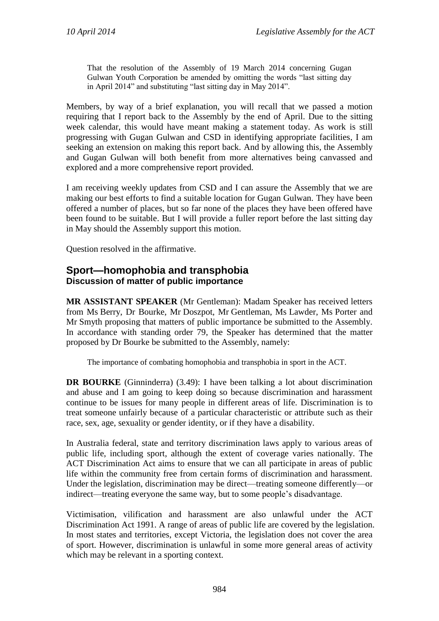That the resolution of the Assembly of 19 March 2014 concerning Gugan Gulwan Youth Corporation be amended by omitting the words "last sitting day in April 2014" and substituting "last sitting day in May 2014".

Members, by way of a brief explanation, you will recall that we passed a motion requiring that I report back to the Assembly by the end of April. Due to the sitting week calendar, this would have meant making a statement today. As work is still progressing with Gugan Gulwan and CSD in identifying appropriate facilities, I am seeking an extension on making this report back. And by allowing this, the Assembly and Gugan Gulwan will both benefit from more alternatives being canvassed and explored and a more comprehensive report provided.

I am receiving weekly updates from CSD and I can assure the Assembly that we are making our best efforts to find a suitable location for Gugan Gulwan. They have been offered a number of places, but so far none of the places they have been offered have been found to be suitable. But I will provide a fuller report before the last sitting day in May should the Assembly support this motion.

Question resolved in the affirmative.

## **Sport—homophobia and transphobia Discussion of matter of public importance**

**MR ASSISTANT SPEAKER** (Mr Gentleman): Madam Speaker has received letters from Ms Berry, Dr Bourke, Mr Doszpot, Mr Gentleman, Ms Lawder, Ms Porter and Mr Smyth proposing that matters of public importance be submitted to the Assembly. In accordance with standing order 79, the Speaker has determined that the matter proposed by Dr Bourke be submitted to the Assembly, namely:

The importance of combating homophobia and transphobia in sport in the ACT.

**DR BOURKE** (Ginninderra) (3.49): I have been talking a lot about discrimination and abuse and I am going to keep doing so because discrimination and harassment continue to be issues for many people in different areas of life. Discrimination is to treat someone unfairly because of a particular characteristic or attribute such as their race, sex, age, sexuality or gender identity, or if they have a disability.

In Australia federal, state and territory discrimination laws apply to various areas of public life, including sport, although the extent of coverage varies nationally. The ACT Discrimination Act aims to ensure that we can all participate in areas of public life within the community free from certain forms of discrimination and harassment. Under the legislation, discrimination may be direct—treating someone differently—or indirect—treating everyone the same way, but to some people's disadvantage.

Victimisation, vilification and harassment are also unlawful under the ACT Discrimination Act 1991. A range of areas of public life are covered by the legislation. In most states and territories, except Victoria, the legislation does not cover the area of sport. However, discrimination is unlawful in some more general areas of activity which may be relevant in a sporting context.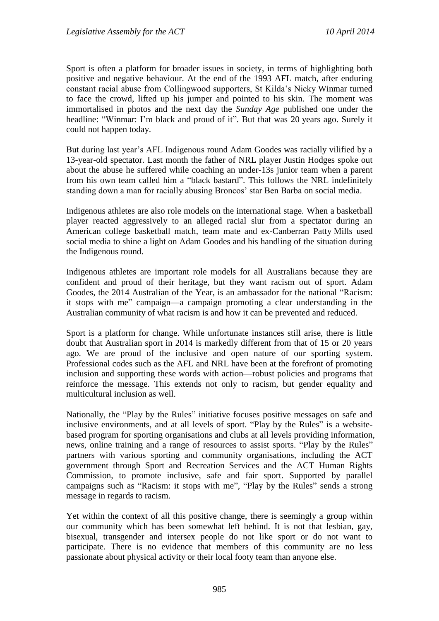Sport is often a platform for broader issues in society, in terms of highlighting both positive and negative behaviour. At the end of the 1993 AFL match, after enduring constant racial abuse from Collingwood supporters, St Kilda's Nicky Winmar turned to face the crowd, lifted up his jumper and pointed to his skin. The moment was immortalised in photos and the next day the *Sunday Age* published one under the headline: "Winmar: I'm black and proud of it". But that was 20 years ago. Surely it could not happen today.

But during last year's AFL Indigenous round Adam Goodes was racially vilified by a 13-year-old spectator. Last month the father of NRL player Justin Hodges spoke out about the abuse he suffered while coaching an under-13s junior team when a parent from his own team called him a "black bastard". This follows the NRL indefinitely standing down a man for racially abusing Broncos' star Ben Barba on social media.

Indigenous athletes are also role models on the international stage. When a basketball player reacted aggressively to an alleged racial slur from a spectator during an American college basketball match, team mate and ex-Canberran Patty Mills used social media to shine a light on Adam Goodes and his handling of the situation during the Indigenous round.

Indigenous athletes are important role models for all Australians because they are confident and proud of their heritage, but they want racism out of sport. Adam Goodes, the 2014 Australian of the Year, is an ambassador for the national "Racism: it stops with me" campaign—a campaign promoting a clear understanding in the Australian community of what racism is and how it can be prevented and reduced.

Sport is a platform for change. While unfortunate instances still arise, there is little doubt that Australian sport in 2014 is markedly different from that of 15 or 20 years ago. We are proud of the inclusive and open nature of our sporting system. Professional codes such as the AFL and NRL have been at the forefront of promoting inclusion and supporting these words with action—robust policies and programs that reinforce the message. This extends not only to racism, but gender equality and multicultural inclusion as well.

Nationally, the "Play by the Rules" initiative focuses positive messages on safe and inclusive environments, and at all levels of sport. "Play by the Rules" is a websitebased program for sporting organisations and clubs at all levels providing information, news, online training and a range of resources to assist sports. "Play by the Rules" partners with various sporting and community organisations, including the ACT government through Sport and Recreation Services and the ACT Human Rights Commission, to promote inclusive, safe and fair sport. Supported by parallel campaigns such as "Racism: it stops with me", "Play by the Rules" sends a strong message in regards to racism.

Yet within the context of all this positive change, there is seemingly a group within our community which has been somewhat left behind. It is not that lesbian, gay, bisexual, transgender and intersex people do not like sport or do not want to participate. There is no evidence that members of this community are no less passionate about physical activity or their local footy team than anyone else.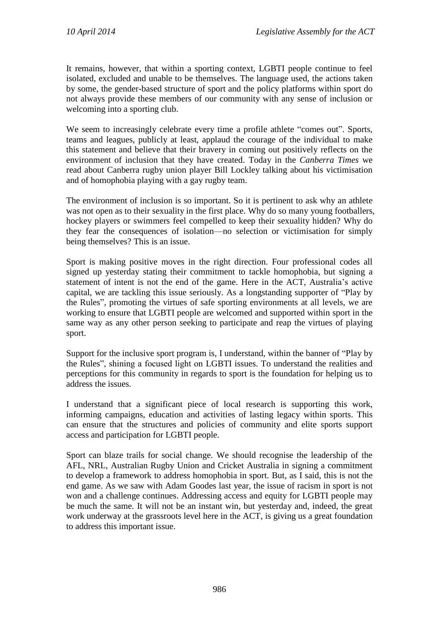It remains, however, that within a sporting context, LGBTI people continue to feel isolated, excluded and unable to be themselves. The language used, the actions taken by some, the gender-based structure of sport and the policy platforms within sport do not always provide these members of our community with any sense of inclusion or welcoming into a sporting club.

We seem to increasingly celebrate every time a profile athlete "comes out". Sports, teams and leagues, publicly at least, applaud the courage of the individual to make this statement and believe that their bravery in coming out positively reflects on the environment of inclusion that they have created. Today in the *Canberra Times* we read about Canberra rugby union player Bill Lockley talking about his victimisation and of homophobia playing with a gay rugby team.

The environment of inclusion is so important. So it is pertinent to ask why an athlete was not open as to their sexuality in the first place. Why do so many young footballers, hockey players or swimmers feel compelled to keep their sexuality hidden? Why do they fear the consequences of isolation—no selection or victimisation for simply being themselves? This is an issue.

Sport is making positive moves in the right direction. Four professional codes all signed up yesterday stating their commitment to tackle homophobia, but signing a statement of intent is not the end of the game. Here in the ACT, Australia's active capital, we are tackling this issue seriously. As a longstanding supporter of "Play by the Rules", promoting the virtues of safe sporting environments at all levels, we are working to ensure that LGBTI people are welcomed and supported within sport in the same way as any other person seeking to participate and reap the virtues of playing sport.

Support for the inclusive sport program is, I understand, within the banner of "Play by the Rules", shining a focused light on LGBTI issues. To understand the realities and perceptions for this community in regards to sport is the foundation for helping us to address the issues.

I understand that a significant piece of local research is supporting this work, informing campaigns, education and activities of lasting legacy within sports. This can ensure that the structures and policies of community and elite sports support access and participation for LGBTI people.

Sport can blaze trails for social change. We should recognise the leadership of the AFL, NRL, Australian Rugby Union and Cricket Australia in signing a commitment to develop a framework to address homophobia in sport. But, as I said, this is not the end game. As we saw with Adam Goodes last year, the issue of racism in sport is not won and a challenge continues. Addressing access and equity for LGBTI people may be much the same. It will not be an instant win, but yesterday and, indeed, the great work underway at the grassroots level here in the ACT, is giving us a great foundation to address this important issue.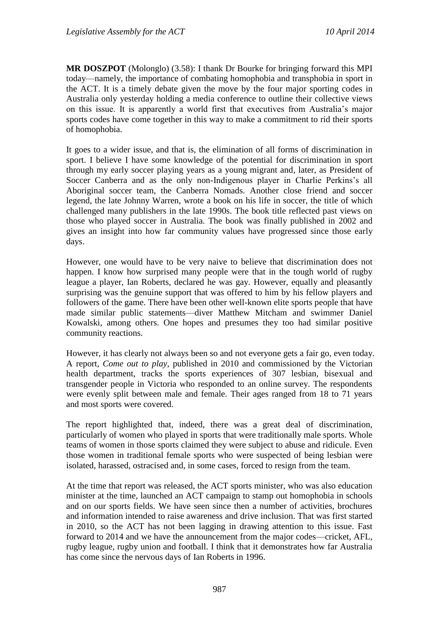**MR DOSZPOT** (Molonglo) (3.58): I thank Dr Bourke for bringing forward this MPI today—namely, the importance of combating homophobia and transphobia in sport in the ACT. It is a timely debate given the move by the four major sporting codes in Australia only yesterday holding a media conference to outline their collective views on this issue. It is apparently a world first that executives from Australia's major sports codes have come together in this way to make a commitment to rid their sports of homophobia.

It goes to a wider issue, and that is, the elimination of all forms of discrimination in sport. I believe I have some knowledge of the potential for discrimination in sport through my early soccer playing years as a young migrant and, later, as President of Soccer Canberra and as the only non-Indigenous player in Charlie Perkins's all Aboriginal soccer team, the Canberra Nomads. Another close friend and soccer legend, the late Johnny Warren, wrote a book on his life in soccer, the title of which challenged many publishers in the late 1990s. The book title reflected past views on those who played soccer in Australia. The book was finally published in 2002 and gives an insight into how far community values have progressed since those early days.

However, one would have to be very naive to believe that discrimination does not happen. I know how surprised many people were that in the tough world of rugby league a player, Ian Roberts, declared he was gay. However, equally and pleasantly surprising was the genuine support that was offered to him by his fellow players and followers of the game. There have been other well-known elite sports people that have made similar public statements—diver Matthew Mitcham and swimmer Daniel Kowalski, among others. One hopes and presumes they too had similar positive community reactions.

However, it has clearly not always been so and not everyone gets a fair go, even today. A report, *Come out to play*, published in 2010 and commissioned by the Victorian health department, tracks the sports experiences of 307 lesbian, bisexual and transgender people in Victoria who responded to an online survey. The respondents were evenly split between male and female. Their ages ranged from 18 to 71 years and most sports were covered.

The report highlighted that, indeed, there was a great deal of discrimination, particularly of women who played in sports that were traditionally male sports. Whole teams of women in those sports claimed they were subject to abuse and ridicule. Even those women in traditional female sports who were suspected of being lesbian were isolated, harassed, ostracised and, in some cases, forced to resign from the team.

At the time that report was released, the ACT sports minister, who was also education minister at the time, launched an ACT campaign to stamp out homophobia in schools and on our sports fields. We have seen since then a number of activities, brochures and information intended to raise awareness and drive inclusion. That was first started in 2010, so the ACT has not been lagging in drawing attention to this issue. Fast forward to 2014 and we have the announcement from the major codes—cricket, AFL, rugby league, rugby union and football. I think that it demonstrates how far Australia has come since the nervous days of Ian Roberts in 1996.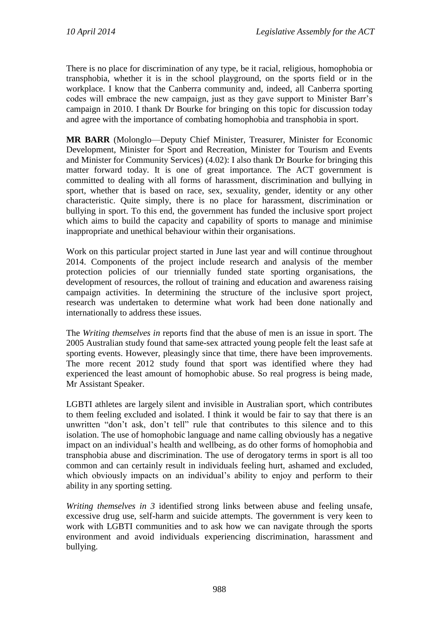There is no place for discrimination of any type, be it racial, religious, homophobia or transphobia, whether it is in the school playground, on the sports field or in the workplace. I know that the Canberra community and, indeed, all Canberra sporting codes will embrace the new campaign, just as they gave support to Minister Barr's campaign in 2010. I thank Dr Bourke for bringing on this topic for discussion today and agree with the importance of combating homophobia and transphobia in sport.

**MR BARR** (Molonglo—Deputy Chief Minister, Treasurer, Minister for Economic Development, Minister for Sport and Recreation, Minister for Tourism and Events and Minister for Community Services) (4.02): I also thank Dr Bourke for bringing this matter forward today. It is one of great importance. The ACT government is committed to dealing with all forms of harassment, discrimination and bullying in sport, whether that is based on race, sex, sexuality, gender, identity or any other characteristic. Quite simply, there is no place for harassment, discrimination or bullying in sport. To this end, the government has funded the inclusive sport project which aims to build the capacity and capability of sports to manage and minimise inappropriate and unethical behaviour within their organisations.

Work on this particular project started in June last year and will continue throughout 2014. Components of the project include research and analysis of the member protection policies of our triennially funded state sporting organisations, the development of resources, the rollout of training and education and awareness raising campaign activities. In determining the structure of the inclusive sport project, research was undertaken to determine what work had been done nationally and internationally to address these issues.

The *Writing themselves in* reports find that the abuse of men is an issue in sport. The 2005 Australian study found that same-sex attracted young people felt the least safe at sporting events. However, pleasingly since that time, there have been improvements. The more recent 2012 study found that sport was identified where they had experienced the least amount of homophobic abuse. So real progress is being made, Mr Assistant Speaker.

LGBTI athletes are largely silent and invisible in Australian sport, which contributes to them feeling excluded and isolated. I think it would be fair to say that there is an unwritten "don't ask, don't tell" rule that contributes to this silence and to this isolation. The use of homophobic language and name calling obviously has a negative impact on an individual's health and wellbeing, as do other forms of homophobia and transphobia abuse and discrimination. The use of derogatory terms in sport is all too common and can certainly result in individuals feeling hurt, ashamed and excluded, which obviously impacts on an individual's ability to enjoy and perform to their ability in any sporting setting.

*Writing themselves in 3* identified strong links between abuse and feeling unsafe, excessive drug use, self-harm and suicide attempts. The government is very keen to work with LGBTI communities and to ask how we can navigate through the sports environment and avoid individuals experiencing discrimination, harassment and bullying.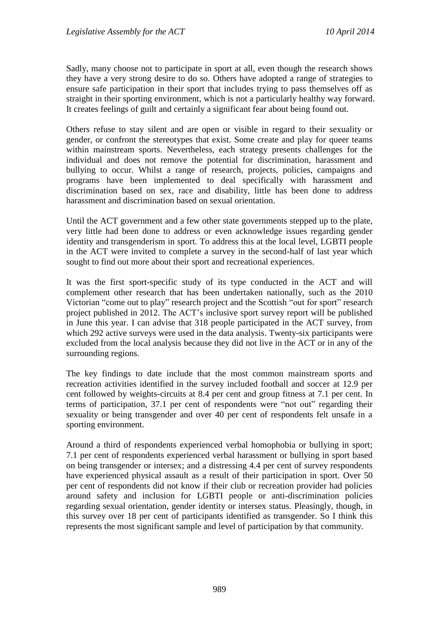Sadly, many choose not to participate in sport at all, even though the research shows they have a very strong desire to do so. Others have adopted a range of strategies to ensure safe participation in their sport that includes trying to pass themselves off as straight in their sporting environment, which is not a particularly healthy way forward. It creates feelings of guilt and certainly a significant fear about being found out.

Others refuse to stay silent and are open or visible in regard to their sexuality or gender, or confront the stereotypes that exist. Some create and play for queer teams within mainstream sports. Nevertheless, each strategy presents challenges for the individual and does not remove the potential for discrimination, harassment and bullying to occur. Whilst a range of research, projects, policies, campaigns and programs have been implemented to deal specifically with harassment and discrimination based on sex, race and disability, little has been done to address harassment and discrimination based on sexual orientation.

Until the ACT government and a few other state governments stepped up to the plate, very little had been done to address or even acknowledge issues regarding gender identity and transgenderism in sport. To address this at the local level, LGBTI people in the ACT were invited to complete a survey in the second-half of last year which sought to find out more about their sport and recreational experiences.

It was the first sport-specific study of its type conducted in the ACT and will complement other research that has been undertaken nationally, such as the 2010 Victorian "come out to play" research project and the Scottish "out for sport" research project published in 2012. The ACT's inclusive sport survey report will be published in June this year. I can advise that 318 people participated in the ACT survey, from which 292 active surveys were used in the data analysis. Twenty-six participants were excluded from the local analysis because they did not live in the ACT or in any of the surrounding regions.

The key findings to date include that the most common mainstream sports and recreation activities identified in the survey included football and soccer at 12.9 per cent followed by weights-circuits at 8.4 per cent and group fitness at 7.1 per cent. In terms of participation, 37.1 per cent of respondents were "not out" regarding their sexuality or being transgender and over 40 per cent of respondents felt unsafe in a sporting environment.

Around a third of respondents experienced verbal homophobia or bullying in sport; 7.1 per cent of respondents experienced verbal harassment or bullying in sport based on being transgender or intersex; and a distressing 4.4 per cent of survey respondents have experienced physical assault as a result of their participation in sport. Over 50 per cent of respondents did not know if their club or recreation provider had policies around safety and inclusion for LGBTI people or anti-discrimination policies regarding sexual orientation, gender identity or intersex status. Pleasingly, though, in this survey over 18 per cent of participants identified as transgender. So I think this represents the most significant sample and level of participation by that community.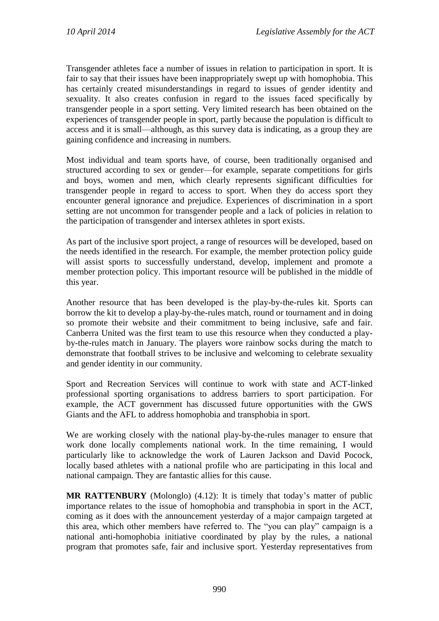Transgender athletes face a number of issues in relation to participation in sport. It is fair to say that their issues have been inappropriately swept up with homophobia. This has certainly created misunderstandings in regard to issues of gender identity and sexuality. It also creates confusion in regard to the issues faced specifically by transgender people in a sport setting. Very limited research has been obtained on the experiences of transgender people in sport, partly because the population is difficult to access and it is small—although, as this survey data is indicating, as a group they are gaining confidence and increasing in numbers.

Most individual and team sports have, of course, been traditionally organised and structured according to sex or gender—for example, separate competitions for girls and boys, women and men, which clearly represents significant difficulties for transgender people in regard to access to sport. When they do access sport they encounter general ignorance and prejudice. Experiences of discrimination in a sport setting are not uncommon for transgender people and a lack of policies in relation to the participation of transgender and intersex athletes in sport exists.

As part of the inclusive sport project, a range of resources will be developed, based on the needs identified in the research. For example, the member protection policy guide will assist sports to successfully understand, develop, implement and promote a member protection policy. This important resource will be published in the middle of this year.

Another resource that has been developed is the play-by-the-rules kit. Sports can borrow the kit to develop a play-by-the-rules match, round or tournament and in doing so promote their website and their commitment to being inclusive, safe and fair. Canberra United was the first team to use this resource when they conducted a playby-the-rules match in January. The players wore rainbow socks during the match to demonstrate that football strives to be inclusive and welcoming to celebrate sexuality and gender identity in our community.

Sport and Recreation Services will continue to work with state and ACT-linked professional sporting organisations to address barriers to sport participation. For example, the ACT government has discussed future opportunities with the GWS Giants and the AFL to address homophobia and transphobia in sport.

We are working closely with the national play-by-the-rules manager to ensure that work done locally complements national work. In the time remaining, I would particularly like to acknowledge the work of Lauren Jackson and David Pocock, locally based athletes with a national profile who are participating in this local and national campaign. They are fantastic allies for this cause.

**MR RATTENBURY** (Molonglo) (4.12): It is timely that today's matter of public importance relates to the issue of homophobia and transphobia in sport in the ACT, coming as it does with the announcement yesterday of a major campaign targeted at this area, which other members have referred to. The "you can play" campaign is a national anti-homophobia initiative coordinated by play by the rules, a national program that promotes safe, fair and inclusive sport. Yesterday representatives from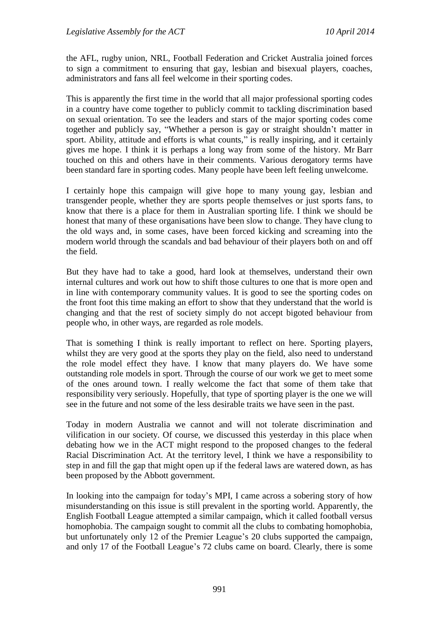the AFL, rugby union, NRL, Football Federation and Cricket Australia joined forces to sign a commitment to ensuring that gay, lesbian and bisexual players, coaches, administrators and fans all feel welcome in their sporting codes.

This is apparently the first time in the world that all major professional sporting codes in a country have come together to publicly commit to tackling discrimination based on sexual orientation. To see the leaders and stars of the major sporting codes come together and publicly say, "Whether a person is gay or straight shouldn't matter in sport. Ability, attitude and efforts is what counts," is really inspiring, and it certainly gives me hope. I think it is perhaps a long way from some of the history. Mr Barr touched on this and others have in their comments. Various derogatory terms have been standard fare in sporting codes. Many people have been left feeling unwelcome.

I certainly hope this campaign will give hope to many young gay, lesbian and transgender people, whether they are sports people themselves or just sports fans, to know that there is a place for them in Australian sporting life. I think we should be honest that many of these organisations have been slow to change. They have clung to the old ways and, in some cases, have been forced kicking and screaming into the modern world through the scandals and bad behaviour of their players both on and off the field.

But they have had to take a good, hard look at themselves, understand their own internal cultures and work out how to shift those cultures to one that is more open and in line with contemporary community values. It is good to see the sporting codes on the front foot this time making an effort to show that they understand that the world is changing and that the rest of society simply do not accept bigoted behaviour from people who, in other ways, are regarded as role models.

That is something I think is really important to reflect on here. Sporting players, whilst they are very good at the sports they play on the field, also need to understand the role model effect they have. I know that many players do. We have some outstanding role models in sport. Through the course of our work we get to meet some of the ones around town. I really welcome the fact that some of them take that responsibility very seriously. Hopefully, that type of sporting player is the one we will see in the future and not some of the less desirable traits we have seen in the past.

Today in modern Australia we cannot and will not tolerate discrimination and vilification in our society. Of course, we discussed this yesterday in this place when debating how we in the ACT might respond to the proposed changes to the federal Racial Discrimination Act. At the territory level, I think we have a responsibility to step in and fill the gap that might open up if the federal laws are watered down, as has been proposed by the Abbott government.

In looking into the campaign for today's MPI, I came across a sobering story of how misunderstanding on this issue is still prevalent in the sporting world. Apparently, the English Football League attempted a similar campaign, which it called football versus homophobia. The campaign sought to commit all the clubs to combating homophobia, but unfortunately only 12 of the Premier League's 20 clubs supported the campaign, and only 17 of the Football League's 72 clubs came on board. Clearly, there is some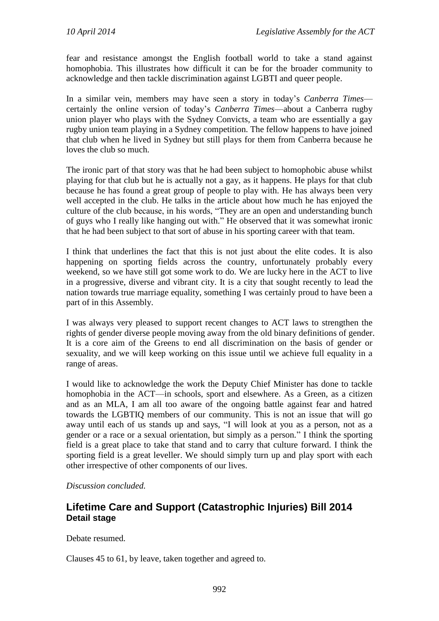fear and resistance amongst the English football world to take a stand against homophobia. This illustrates how difficult it can be for the broader community to acknowledge and then tackle discrimination against LGBTI and queer people.

In a similar vein, members may have seen a story in today's *Canberra Times* certainly the online version of today's *Canberra Times*—about a Canberra rugby union player who plays with the Sydney Convicts, a team who are essentially a gay rugby union team playing in a Sydney competition. The fellow happens to have joined that club when he lived in Sydney but still plays for them from Canberra because he loves the club so much.

The ironic part of that story was that he had been subject to homophobic abuse whilst playing for that club but he is actually not a gay, as it happens. He plays for that club because he has found a great group of people to play with. He has always been very well accepted in the club. He talks in the article about how much he has enjoyed the culture of the club because, in his words, "They are an open and understanding bunch of guys who I really like hanging out with." He observed that it was somewhat ironic that he had been subject to that sort of abuse in his sporting career with that team.

I think that underlines the fact that this is not just about the elite codes. It is also happening on sporting fields across the country, unfortunately probably every weekend, so we have still got some work to do. We are lucky here in the ACT to live in a progressive, diverse and vibrant city. It is a city that sought recently to lead the nation towards true marriage equality, something I was certainly proud to have been a part of in this Assembly.

I was always very pleased to support recent changes to ACT laws to strengthen the rights of gender diverse people moving away from the old binary definitions of gender. It is a core aim of the Greens to end all discrimination on the basis of gender or sexuality, and we will keep working on this issue until we achieve full equality in a range of areas.

I would like to acknowledge the work the Deputy Chief Minister has done to tackle homophobia in the ACT—in schools, sport and elsewhere. As a Green, as a citizen and as an MLA, I am all too aware of the ongoing battle against fear and hatred towards the LGBTIQ members of our community. This is not an issue that will go away until each of us stands up and says, "I will look at you as a person, not as a gender or a race or a sexual orientation, but simply as a person." I think the sporting field is a great place to take that stand and to carry that culture forward. I think the sporting field is a great leveller. We should simply turn up and play sport with each other irrespective of other components of our lives.

## *Discussion concluded.*

# **Lifetime Care and Support (Catastrophic Injuries) Bill 2014 Detail stage**

Debate resumed.

Clauses 45 to 61, by leave, taken together and agreed to.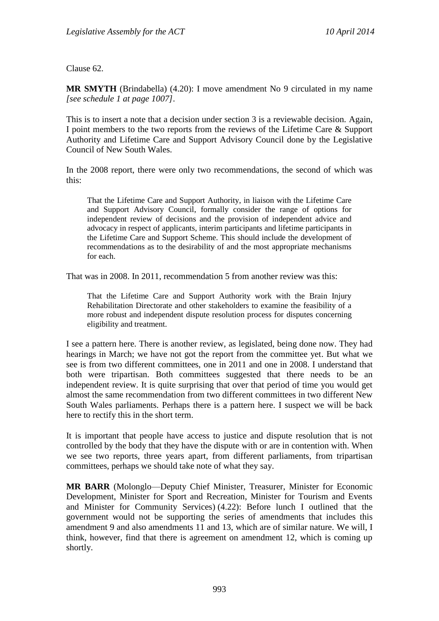Clause 62.

**MR SMYTH** (Brindabella) (4.20): I move amendment No 9 circulated in my name *[see schedule 1 at page 1007]*.

This is to insert a note that a decision under section 3 is a reviewable decision. Again, I point members to the two reports from the reviews of the Lifetime Care & Support Authority and Lifetime Care and Support Advisory Council done by the Legislative Council of New South Wales.

In the 2008 report, there were only two recommendations, the second of which was this:

That the Lifetime Care and Support Authority, in liaison with the Lifetime Care and Support Advisory Council, formally consider the range of options for independent review of decisions and the provision of independent advice and advocacy in respect of applicants, interim participants and lifetime participants in the Lifetime Care and Support Scheme. This should include the development of recommendations as to the desirability of and the most appropriate mechanisms for each.

That was in 2008. In 2011, recommendation 5 from another review was this:

That the Lifetime Care and Support Authority work with the Brain Injury Rehabilitation Directorate and other stakeholders to examine the feasibility of a more robust and independent dispute resolution process for disputes concerning eligibility and treatment.

I see a pattern here. There is another review, as legislated, being done now. They had hearings in March; we have not got the report from the committee yet. But what we see is from two different committees, one in 2011 and one in 2008. I understand that both were tripartisan. Both committees suggested that there needs to be an independent review. It is quite surprising that over that period of time you would get almost the same recommendation from two different committees in two different New South Wales parliaments. Perhaps there is a pattern here. I suspect we will be back here to rectify this in the short term.

It is important that people have access to justice and dispute resolution that is not controlled by the body that they have the dispute with or are in contention with. When we see two reports, three years apart, from different parliaments, from tripartisan committees, perhaps we should take note of what they say.

**MR BARR** (Molonglo—Deputy Chief Minister, Treasurer, Minister for Economic Development, Minister for Sport and Recreation, Minister for Tourism and Events and Minister for Community Services) (4.22): Before lunch I outlined that the government would not be supporting the series of amendments that includes this amendment 9 and also amendments 11 and 13, which are of similar nature. We will, I think, however, find that there is agreement on amendment 12, which is coming up shortly.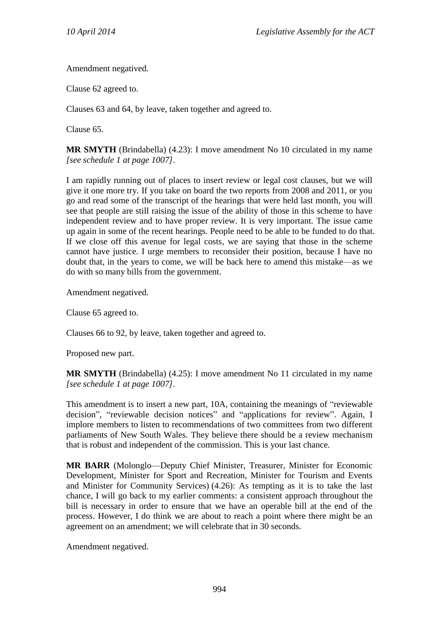Amendment negatived.

Clause 62 agreed to.

Clauses 63 and 64, by leave, taken together and agreed to.

Clause 65.

**MR SMYTH** (Brindabella) (4.23): I move amendment No 10 circulated in my name *[see schedule 1 at page 1007]*.

I am rapidly running out of places to insert review or legal cost clauses, but we will give it one more try. If you take on board the two reports from 2008 and 2011, or you go and read some of the transcript of the hearings that were held last month, you will see that people are still raising the issue of the ability of those in this scheme to have independent review and to have proper review. It is very important. The issue came up again in some of the recent hearings. People need to be able to be funded to do that. If we close off this avenue for legal costs, we are saying that those in the scheme cannot have justice. I urge members to reconsider their position, because I have no doubt that, in the years to come, we will be back here to amend this mistake—as we do with so many bills from the government.

Amendment negatived.

Clause 65 agreed to.

Clauses 66 to 92, by leave, taken together and agreed to.

Proposed new part.

**MR SMYTH** (Brindabella) (4.25): I move amendment No 11 circulated in my name *[see schedule 1 at page 1007]*.

This amendment is to insert a new part, 10A, containing the meanings of "reviewable decision", "reviewable decision notices" and "applications for review". Again, I implore members to listen to recommendations of two committees from two different parliaments of New South Wales. They believe there should be a review mechanism that is robust and independent of the commission. This is your last chance.

**MR BARR** (Molonglo—Deputy Chief Minister, Treasurer, Minister for Economic Development, Minister for Sport and Recreation, Minister for Tourism and Events and Minister for Community Services) (4.26): As tempting as it is to take the last chance, I will go back to my earlier comments: a consistent approach throughout the bill is necessary in order to ensure that we have an operable bill at the end of the process. However, I do think we are about to reach a point where there might be an agreement on an amendment; we will celebrate that in 30 seconds.

Amendment negatived.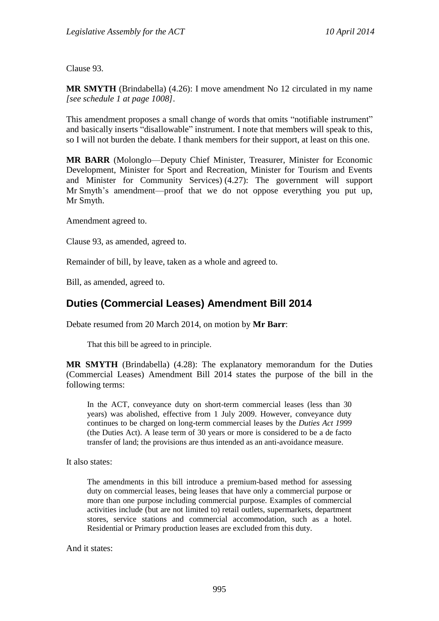Clause 93.

**MR SMYTH** (Brindabella) (4.26): I move amendment No 12 circulated in my name *[see schedule 1 at page 1008]*.

This amendment proposes a small change of words that omits "notifiable instrument" and basically inserts "disallowable" instrument. I note that members will speak to this, so I will not burden the debate. I thank members for their support, at least on this one.

**MR BARR** (Molonglo—Deputy Chief Minister, Treasurer, Minister for Economic Development, Minister for Sport and Recreation, Minister for Tourism and Events and Minister for Community Services) (4.27): The government will support Mr Smyth's amendment—proof that we do not oppose everything you put up, Mr Smyth.

Amendment agreed to.

Clause 93, as amended, agreed to.

Remainder of bill, by leave, taken as a whole and agreed to.

Bill, as amended, agreed to.

# **Duties (Commercial Leases) Amendment Bill 2014**

Debate resumed from 20 March 2014, on motion by **Mr Barr**:

That this bill be agreed to in principle.

**MR SMYTH** (Brindabella) (4.28): The explanatory memorandum for the Duties (Commercial Leases) Amendment Bill 2014 states the purpose of the bill in the following terms:

In the ACT, conveyance duty on short-term commercial leases (less than 30 years) was abolished, effective from 1 July 2009. However, conveyance duty continues to be charged on long-term commercial leases by the *Duties Act 1999*  (the Duties Act). A lease term of 30 years or more is considered to be a de facto transfer of land; the provisions are thus intended as an anti-avoidance measure.

It also states:

The amendments in this bill introduce a premium-based method for assessing duty on commercial leases, being leases that have only a commercial purpose or more than one purpose including commercial purpose. Examples of commercial activities include (but are not limited to) retail outlets, supermarkets, department stores, service stations and commercial accommodation, such as a hotel. Residential or Primary production leases are excluded from this duty.

And it states: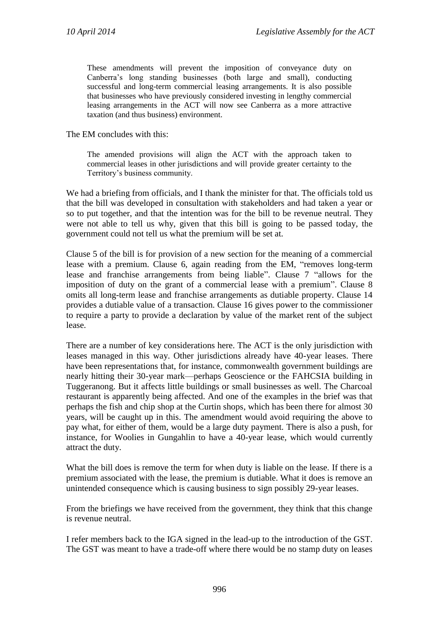These amendments will prevent the imposition of conveyance duty on Canberra's long standing businesses (both large and small), conducting successful and long-term commercial leasing arrangements. It is also possible that businesses who have previously considered investing in lengthy commercial leasing arrangements in the ACT will now see Canberra as a more attractive taxation (and thus business) environment.

The EM concludes with this:

The amended provisions will align the ACT with the approach taken to commercial leases in other jurisdictions and will provide greater certainty to the Territory's business community.

We had a briefing from officials, and I thank the minister for that. The officials told us that the bill was developed in consultation with stakeholders and had taken a year or so to put together, and that the intention was for the bill to be revenue neutral. They were not able to tell us why, given that this bill is going to be passed today, the government could not tell us what the premium will be set at.

Clause 5 of the bill is for provision of a new section for the meaning of a commercial lease with a premium. Clause 6, again reading from the EM, "removes long-term lease and franchise arrangements from being liable". Clause 7 "allows for the imposition of duty on the grant of a commercial lease with a premium". Clause 8 omits all long-term lease and franchise arrangements as dutiable property. Clause 14 provides a dutiable value of a transaction. Clause 16 gives power to the commissioner to require a party to provide a declaration by value of the market rent of the subject lease.

There are a number of key considerations here. The ACT is the only jurisdiction with leases managed in this way. Other jurisdictions already have 40-year leases. There have been representations that, for instance, commonwealth government buildings are nearly hitting their 30-year mark—perhaps Geoscience or the FAHCSIA building in Tuggeranong. But it affects little buildings or small businesses as well. The Charcoal restaurant is apparently being affected. And one of the examples in the brief was that perhaps the fish and chip shop at the Curtin shops, which has been there for almost 30 years, will be caught up in this. The amendment would avoid requiring the above to pay what, for either of them, would be a large duty payment. There is also a push, for instance, for Woolies in Gungahlin to have a 40-year lease, which would currently attract the duty.

What the bill does is remove the term for when duty is liable on the lease. If there is a premium associated with the lease, the premium is dutiable. What it does is remove an unintended consequence which is causing business to sign possibly 29-year leases.

From the briefings we have received from the government, they think that this change is revenue neutral.

I refer members back to the IGA signed in the lead-up to the introduction of the GST. The GST was meant to have a trade-off where there would be no stamp duty on leases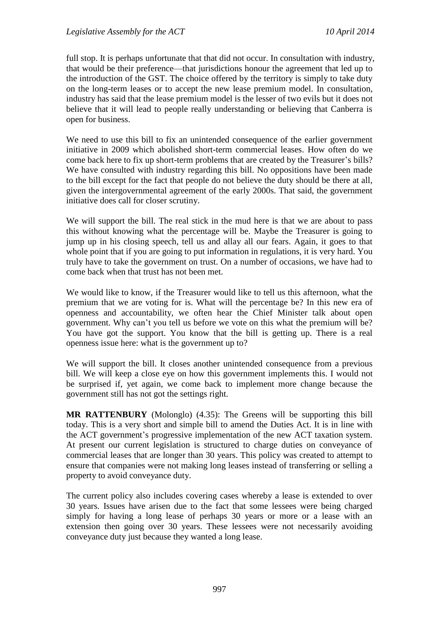full stop. It is perhaps unfortunate that that did not occur. In consultation with industry, that would be their preference—that jurisdictions honour the agreement that led up to the introduction of the GST. The choice offered by the territory is simply to take duty on the long-term leases or to accept the new lease premium model. In consultation, industry has said that the lease premium model is the lesser of two evils but it does not believe that it will lead to people really understanding or believing that Canberra is open for business.

We need to use this bill to fix an unintended consequence of the earlier government initiative in 2009 which abolished short-term commercial leases. How often do we come back here to fix up short-term problems that are created by the Treasurer's bills? We have consulted with industry regarding this bill. No oppositions have been made to the bill except for the fact that people do not believe the duty should be there at all, given the intergovernmental agreement of the early 2000s. That said, the government initiative does call for closer scrutiny.

We will support the bill. The real stick in the mud here is that we are about to pass this without knowing what the percentage will be. Maybe the Treasurer is going to jump up in his closing speech, tell us and allay all our fears. Again, it goes to that whole point that if you are going to put information in regulations, it is very hard. You truly have to take the government on trust. On a number of occasions, we have had to come back when that trust has not been met.

We would like to know, if the Treasurer would like to tell us this afternoon, what the premium that we are voting for is. What will the percentage be? In this new era of openness and accountability, we often hear the Chief Minister talk about open government. Why can't you tell us before we vote on this what the premium will be? You have got the support. You know that the bill is getting up. There is a real openness issue here: what is the government up to?

We will support the bill. It closes another unintended consequence from a previous bill. We will keep a close eye on how this government implements this. I would not be surprised if, yet again, we come back to implement more change because the government still has not got the settings right.

**MR RATTENBURY** (Molonglo) (4.35): The Greens will be supporting this bill today. This is a very short and simple bill to amend the Duties Act. It is in line with the ACT government's progressive implementation of the new ACT taxation system. At present our current legislation is structured to charge duties on conveyance of commercial leases that are longer than 30 years. This policy was created to attempt to ensure that companies were not making long leases instead of transferring or selling a property to avoid conveyance duty.

The current policy also includes covering cases whereby a lease is extended to over 30 years. Issues have arisen due to the fact that some lessees were being charged simply for having a long lease of perhaps 30 years or more or a lease with an extension then going over 30 years. These lessees were not necessarily avoiding conveyance duty just because they wanted a long lease.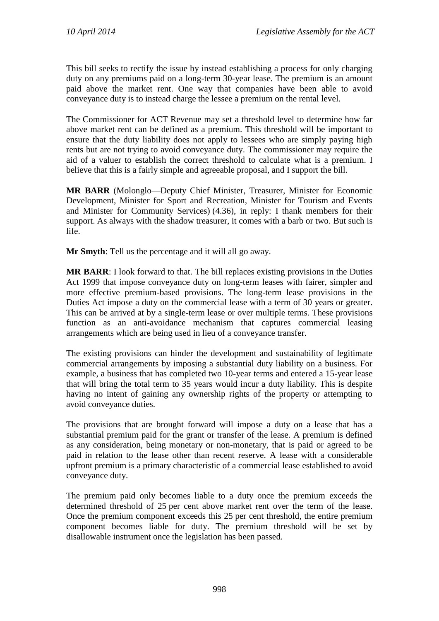This bill seeks to rectify the issue by instead establishing a process for only charging duty on any premiums paid on a long-term 30-year lease. The premium is an amount paid above the market rent. One way that companies have been able to avoid conveyance duty is to instead charge the lessee a premium on the rental level.

The Commissioner for ACT Revenue may set a threshold level to determine how far above market rent can be defined as a premium. This threshold will be important to ensure that the duty liability does not apply to lessees who are simply paying high rents but are not trying to avoid conveyance duty. The commissioner may require the aid of a valuer to establish the correct threshold to calculate what is a premium. I believe that this is a fairly simple and agreeable proposal, and I support the bill.

**MR BARR** (Molonglo—Deputy Chief Minister, Treasurer, Minister for Economic Development, Minister for Sport and Recreation, Minister for Tourism and Events and Minister for Community Services) (4.36), in reply: I thank members for their support. As always with the shadow treasurer, it comes with a barb or two. But such is life.

**Mr Smyth**: Tell us the percentage and it will all go away.

**MR BARR**: I look forward to that. The bill replaces existing provisions in the Duties Act 1999 that impose conveyance duty on long-term leases with fairer, simpler and more effective premium-based provisions. The long-term lease provisions in the Duties Act impose a duty on the commercial lease with a term of 30 years or greater. This can be arrived at by a single-term lease or over multiple terms. These provisions function as an anti-avoidance mechanism that captures commercial leasing arrangements which are being used in lieu of a conveyance transfer.

The existing provisions can hinder the development and sustainability of legitimate commercial arrangements by imposing a substantial duty liability on a business. For example, a business that has completed two 10-year terms and entered a 15-year lease that will bring the total term to 35 years would incur a duty liability. This is despite having no intent of gaining any ownership rights of the property or attempting to avoid conveyance duties.

The provisions that are brought forward will impose a duty on a lease that has a substantial premium paid for the grant or transfer of the lease. A premium is defined as any consideration, being monetary or non-monetary, that is paid or agreed to be paid in relation to the lease other than recent reserve. A lease with a considerable upfront premium is a primary characteristic of a commercial lease established to avoid conveyance duty.

The premium paid only becomes liable to a duty once the premium exceeds the determined threshold of 25 per cent above market rent over the term of the lease. Once the premium component exceeds this 25 per cent threshold, the entire premium component becomes liable for duty. The premium threshold will be set by disallowable instrument once the legislation has been passed.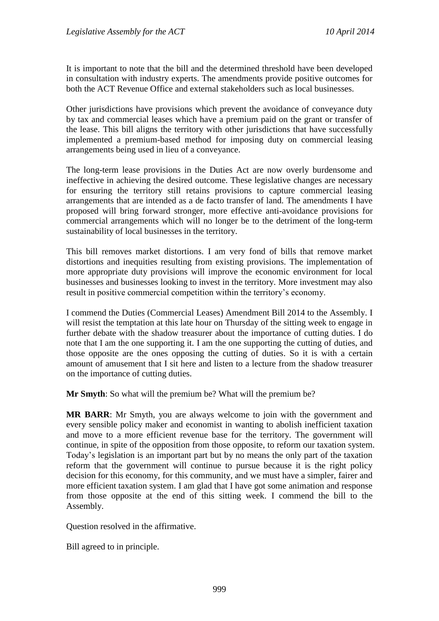It is important to note that the bill and the determined threshold have been developed in consultation with industry experts. The amendments provide positive outcomes for both the ACT Revenue Office and external stakeholders such as local businesses.

Other jurisdictions have provisions which prevent the avoidance of conveyance duty by tax and commercial leases which have a premium paid on the grant or transfer of the lease. This bill aligns the territory with other jurisdictions that have successfully implemented a premium-based method for imposing duty on commercial leasing arrangements being used in lieu of a conveyance.

The long-term lease provisions in the Duties Act are now overly burdensome and ineffective in achieving the desired outcome. These legislative changes are necessary for ensuring the territory still retains provisions to capture commercial leasing arrangements that are intended as a de facto transfer of land. The amendments I have proposed will bring forward stronger, more effective anti-avoidance provisions for commercial arrangements which will no longer be to the detriment of the long-term sustainability of local businesses in the territory.

This bill removes market distortions. I am very fond of bills that remove market distortions and inequities resulting from existing provisions. The implementation of more appropriate duty provisions will improve the economic environment for local businesses and businesses looking to invest in the territory. More investment may also result in positive commercial competition within the territory's economy.

I commend the Duties (Commercial Leases) Amendment Bill 2014 to the Assembly. I will resist the temptation at this late hour on Thursday of the sitting week to engage in further debate with the shadow treasurer about the importance of cutting duties. I do note that I am the one supporting it. I am the one supporting the cutting of duties, and those opposite are the ones opposing the cutting of duties. So it is with a certain amount of amusement that I sit here and listen to a lecture from the shadow treasurer on the importance of cutting duties.

**Mr Smyth**: So what will the premium be? What will the premium be?

**MR BARR**: Mr Smyth, you are always welcome to join with the government and every sensible policy maker and economist in wanting to abolish inefficient taxation and move to a more efficient revenue base for the territory. The government will continue, in spite of the opposition from those opposite, to reform our taxation system. Today's legislation is an important part but by no means the only part of the taxation reform that the government will continue to pursue because it is the right policy decision for this economy, for this community, and we must have a simpler, fairer and more efficient taxation system. I am glad that I have got some animation and response from those opposite at the end of this sitting week. I commend the bill to the Assembly.

Question resolved in the affirmative.

Bill agreed to in principle.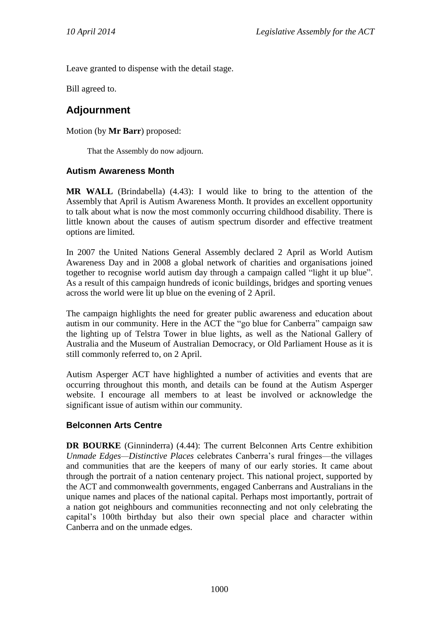Leave granted to dispense with the detail stage.

Bill agreed to.

# **Adjournment**

Motion (by **Mr Barr**) proposed:

That the Assembly do now adjourn.

### **Autism Awareness Month**

**MR WALL** (Brindabella) (4.43): I would like to bring to the attention of the Assembly that April is Autism Awareness Month. It provides an excellent opportunity to talk about what is now the most commonly occurring childhood disability. There is little known about the causes of autism spectrum disorder and effective treatment options are limited.

In 2007 the United Nations General Assembly declared 2 April as World Autism Awareness Day and in 2008 a global network of charities and organisations joined together to recognise world autism day through a campaign called "light it up blue". As a result of this campaign hundreds of iconic buildings, bridges and sporting venues across the world were lit up blue on the evening of 2 April.

The campaign highlights the need for greater public awareness and education about autism in our community. Here in the ACT the "go blue for Canberra" campaign saw the lighting up of Telstra Tower in blue lights, as well as the National Gallery of Australia and the Museum of Australian Democracy, or Old Parliament House as it is still commonly referred to, on 2 April.

Autism Asperger ACT have highlighted a number of activities and events that are occurring throughout this month, and details can be found at the Autism Asperger website. I encourage all members to at least be involved or acknowledge the significant issue of autism within our community.

## **Belconnen Arts Centre**

**DR BOURKE** (Ginninderra) (4.44): The current Belconnen Arts Centre exhibition *Unmade Edges—Distinctive Places* celebrates Canberra's rural fringes—the villages and communities that are the keepers of many of our early stories. It came about through the portrait of a nation centenary project. This national project, supported by the ACT and commonwealth governments, engaged Canberrans and Australians in the unique names and places of the national capital. Perhaps most importantly, portrait of a nation got neighbours and communities reconnecting and not only celebrating the capital's 100th birthday but also their own special place and character within Canberra and on the unmade edges.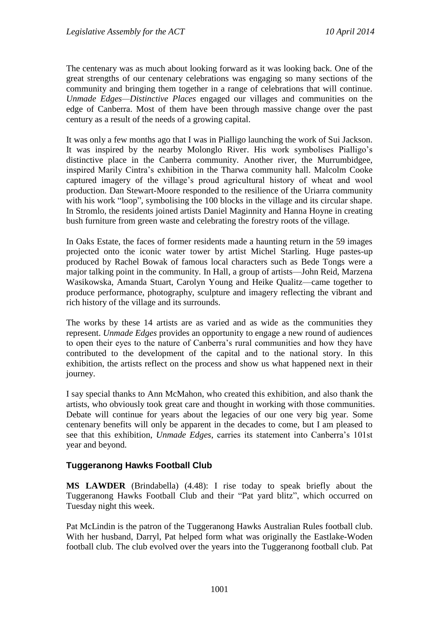The centenary was as much about looking forward as it was looking back. One of the great strengths of our centenary celebrations was engaging so many sections of the community and bringing them together in a range of celebrations that will continue. *Unmade Edges—Distinctive Places* engaged our villages and communities on the edge of Canberra. Most of them have been through massive change over the past century as a result of the needs of a growing capital.

It was only a few months ago that I was in Pialligo launching the work of Sui Jackson. It was inspired by the nearby Molonglo River. His work symbolises Pialligo's distinctive place in the Canberra community. Another river, the Murrumbidgee, inspired Marily Cintra's exhibition in the Tharwa community hall. Malcolm Cooke captured imagery of the village's proud agricultural history of wheat and wool production. Dan Stewart-Moore responded to the resilience of the Uriarra community with his work "loop", symbolising the 100 blocks in the village and its circular shape. In Stromlo, the residents joined artists Daniel Maginnity and Hanna Hoyne in creating bush furniture from green waste and celebrating the forestry roots of the village.

In Oaks Estate, the faces of former residents made a haunting return in the 59 images projected onto the iconic water tower by artist Michel Starling. Huge pastes-up produced by Rachel Bowak of famous local characters such as Bede Tongs were a major talking point in the community. In Hall, a group of artists—John Reid, Marzena Wasikowska, Amanda Stuart, Carolyn Young and Heike Qualitz—came together to produce performance, photography, sculpture and imagery reflecting the vibrant and rich history of the village and its surrounds.

The works by these 14 artists are as varied and as wide as the communities they represent. *Unmade Edges* provides an opportunity to engage a new round of audiences to open their eyes to the nature of Canberra's rural communities and how they have contributed to the development of the capital and to the national story. In this exhibition, the artists reflect on the process and show us what happened next in their journey.

I say special thanks to Ann McMahon, who created this exhibition, and also thank the artists, who obviously took great care and thought in working with those communities. Debate will continue for years about the legacies of our one very big year. Some centenary benefits will only be apparent in the decades to come, but I am pleased to see that this exhibition, *Unmade Edges*, carries its statement into Canberra's 101st year and beyond.

## **Tuggeranong Hawks Football Club**

**MS LAWDER** (Brindabella) (4.48): I rise today to speak briefly about the Tuggeranong Hawks Football Club and their "Pat yard blitz", which occurred on Tuesday night this week.

Pat McLindin is the patron of the Tuggeranong Hawks Australian Rules football club. With her husband, Darryl, Pat helped form what was originally the Eastlake-Woden football club. The club evolved over the years into the Tuggeranong football club. Pat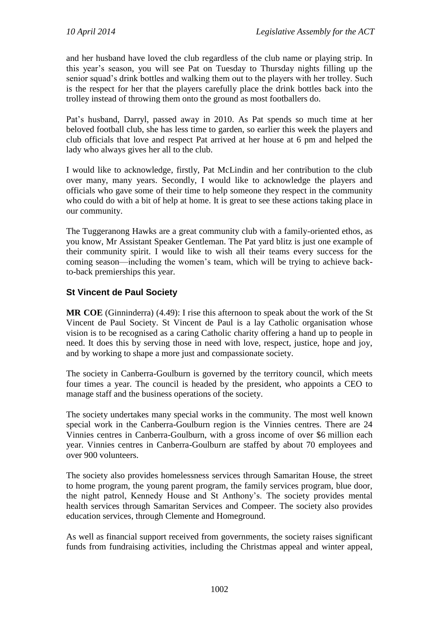and her husband have loved the club regardless of the club name or playing strip. In this year's season, you will see Pat on Tuesday to Thursday nights filling up the senior squad's drink bottles and walking them out to the players with her trolley. Such is the respect for her that the players carefully place the drink bottles back into the trolley instead of throwing them onto the ground as most footballers do.

Pat's husband, Darryl, passed away in 2010. As Pat spends so much time at her beloved football club, she has less time to garden, so earlier this week the players and club officials that love and respect Pat arrived at her house at 6 pm and helped the lady who always gives her all to the club.

I would like to acknowledge, firstly, Pat McLindin and her contribution to the club over many, many years. Secondly, I would like to acknowledge the players and officials who gave some of their time to help someone they respect in the community who could do with a bit of help at home. It is great to see these actions taking place in our community.

The Tuggeranong Hawks are a great community club with a family-oriented ethos, as you know, Mr Assistant Speaker Gentleman. The Pat yard blitz is just one example of their community spirit. I would like to wish all their teams every success for the coming season—including the women's team, which will be trying to achieve backto-back premierships this year.

## **St Vincent de Paul Society**

**MR COE** (Ginninderra) (4.49): I rise this afternoon to speak about the work of the St Vincent de Paul Society. St Vincent de Paul is a lay Catholic organisation whose vision is to be recognised as a caring Catholic charity offering a hand up to people in need. It does this by serving those in need with love, respect, justice, hope and joy, and by working to shape a more just and compassionate society.

The society in Canberra-Goulburn is governed by the territory council, which meets four times a year. The council is headed by the president, who appoints a CEO to manage staff and the business operations of the society.

The society undertakes many special works in the community. The most well known special work in the Canberra-Goulburn region is the Vinnies centres. There are 24 Vinnies centres in Canberra-Goulburn, with a gross income of over \$6 million each year. Vinnies centres in Canberra-Goulburn are staffed by about 70 employees and over 900 volunteers.

The society also provides homelessness services through Samaritan House, the street to home program, the young parent program, the family services program, blue door, the night patrol, Kennedy House and St Anthony's. The society provides mental health services through Samaritan Services and Compeer. The society also provides education services, through Clemente and Homeground.

As well as financial support received from governments, the society raises significant funds from fundraising activities, including the Christmas appeal and winter appeal,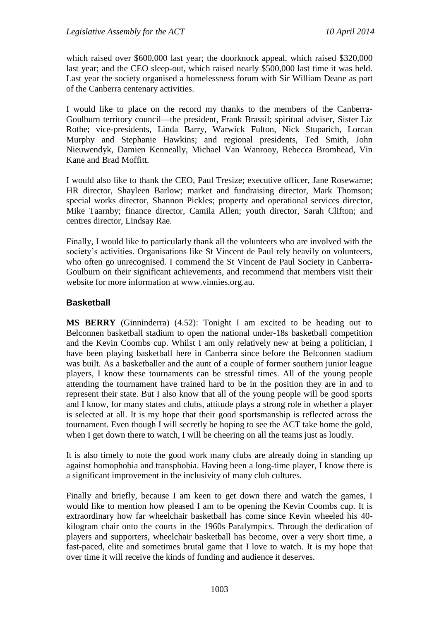which raised over \$600,000 last year; the doorknock appeal, which raised \$320,000 last year; and the CEO sleep-out, which raised nearly \$500,000 last time it was held. Last year the society organised a homelessness forum with Sir William Deane as part of the Canberra centenary activities.

I would like to place on the record my thanks to the members of the Canberra-Goulburn territory council—the president, Frank Brassil; spiritual adviser, Sister Liz Rothe; vice-presidents, Linda Barry, Warwick Fulton, Nick Stuparich, Lorcan Murphy and Stephanie Hawkins; and regional presidents, Ted Smith, John Nieuwendyk, Damien Kenneally, Michael Van Wanrooy, Rebecca Bromhead, Vin Kane and Brad Moffitt.

I would also like to thank the CEO, Paul Tresize; executive officer, Jane Rosewarne; HR director, Shayleen Barlow; market and fundraising director, Mark Thomson; special works director, Shannon Pickles; property and operational services director, Mike Taarnby; finance director, Camila Allen; youth director, Sarah Clifton; and centres director, Lindsay Rae.

Finally, I would like to particularly thank all the volunteers who are involved with the society's activities. Organisations like St Vincent de Paul rely heavily on volunteers, who often go unrecognised. I commend the St Vincent de Paul Society in Canberra-Goulburn on their significant achievements, and recommend that members visit their website for more information at www.vinnies.org.au.

## **Basketball**

**MS BERRY** (Ginninderra) (4.52): Tonight I am excited to be heading out to Belconnen basketball stadium to open the national under-18s basketball competition and the Kevin Coombs cup. Whilst I am only relatively new at being a politician, I have been playing basketball here in Canberra since before the Belconnen stadium was built. As a basketballer and the aunt of a couple of former southern junior league players, I know these tournaments can be stressful times. All of the young people attending the tournament have trained hard to be in the position they are in and to represent their state. But I also know that all of the young people will be good sports and I know, for many states and clubs, attitude plays a strong role in whether a player is selected at all. It is my hope that their good sportsmanship is reflected across the tournament. Even though I will secretly be hoping to see the ACT take home the gold, when I get down there to watch, I will be cheering on all the teams just as loudly.

It is also timely to note the good work many clubs are already doing in standing up against homophobia and transphobia. Having been a long-time player, I know there is a significant improvement in the inclusivity of many club cultures.

Finally and briefly, because I am keen to get down there and watch the games, I would like to mention how pleased I am to be opening the Kevin Coombs cup. It is extraordinary how far wheelchair basketball has come since Kevin wheeled his 40 kilogram chair onto the courts in the 1960s Paralympics. Through the dedication of players and supporters, wheelchair basketball has become, over a very short time, a fast-paced, elite and sometimes brutal game that I love to watch. It is my hope that over time it will receive the kinds of funding and audience it deserves.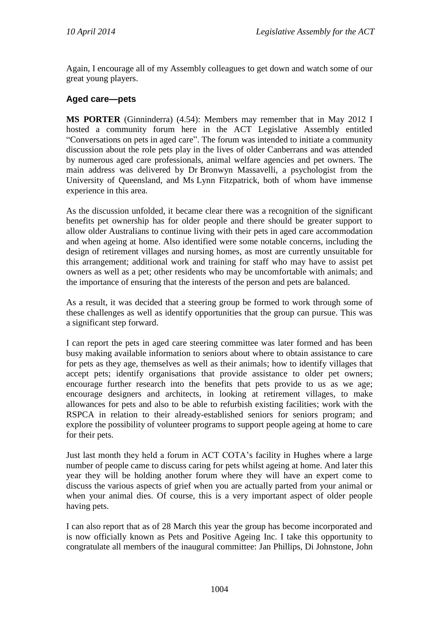Again, I encourage all of my Assembly colleagues to get down and watch some of our great young players.

## **Aged care—pets**

**MS PORTER** (Ginninderra) (4.54): Members may remember that in May 2012 I hosted a community forum here in the ACT Legislative Assembly entitled "Conversations on pets in aged care". The forum was intended to initiate a community discussion about the role pets play in the lives of older Canberrans and was attended by numerous aged care professionals, animal welfare agencies and pet owners. The main address was delivered by Dr Bronwyn Massavelli, a psychologist from the University of Queensland, and Ms Lynn Fitzpatrick, both of whom have immense experience in this area.

As the discussion unfolded, it became clear there was a recognition of the significant benefits pet ownership has for older people and there should be greater support to allow older Australians to continue living with their pets in aged care accommodation and when ageing at home. Also identified were some notable concerns, including the design of retirement villages and nursing homes, as most are currently unsuitable for this arrangement; additional work and training for staff who may have to assist pet owners as well as a pet; other residents who may be uncomfortable with animals; and the importance of ensuring that the interests of the person and pets are balanced.

As a result, it was decided that a steering group be formed to work through some of these challenges as well as identify opportunities that the group can pursue. This was a significant step forward.

I can report the pets in aged care steering committee was later formed and has been busy making available information to seniors about where to obtain assistance to care for pets as they age, themselves as well as their animals; how to identify villages that accept pets; identify organisations that provide assistance to older pet owners; encourage further research into the benefits that pets provide to us as we age; encourage designers and architects, in looking at retirement villages, to make allowances for pets and also to be able to refurbish existing facilities; work with the RSPCA in relation to their already-established seniors for seniors program; and explore the possibility of volunteer programs to support people ageing at home to care for their pets.

Just last month they held a forum in ACT COTA's facility in Hughes where a large number of people came to discuss caring for pets whilst ageing at home. And later this year they will be holding another forum where they will have an expert come to discuss the various aspects of grief when you are actually parted from your animal or when your animal dies. Of course, this is a very important aspect of older people having pets.

I can also report that as of 28 March this year the group has become incorporated and is now officially known as Pets and Positive Ageing Inc. I take this opportunity to congratulate all members of the inaugural committee: Jan Phillips, Di Johnstone, John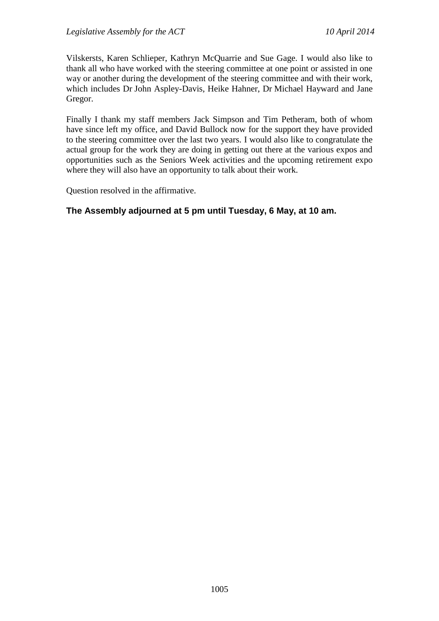Vilskersts, Karen Schlieper, Kathryn McQuarrie and Sue Gage. I would also like to thank all who have worked with the steering committee at one point or assisted in one way or another during the development of the steering committee and with their work, which includes Dr John Aspley-Davis, Heike Hahner, Dr Michael Hayward and Jane Gregor.

Finally I thank my staff members Jack Simpson and Tim Petheram, both of whom have since left my office, and David Bullock now for the support they have provided to the steering committee over the last two years. I would also like to congratulate the actual group for the work they are doing in getting out there at the various expos and opportunities such as the Seniors Week activities and the upcoming retirement expo where they will also have an opportunity to talk about their work.

Question resolved in the affirmative.

## **The Assembly adjourned at 5 pm until Tuesday, 6 May, at 10 am.**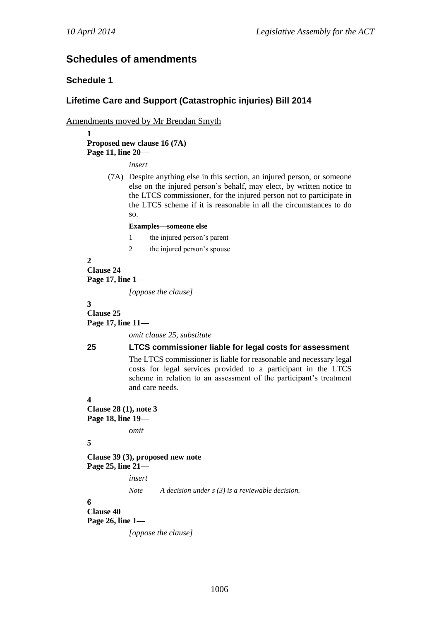# **Schedules of amendments**

### **Schedule 1**

## **Lifetime Care and Support (Catastrophic injuries) Bill 2014**

Amendments moved by Mr Brendan Smyth

**1 Proposed new clause 16 (7A) Page 11, line 20—**

*insert*

(7A) Despite anything else in this section, an injured person, or someone else on the injured person's behalf, may elect, by written notice to the LTCS commissioner, for the injured person not to participate in the LTCS scheme if it is reasonable in all the circumstances to do so.

#### **Examples—someone else**

- 1 the injured person's parent
- 2 the injured person's spouse

**2 Clause 24 Page 17, line 1—**

*[oppose the clause]*

**3**

**Clause 25 Page 17, line 11—**

*omit clause 25, substitute*

#### **25 LTCS commissioner liable for legal costs for assessment**

The LTCS commissioner is liable for reasonable and necessary legal costs for legal services provided to a participant in the LTCS scheme in relation to an assessment of the participant's treatment and care needs.

**4**

**Clause 28 (1), note 3 Page 18, line 19—**

*omit*

```
5
```
**Clause 39 (3), proposed new note Page 25, line 21—**

*insert*

*Note A decision under s (3) is a reviewable decision.*

**6**

**Clause 40 Page 26, line 1—**

*[oppose the clause]*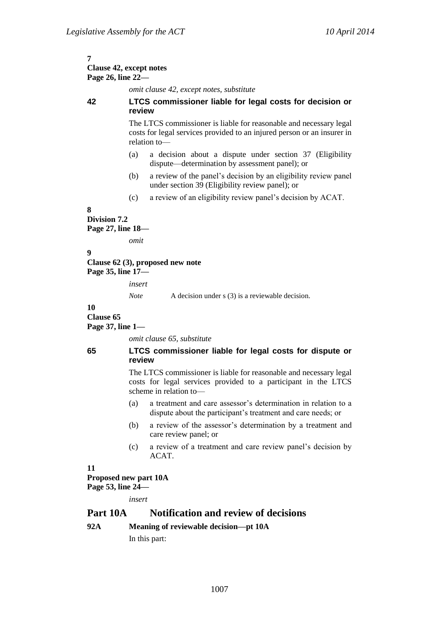#### **7 Clause 42, except notes Page 26, line 22—**

*omit clause 42, except notes, substitute*

#### **42 LTCS commissioner liable for legal costs for decision or review**

The LTCS commissioner is liable for reasonable and necessary legal costs for legal services provided to an injured person or an insurer in relation to—

- (a) a decision about a dispute under section 37 (Eligibility dispute—determination by assessment panel); or
- (b) a review of the panel's decision by an eligibility review panel under section 39 (Eligibility review panel); or
- (c) a review of an eligibility review panel's decision by ACAT.

## **8**

**Division 7.2 Page 27, line 18—**

*omit*

#### **9**

**Clause 62 (3), proposed new note Page 35, line 17—**

*insert*

*Note* A decision under s (3) is a reviewable decision.

### **10**

**Clause 65**

**Page 37, line 1—**

*omit clause 65, substitute*

### **65 LTCS commissioner liable for legal costs for dispute or review**

The LTCS commissioner is liable for reasonable and necessary legal costs for legal services provided to a participant in the LTCS scheme in relation to—

- (a) a treatment and care assessor's determination in relation to a dispute about the participant's treatment and care needs; or
- (b) a review of the assessor's determination by a treatment and care review panel; or
- (c) a review of a treatment and care review panel's decision by ACAT.

### **11**

#### **Proposed new part 10A Page 53, line 24—**

*insert*

## **Part 10A Notification and review of decisions**

## **92A Meaning of reviewable decision—pt 10A**

In this part: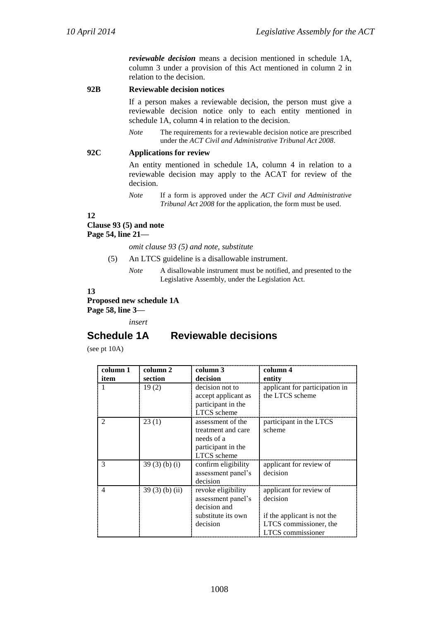*reviewable decision* means a decision mentioned in schedule 1A, column 3 under a provision of this Act mentioned in column 2 in relation to the decision.

**92B Reviewable decision notices**

If a person makes a reviewable decision, the person must give a reviewable decision notice only to each entity mentioned in schedule 1A, column 4 in relation to the decision.

*Note* The requirements for a reviewable decision notice are prescribed under the *ACT Civil and Administrative Tribunal Act 2008*.

#### **92C Applications for review**

An entity mentioned in schedule 1A, column 4 in relation to a reviewable decision may apply to the ACAT for review of the decision.

*Note* If a form is approved under the *ACT Civil and Administrative Tribunal Act 2008* for the application, the form must be used.

**12**

#### **Clause 93 (5) and note**

**Page 54, line 21—**

*omit clause 93 (5) and note, substitute*

- (5) An LTCS guideline is a disallowable instrument.
	- *Note* A disallowable instrument must be notified, and presented to the Legislative Assembly, under the Legislation Act.

#### **13**

**Proposed new schedule 1A Page 58, line 3—**

*insert*

## **Schedule 1A Reviewable decisions**

(see pt 10A)

| column 1 | column 2         | column 3                                                                                   | column 4                                                                                                                 |
|----------|------------------|--------------------------------------------------------------------------------------------|--------------------------------------------------------------------------------------------------------------------------|
| item     | section          | decision                                                                                   | entity                                                                                                                   |
|          | 19(2)            | decision not to<br>accept applicant as<br>participant in the<br><b>LTCS</b> scheme         | applicant for participation in<br>the LTCS scheme                                                                        |
|          | 23(1)            | assessment of the<br>treatment and care<br>needs of a<br>participant in the<br>LTCS scheme | participant in the LTCS<br>scheme                                                                                        |
| 3        | 39(3)(b)(i)      | confirm eligibility<br>assessment panel's<br>decision                                      | applicant for review of<br>decision                                                                                      |
| 4        | $39(3)$ (b) (ii) | revoke eligibility<br>assessment panel's<br>decision and<br>substitute its own<br>decision | applicant for review of<br>decision<br>if the applicant is not the<br>LTCS commissioner, the<br><b>LTCS</b> commissioner |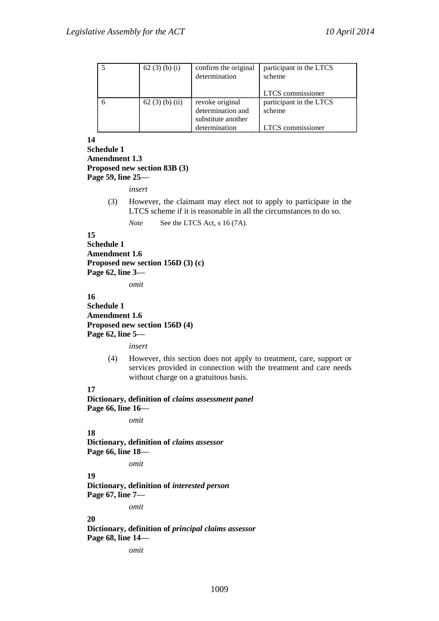| 62(3)(b)(i)      | confirm the original | participant in the LTCS |
|------------------|----------------------|-------------------------|
|                  | determination        | scheme                  |
|                  |                      |                         |
|                  |                      | LTCS commissioner       |
| $62(3)$ (b) (ii) | revoke original      | participant in the LTCS |
|                  | determination and    | scheme                  |
|                  | substitute another   |                         |
|                  | determination        | LTCS commissioner       |

**14**

```
Schedule 1
Amendment 1.3
Proposed new section 83B (3)
Page 59, line 25—
```
*insert*

(3) However, the claimant may elect not to apply to participate in the LTCS scheme if it is reasonable in all the circumstances to do so.

*Note* See the LTCS Act, s 16 (7A).

#### **15**

**Schedule 1 Amendment 1.6 Proposed new section 156D (3) (c) Page 62, line 3—**

*omit*

### **16 Schedule 1 Amendment 1.6 Proposed new section 156D (4) Page 62, line 5—**

*insert*

(4) However, this section does not apply to treatment, care, support or services provided in connection with the treatment and care needs without charge on a gratuitous basis.

### **17**

```
Dictionary, definition of claims assessment panel
Page 66, line 16—
```
*omit*

#### **18**

**Dictionary, definition of** *claims assessor* **Page 66, line 18—**

*omit*

## **19**

**Dictionary, definition of** *interested person* **Page 67, line 7—**

*omit*

### **20**

**Dictionary, definition of** *principal claims assessor* **Page 68, line 14—**

*omit*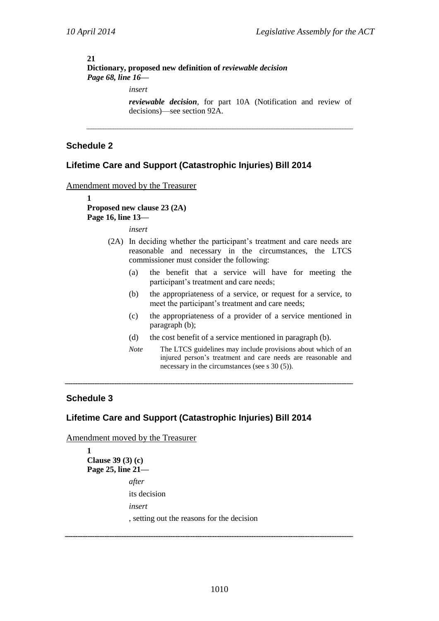### **21**

**Dictionary, proposed new definition of** *reviewable decision Page 68, line 16—*

*insert*

*reviewable decision*, for part 10A (Notification and review of decisions)—see section 92A.

## **Schedule 2**

## **Lifetime Care and Support (Catastrophic Injuries) Bill 2014**

#### Amendment moved by the Treasurer

**1 Proposed new clause 23 (2A) Page 16, line 13—**

*insert*

- (2A) In deciding whether the participant's treatment and care needs are reasonable and necessary in the circumstances, the LTCS commissioner must consider the following:
	- (a) the benefit that a service will have for meeting the participant's treatment and care needs;
	- (b) the appropriateness of a service, or request for a service, to meet the participant's treatment and care needs;
	- (c) the appropriateness of a provider of a service mentioned in paragraph (b);
	- (d) the cost benefit of a service mentioned in paragraph (b).
	- *Note* The LTCS guidelines may include provisions about which of an injured person's treatment and care needs are reasonable and necessary in the circumstances (see s 30 (5)).

### **Schedule 3**

## **Lifetime Care and Support (Catastrophic Injuries) Bill 2014**

Amendment moved by the Treasurer

```
1
Clause 39 (3) (c)
Page 25, line 21—
             after
             its decision
             insert
             , setting out the reasons for the decision
```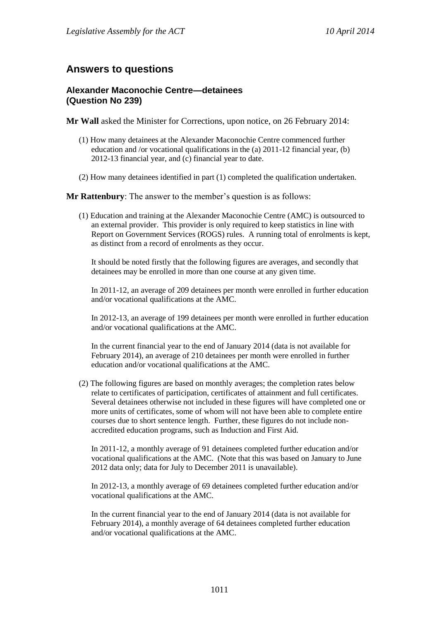# **Answers to questions**

## **Alexander Maconochie Centre—detainees (Question No 239)**

**Mr Wall** asked the Minister for Corrections, upon notice, on 26 February 2014:

- (1) How many detainees at the Alexander Maconochie Centre commenced further education and /or vocational qualifications in the (a) 2011-12 financial year, (b) 2012-13 financial year, and (c) financial year to date.
- (2) How many detainees identified in part (1) completed the qualification undertaken.

**Mr Rattenbury**: The answer to the member's question is as follows:

(1) Education and training at the Alexander Maconochie Centre (AMC) is outsourced to an external provider. This provider is only required to keep statistics in line with Report on Government Services (ROGS) rules. A running total of enrolments is kept, as distinct from a record of enrolments as they occur.

It should be noted firstly that the following figures are averages, and secondly that detainees may be enrolled in more than one course at any given time.

In 2011-12, an average of 209 detainees per month were enrolled in further education and/or vocational qualifications at the AMC.

In 2012-13, an average of 199 detainees per month were enrolled in further education and/or vocational qualifications at the AMC.

In the current financial year to the end of January 2014 (data is not available for February 2014), an average of 210 detainees per month were enrolled in further education and/or vocational qualifications at the AMC.

(2) The following figures are based on monthly averages; the completion rates below relate to certificates of participation, certificates of attainment and full certificates. Several detainees otherwise not included in these figures will have completed one or more units of certificates, some of whom will not have been able to complete entire courses due to short sentence length. Further, these figures do not include nonaccredited education programs, such as Induction and First Aid.

In 2011-12, a monthly average of 91 detainees completed further education and/or vocational qualifications at the AMC. (Note that this was based on January to June 2012 data only; data for July to December 2011 is unavailable).

In 2012-13, a monthly average of 69 detainees completed further education and/or vocational qualifications at the AMC.

In the current financial year to the end of January 2014 (data is not available for February 2014), a monthly average of 64 detainees completed further education and/or vocational qualifications at the AMC.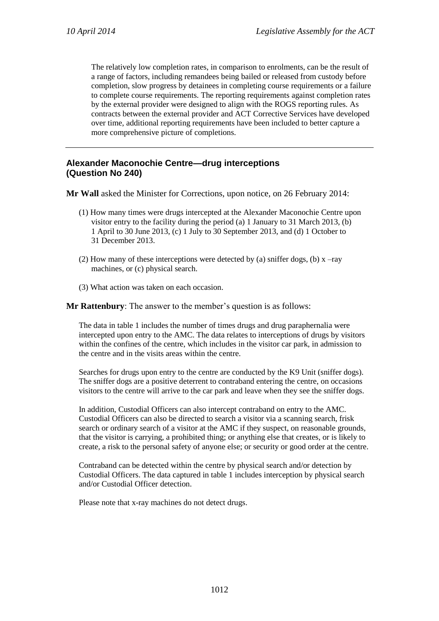The relatively low completion rates, in comparison to enrolments, can be the result of a range of factors, including remandees being bailed or released from custody before completion, slow progress by detainees in completing course requirements or a failure to complete course requirements. The reporting requirements against completion rates by the external provider were designed to align with the ROGS reporting rules. As contracts between the external provider and ACT Corrective Services have developed over time, additional reporting requirements have been included to better capture a more comprehensive picture of completions.

## **Alexander Maconochie Centre—drug interceptions (Question No 240)**

**Mr Wall** asked the Minister for Corrections, upon notice, on 26 February 2014:

- (1) How many times were drugs intercepted at the Alexander Maconochie Centre upon visitor entry to the facility during the period (a) 1 January to 31 March 2013, (b) 1 April to 30 June 2013, (c) 1 July to 30 September 2013, and (d) 1 October to 31 December 2013.
- (2) How many of these interceptions were detected by (a) sniffer dogs, (b)  $x$  –ray machines, or (c) physical search.
- (3) What action was taken on each occasion.

**Mr Rattenbury**: The answer to the member's question is as follows:

The data in table 1 includes the number of times drugs and drug paraphernalia were intercepted upon entry to the AMC. The data relates to interceptions of drugs by visitors within the confines of the centre, which includes in the visitor car park, in admission to the centre and in the visits areas within the centre.

Searches for drugs upon entry to the centre are conducted by the K9 Unit (sniffer dogs). The sniffer dogs are a positive deterrent to contraband entering the centre, on occasions visitors to the centre will arrive to the car park and leave when they see the sniffer dogs.

In addition, Custodial Officers can also intercept contraband on entry to the AMC. Custodial Officers can also be directed to search a visitor via a scanning search, frisk search or ordinary search of a visitor at the AMC if they suspect, on reasonable grounds, that the visitor is carrying, a prohibited thing; or anything else that creates, or is likely to create, a risk to the personal safety of anyone else; or security or good order at the centre.

Contraband can be detected within the centre by physical search and/or detection by Custodial Officers. The data captured in table 1 includes interception by physical search and/or Custodial Officer detection.

Please note that x-ray machines do not detect drugs.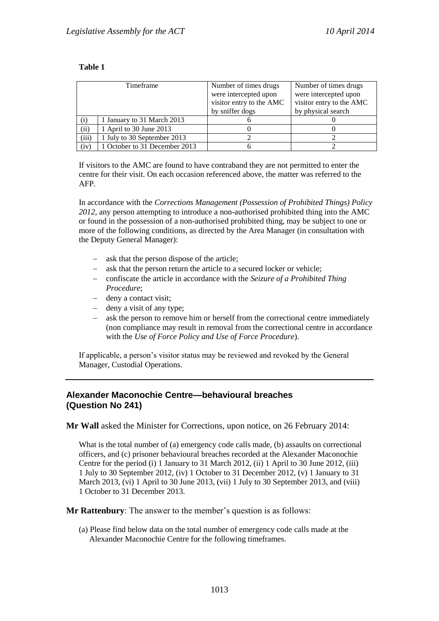### **Table 1**

| Timeframe |                               | Number of times drugs<br>were intercepted upon<br>visitor entry to the AMC<br>by sniffer dogs | Number of times drugs<br>were intercepted upon<br>visitor entry to the AMC<br>by physical search |
|-----------|-------------------------------|-----------------------------------------------------------------------------------------------|--------------------------------------------------------------------------------------------------|
| (i)       | 1 January to 31 March 2013    |                                                                                               |                                                                                                  |
| (ii)      | 1 April to 30 June 2013       |                                                                                               |                                                                                                  |
| (iii)     | 1 July to 30 September 2013   |                                                                                               |                                                                                                  |
| (iv)      | 1 October to 31 December 2013 |                                                                                               |                                                                                                  |

If visitors to the AMC are found to have contraband they are not permitted to enter the centre for their visit. On each occasion referenced above, the matter was referred to the AFP.

In accordance with the *Corrections Management (Possession of Prohibited Things) Policy 2012*, any person attempting to introduce a non-authorised prohibited thing into the AMC or found in the possession of a non-authorised prohibited thing, may be subject to one or more of the following conditions, as directed by the Area Manager (in consultation with the Deputy General Manager):

- ask that the person dispose of the article;
- ask that the person return the article to a secured locker or vehicle;
- confiscate the article in accordance with the *Seizure of a Prohibited Thing Procedure*;
- deny a contact visit;
- deny a visit of any type;
- ask the person to remove him or herself from the correctional centre immediately (non compliance may result in removal from the correctional centre in accordance with the *Use of Force Policy and Use of Force Procedure*).

If applicable, a person's visitor status may be reviewed and revoked by the General Manager, Custodial Operations.

## **Alexander Maconochie Centre—behavioural breaches (Question No 241)**

**Mr Wall** asked the Minister for Corrections, upon notice, on 26 February 2014:

What is the total number of (a) emergency code calls made, (b) assaults on correctional officers, and (c) prisoner behavioural breaches recorded at the Alexander Maconochie Centre for the period (i) 1 January to 31 March 2012, (ii) 1 April to 30 June 2012, (iii) 1 July to 30 September 2012, (iv) 1 October to 31 December 2012, (v) 1 January to 31 March 2013, (vi) 1 April to 30 June 2013, (vii) 1 July to 30 September 2013, and (viii) 1 October to 31 December 2013.

**Mr Rattenbury**: The answer to the member's question is as follows:

(a) Please find below data on the total number of emergency code calls made at the Alexander Maconochie Centre for the following timeframes.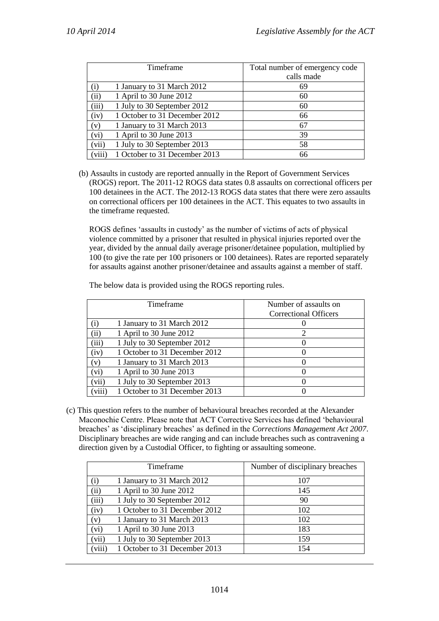|          | Timeframe                     | Total number of emergency code<br>calls made |
|----------|-------------------------------|----------------------------------------------|
| $\rm(i)$ | 1 January to 31 March 2012    | 69                                           |
| (ii)     | 1 April to 30 June 2012       | 60                                           |
| (iii)    | 1 July to 30 September 2012   | 60                                           |
| (iv)     | 1 October to 31 December 2012 | 66                                           |
| (v)      | 1 January to 31 March 2013    | 67                                           |
| (vi)     | 1 April to 30 June 2013       | 39                                           |
| (vii)    | 1 July to 30 September 2013   | 58                                           |
| (viii)   | 1 October to 31 December 2013 | 66                                           |

(b) Assaults in custody are reported annually in the Report of Government Services (ROGS) report. The 2011-12 ROGS data states 0.8 assaults on correctional officers per 100 detainees in the ACT. The 2012-13 ROGS data states that there were zero assaults on correctional officers per 100 detainees in the ACT. This equates to two assaults in the timeframe requested.

ROGS defines 'assaults in custody' as the number of victims of acts of physical violence committed by a prisoner that resulted in physical injuries reported over the year, divided by the annual daily average prisoner/detainee population, multiplied by 100 (to give the rate per 100 prisoners or 100 detainees). Rates are reported separately for assaults against another prisoner/detainee and assaults against a member of staff.

|  |  | The below data is provided using the ROGS reporting rules. |
|--|--|------------------------------------------------------------|
|  |  |                                                            |

|        | Timeframe                     | Number of assaults on        |
|--------|-------------------------------|------------------------------|
|        |                               | <b>Correctional Officers</b> |
| (i)    | 1 January to 31 March 2012    |                              |
| (ii)   | 1 April to 30 June 2012       |                              |
| (iii)  | 1 July to 30 September 2012   |                              |
| (iv)   | 1 October to 31 December 2012 |                              |
| (v)    | 1 January to 31 March 2013    |                              |
| (vi)   | 1 April to 30 June 2013       |                              |
| (vii)  | 1 July to 30 September 2013   |                              |
| (viii) | 1 October to 31 December 2013 |                              |

(c) This question refers to the number of behavioural breaches recorded at the Alexander Maconochie Centre. Please note that ACT Corrective Services has defined 'behavioural breaches' as 'disciplinary breaches' as defined in the *Corrections Management Act 2007*. Disciplinary breaches are wide ranging and can include breaches such as contravening a direction given by a Custodial Officer, to fighting or assaulting someone.

|        | Timeframe                     | Number of disciplinary breaches |
|--------|-------------------------------|---------------------------------|
| (i)    | 1 January to 31 March 2012    | 107                             |
| (ii)   | 1 April to 30 June 2012       | 145                             |
| (iii)  | 1 July to 30 September 2012   | 90                              |
| (iv)   | 1 October to 31 December 2012 | 102                             |
| (v)    | 1 January to 31 March 2013    | 102                             |
| (vi)   | 1 April to 30 June 2013       | 183                             |
| (vii)  | 1 July to 30 September 2013   | 159                             |
| (viii) | 1 October to 31 December 2013 | 154                             |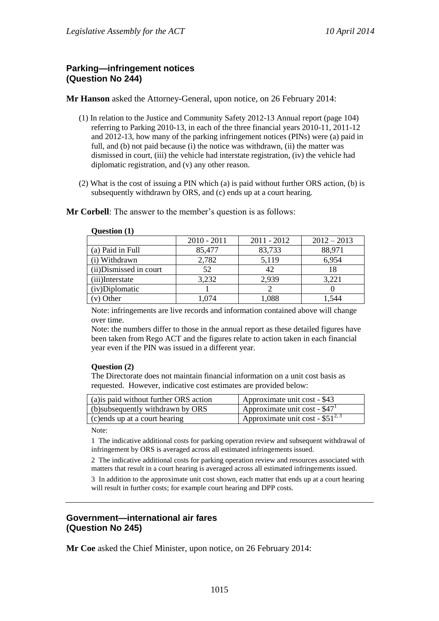## **Parking—infringement notices (Question No 244)**

**Mr Hanson** asked the Attorney-General, upon notice, on 26 February 2014:

- (1) In relation to the Justice and Community Safety 2012-13 Annual report (page 104) referring to Parking 2010-13, in each of the three financial years 2010-11, 2011-12 and 2012-13, how many of the parking infringement notices (PINs) were (a) paid in full, and (b) not paid because (i) the notice was withdrawn, (ii) the matter was dismissed in court, (iii) the vehicle had interstate registration, (iv) the vehicle had diplomatic registration, and (v) any other reason.
- (2) What is the cost of issuing a PIN which (a) is paid without further ORS action, (b) is subsequently withdrawn by ORS, and (c) ends up at a court hearing.

**Mr Corbell**: The answer to the member's question is as follows:

|                         | $2010 - 2011$ | $2011 - 2012$ | $2012 - 2013$ |
|-------------------------|---------------|---------------|---------------|
| (a) Paid in Full        | 85,477        | 83,733        | 88,971        |
| (i) Withdrawn           | 2,782         | 5,119         | 6,954         |
| (ii) Dismissed in court | 52            |               | 18            |
| (iii)Interstate         | 3,232         | 2,939         | 3,221         |
| (iv)Diplomatic          |               |               |               |
| (v) Other               |               | ,088          | -544          |

#### **Question (1)**

Note: infringements are live records and information contained above will change over time.

Note: the numbers differ to those in the annual report as these detailed figures have been taken from Rego ACT and the figures relate to action taken in each financial year even if the PIN was issued in a different year.

### **Question (2)**

The Directorate does not maintain financial information on a unit cost basis as requested. However, indicative cost estimates are provided below:

| (a) is paid without further ORS action | Approximate unit cost - \$43                    |
|----------------------------------------|-------------------------------------------------|
| (b) subsequently withdrawn by ORS      | $\mu$ Approximate unit cost - \$47 <sup>1</sup> |
| (c) ends up at a court hearing         | Approximate unit cost - $$51^{2,3}$             |

Note:

1 The indicative additional costs for parking operation review and subsequent withdrawal of infringement by ORS is averaged across all estimated infringements issued.

2 The indicative additional costs for parking operation review and resources associated with matters that result in a court hearing is averaged across all estimated infringements issued.

3 In addition to the approximate unit cost shown, each matter that ends up at a court hearing will result in further costs; for example court hearing and DPP costs.

## **Government—international air fares (Question No 245)**

**Mr Coe** asked the Chief Minister, upon notice, on 26 February 2014: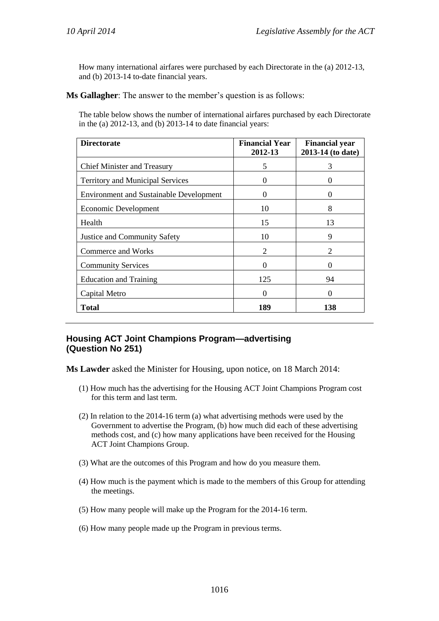How many international airfares were purchased by each Directorate in the (a) 2012-13, and (b) 2013-14 to-date financial years.

**Ms Gallagher**: The answer to the member's question is as follows:

The table below shows the number of international airfares purchased by each Directorate in the (a) 2012-13, and (b) 2013-14 to date financial years:

| <b>Directorate</b>                             | <b>Financial Year</b><br>2012-13 | <b>Financial year</b><br>2013-14 (to date) |
|------------------------------------------------|----------------------------------|--------------------------------------------|
| <b>Chief Minister and Treasury</b>             | 5                                | 3                                          |
| Territory and Municipal Services               | $\Omega$                         | 0                                          |
| <b>Environment and Sustainable Development</b> | $\Omega$                         | 0                                          |
| Economic Development                           | 10                               | 8                                          |
| Health                                         | 15                               | 13                                         |
| <b>Justice and Community Safety</b>            | 10                               | 9                                          |
| Commerce and Works                             | 2                                | 2                                          |
| <b>Community Services</b>                      | $\Omega$                         | 0                                          |
| <b>Education and Training</b>                  | 125                              | 94                                         |
| Capital Metro                                  | $\Omega$                         | 0                                          |
| <b>Total</b>                                   | 189                              | 138                                        |

## **Housing ACT Joint Champions Program—advertising (Question No 251)**

**Ms Lawder** asked the Minister for Housing, upon notice, on 18 March 2014:

- (1) How much has the advertising for the Housing ACT Joint Champions Program cost for this term and last term.
- (2) In relation to the 2014-16 term (a) what advertising methods were used by the Government to advertise the Program, (b) how much did each of these advertising methods cost, and (c) how many applications have been received for the Housing ACT Joint Champions Group.
- (3) What are the outcomes of this Program and how do you measure them.
- (4) How much is the payment which is made to the members of this Group for attending the meetings.
- (5) How many people will make up the Program for the 2014-16 term.
- (6) How many people made up the Program in previous terms.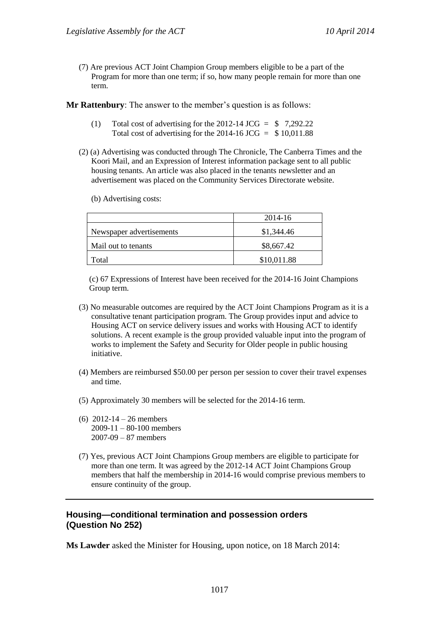(7) Are previous ACT Joint Champion Group members eligible to be a part of the Program for more than one term; if so, how many people remain for more than one term.

**Mr Rattenbury**: The answer to the member's question is as follows:

- (1) Total cost of advertising for the 2012-14 JCG =  $$7,292.22$ Total cost of advertising for the 2014-16 JCG  $=$  \$10,011.88
- (2) (a) Advertising was conducted through The Chronicle, The Canberra Times and the Koori Mail, and an Expression of Interest information package sent to all public housing tenants. An article was also placed in the tenants newsletter and an advertisement was placed on the Community Services Directorate website.
	- (b) Advertising costs:

|                          | 2014-16     |
|--------------------------|-------------|
| Newspaper advertisements | \$1,344.46  |
| Mail out to tenants      | \$8,667.42  |
| Total                    | \$10,011.88 |

(c) 67 Expressions of Interest have been received for the 2014-16 Joint Champions Group term.

- (3) No measurable outcomes are required by the ACT Joint Champions Program as it is a consultative tenant participation program. The Group provides input and advice to Housing ACT on service delivery issues and works with Housing ACT to identify solutions. A recent example is the group provided valuable input into the program of works to implement the Safety and Security for Older people in public housing initiative.
- (4) Members are reimbursed \$50.00 per person per session to cover their travel expenses and time.
- (5) Approximately 30 members will be selected for the 2014-16 term.
- (6) 2012-14 26 members 2009-11 – 80-100 members 2007-09 – 87 members
- (7) Yes, previous ACT Joint Champions Group members are eligible to participate for more than one term. It was agreed by the 2012-14 ACT Joint Champions Group members that half the membership in 2014-16 would comprise previous members to ensure continuity of the group.

## **Housing—conditional termination and possession orders (Question No 252)**

**Ms Lawder** asked the Minister for Housing, upon notice, on 18 March 2014: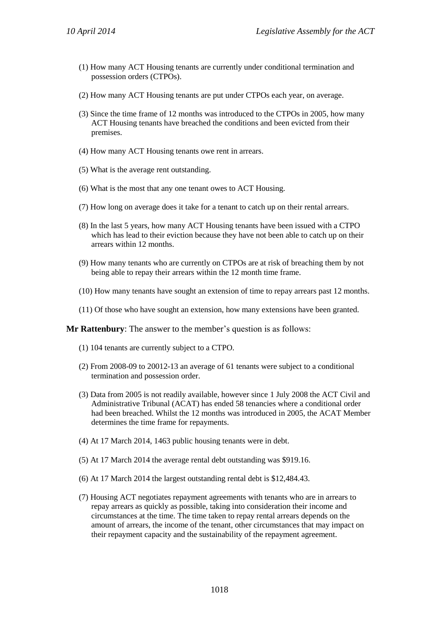- (1) How many ACT Housing tenants are currently under conditional termination and possession orders (CTPOs).
- (2) How many ACT Housing tenants are put under CTPOs each year, on average.
- (3) Since the time frame of 12 months was introduced to the CTPOs in 2005, how many ACT Housing tenants have breached the conditions and been evicted from their premises.
- (4) How many ACT Housing tenants owe rent in arrears.
- (5) What is the average rent outstanding.
- (6) What is the most that any one tenant owes to ACT Housing.
- (7) How long on average does it take for a tenant to catch up on their rental arrears.
- (8) In the last 5 years, how many ACT Housing tenants have been issued with a CTPO which has lead to their eviction because they have not been able to catch up on their arrears within 12 months.
- (9) How many tenants who are currently on CTPOs are at risk of breaching them by not being able to repay their arrears within the 12 month time frame.
- (10) How many tenants have sought an extension of time to repay arrears past 12 months.
- (11) Of those who have sought an extension, how many extensions have been granted.

**Mr Rattenbury**: The answer to the member's question is as follows:

- (1) 104 tenants are currently subject to a CTPO.
- (2) From 2008-09 to 20012-13 an average of 61 tenants were subject to a conditional termination and possession order.
- (3) Data from 2005 is not readily available, however since 1 July 2008 the ACT Civil and Administrative Tribunal (ACAT) has ended 58 tenancies where a conditional order had been breached. Whilst the 12 months was introduced in 2005, the ACAT Member determines the time frame for repayments.
- (4) At 17 March 2014, 1463 public housing tenants were in debt.
- (5) At 17 March 2014 the average rental debt outstanding was \$919.16.
- (6) At 17 March 2014 the largest outstanding rental debt is \$12,484.43.
- (7) Housing ACT negotiates repayment agreements with tenants who are in arrears to repay arrears as quickly as possible, taking into consideration their income and circumstances at the time. The time taken to repay rental arrears depends on the amount of arrears, the income of the tenant, other circumstances that may impact on their repayment capacity and the sustainability of the repayment agreement.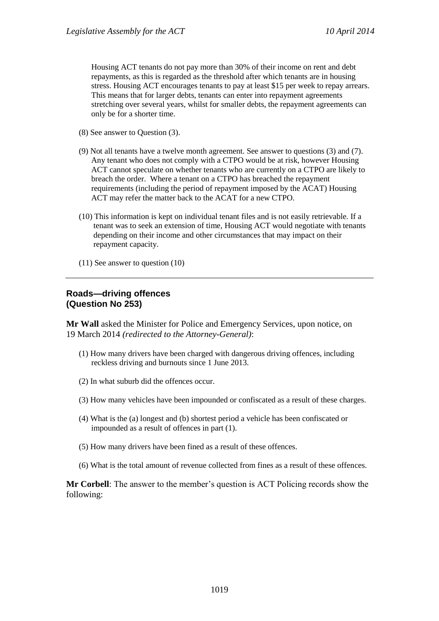Housing ACT tenants do not pay more than 30% of their income on rent and debt repayments, as this is regarded as the threshold after which tenants are in housing stress. Housing ACT encourages tenants to pay at least \$15 per week to repay arrears. This means that for larger debts, tenants can enter into repayment agreements stretching over several years, whilst for smaller debts, the repayment agreements can only be for a shorter time.

- (8) See answer to Question (3).
- (9) Not all tenants have a twelve month agreement. See answer to questions (3) and (7). Any tenant who does not comply with a CTPO would be at risk, however Housing ACT cannot speculate on whether tenants who are currently on a CTPO are likely to breach the order. Where a tenant on a CTPO has breached the repayment requirements (including the period of repayment imposed by the ACAT) Housing ACT may refer the matter back to the ACAT for a new CTPO.
- (10) This information is kept on individual tenant files and is not easily retrievable. If a tenant was to seek an extension of time, Housing ACT would negotiate with tenants depending on their income and other circumstances that may impact on their repayment capacity.
- (11) See answer to question (10)

### **Roads—driving offences (Question No 253)**

**Mr Wall** asked the Minister for Police and Emergency Services, upon notice, on 19 March 2014 *(redirected to the Attorney-General)*:

- (1) How many drivers have been charged with dangerous driving offences, including reckless driving and burnouts since 1 June 2013.
- (2) In what suburb did the offences occur.
- (3) How many vehicles have been impounded or confiscated as a result of these charges.
- (4) What is the (a) longest and (b) shortest period a vehicle has been confiscated or impounded as a result of offences in part (1).
- (5) How many drivers have been fined as a result of these offences.
- (6) What is the total amount of revenue collected from fines as a result of these offences.

**Mr Corbell**: The answer to the member's question is ACT Policing records show the following: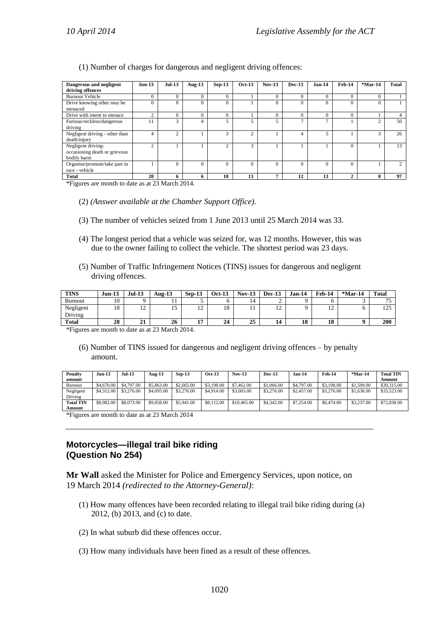(1) Number of charges for dangerous and negligent driving offences:

| Dangerous and negligent                                            | $Jun-13$       | <b>Jul-13</b>  | Aug- $13$      | $Sep-13$       | <b>Oct-13</b>         | $Nov-13$ | <b>Dec-13</b>  | $Jan-14$       | Feb-14   | $*$ Mar-14 | <b>Total</b> |
|--------------------------------------------------------------------|----------------|----------------|----------------|----------------|-----------------------|----------|----------------|----------------|----------|------------|--------------|
| driving offences                                                   |                |                |                |                |                       |          |                |                |          |            |              |
| <b>Burnout Vehicle</b>                                             |                | $\theta$       | $\overline{0}$ | $\theta$       |                       | $\theta$ | $\Omega$       |                | $\theta$ | $\alpha$   |              |
| Drive knowing other may be<br>menaced                              |                | $\Omega$       |                | 0              |                       | $\Omega$ | $\mathbf{0}$   |                |          |            |              |
| Drive with intent to menace                                        | $\sim$         | $\theta$       | C              |                |                       | $\Omega$ | $\mathbf{0}$   |                |          |            |              |
| Furious/reckless/dangerous<br>driving                              | 11             | 3              | 4              | 5              | $\tilde{\mathcal{L}}$ | 5        | $\overline{ }$ | $\overline{ }$ |          |            | 50           |
| Negligent driving - other than<br>death/injury                     | 4              | $\overline{c}$ |                | 3              | $\overline{c}$        |          | 4              |                |          |            | 26           |
| Negligent driving-<br>occasioning death or grievous<br>bodily harm | $\mathfrak{D}$ |                |                | $\overline{c}$ | 3                     |          |                |                | $\Omega$ |            | 13           |
| Organise/promote/take part in<br>race - vehicle                    |                | $\theta$       | $\theta$       | $\Omega$       | $\Omega$              | $\Omega$ | $\Omega$       | $\sqrt{ }$     | $\Omega$ |            |              |
| Total                                                              | 20             | 6              | n              | 10             | 13                    |          | 12             | 13             | ◠        |            | 97           |

\*Figures are month to date as at 23 March 2014.

- (2) *(Answer available at the Chamber Support Office).*
- (3) The number of vehicles seized from 1 June 2013 until 25 March 2014 was 33.
- (4) The longest period that a vehicle was seized for, was 12 months. However, this was due to the owner failing to collect the vehicle. The shortest period was 23 days.
- (5) Number of Traffic Infringement Notices (TINS) issues for dangerous and negligent driving offences.

| <b>TINS</b>    | $Jun-13$ | $Jul-13$    | Aug-13 | $Sen-13$                 | <b>Oct-13</b> | $Nov-13$ | <b>Dec-13</b>        | Jan-14 | Feb-14                           | $*$ Mar-14 | <b>Total</b>             |
|----------------|----------|-------------|--------|--------------------------|---------------|----------|----------------------|--------|----------------------------------|------------|--------------------------|
| <b>Burnout</b> | 10       |             |        |                          |               | 14       |                      |        |                                  |            | $\overline{\phantom{a}}$ |
| Negligent      | 18       | $\sim$<br>∸ | ⊥ J    | $\sim$<br>$\overline{1}$ | 18            | . .      | ہ،<br>$\overline{ }$ |        | 1 <sub>0</sub><br>$\overline{ }$ |            | $1 \cap F$<br>ن که 1     |
| Driving        |          |             |        |                          |               |          |                      |        |                                  |            |                          |
| <b>Total</b>   | 28       | 21          | 26     | . .                      | 24            | 25       | 14                   | 18     | 18                               |            | 200                      |

\*Figures are month to date as at 23 March 2014.

(6) Number of TINS issued for dangerous and negligent driving offences – by penalty amount.

| Penalty<br>amount | <b>Jun-13</b> | <b>Jul-13</b> | Aug- $13$  | $Sep-13$   | <b>Oct 13</b> | <b>Nov-13</b> | Dec -13    | <b>Jan-14</b> | Feb-14     | $*$ Mar-14 | <b>Total TIN</b><br>Amount |
|-------------------|---------------|---------------|------------|------------|---------------|---------------|------------|---------------|------------|------------|----------------------------|
| Burnout           | \$4,670.00    | \$4,797.00    | \$5,863.00 | \$2,665.00 | \$3,198,00    | \$7,462.00    | \$1,066.00 | \$4,797.00    | \$3,198,00 | \$1,599.00 | \$39,315.00                |
| Negligent         | \$4,312.00    | \$3,276.00    | \$4,095.00 | \$3,276,00 | \$4,914.00    | \$3,003.00    | \$3,276.00 | \$2,457.00    | \$3,276.00 | \$1,638.00 | \$33,523,00                |
| Driving           |               |               |            |            |               |               |            |               |            |            |                            |
| <b>Total TIN</b>  | \$8,982.00    | \$8,073.00    | \$9,958,00 | \$5,941.00 | \$8,112,00    | \$10,465.00   | \$4,342.00 | \$7,254,00    | \$6,474.00 | \$3,237.00 | \$72,838.00                |
| Amount            |               |               |            |            |               |               |            |               |            |            |                            |

\*Figures are month to date as at 23 March 2014

## **Motorcycles—illegal trail bike riding (Question No 254)**

**Mr Wall** asked the Minister for Police and Emergency Services, upon notice, on 19 March 2014 *(redirected to the Attorney-General)*:

- (1) How many offences have been recorded relating to illegal trail bike riding during (a) 2012, (b) 2013, and (c) to date.
- (2) In what suburb did these offences occur.
- (3) How many individuals have been fined as a result of these offences.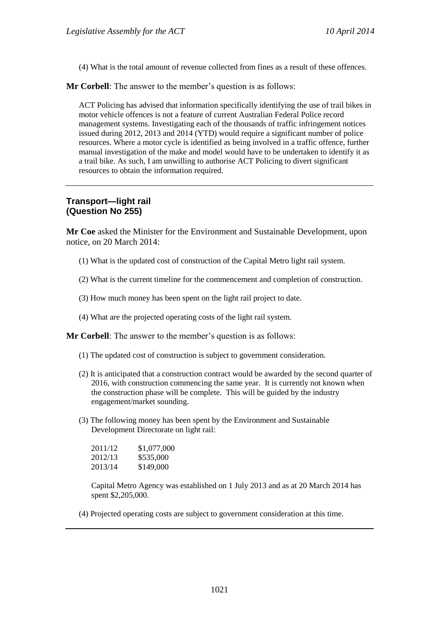(4) What is the total amount of revenue collected from fines as a result of these offences.

**Mr Corbell**: The answer to the member's question is as follows:

ACT Policing has advised that information specifically identifying the use of trail bikes in motor vehicle offences is not a feature of current Australian Federal Police record management systems. Investigating each of the thousands of traffic infringement notices issued during 2012, 2013 and 2014 (YTD) would require a significant number of police resources. Where a motor cycle is identified as being involved in a traffic offence, further manual investigation of the make and model would have to be undertaken to identify it as a trail bike. As such, I am unwilling to authorise ACT Policing to divert significant resources to obtain the information required.

# **Transport—light rail (Question No 255)**

**Mr Coe** asked the Minister for the Environment and Sustainable Development, upon notice, on 20 March 2014:

- (1) What is the updated cost of construction of the Capital Metro light rail system.
- (2) What is the current timeline for the commencement and completion of construction.
- (3) How much money has been spent on the light rail project to date.
- (4) What are the projected operating costs of the light rail system.

**Mr Corbell**: The answer to the member's question is as follows:

- (1) The updated cost of construction is subject to government consideration.
- (2) It is anticipated that a construction contract would be awarded by the second quarter of 2016, with construction commencing the same year. It is currently not known when the construction phase will be complete. This will be guided by the industry engagement/market sounding.
- (3) The following money has been spent by the Environment and Sustainable Development Directorate on light rail:

| 2011/12 | \$1,077,000 |
|---------|-------------|
| 2012/13 | \$535,000   |
| 2013/14 | \$149,000   |

Capital Metro Agency was established on 1 July 2013 and as at 20 March 2014 has spent \$2,205,000.

(4) Projected operating costs are subject to government consideration at this time.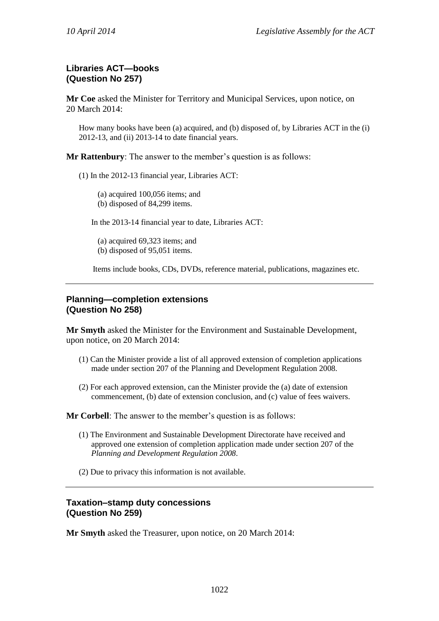# **Libraries ACT—books (Question No 257)**

**Mr Coe** asked the Minister for Territory and Municipal Services, upon notice, on 20 March 2014:

How many books have been (a) acquired, and (b) disposed of, by Libraries ACT in the (i) 2012-13, and (ii) 2013-14 to date financial years.

**Mr Rattenbury**: The answer to the member's question is as follows:

(1) In the 2012-13 financial year, Libraries ACT:

(a) acquired 100,056 items; and (b) disposed of 84,299 items.

In the 2013-14 financial year to date, Libraries ACT:

(a) acquired 69,323 items; and (b) disposed of 95,051 items.

Items include books, CDs, DVDs, reference material, publications, magazines etc.

### **Planning—completion extensions (Question No 258)**

**Mr Smyth** asked the Minister for the Environment and Sustainable Development, upon notice, on 20 March 2014:

- (1) Can the Minister provide a list of all approved extension of completion applications made under section 207 of the Planning and Development Regulation 2008.
- (2) For each approved extension, can the Minister provide the (a) date of extension commencement, (b) date of extension conclusion, and (c) value of fees waivers.

**Mr Corbell**: The answer to the member's question is as follows:

- (1) The Environment and Sustainable Development Directorate have received and approved one extension of completion application made under section 207 of the *Planning and Development Regulation 2008*.
- (2) Due to privacy this information is not available.

### **Taxation–stamp duty concessions (Question No 259)**

**Mr Smyth** asked the Treasurer, upon notice, on 20 March 2014: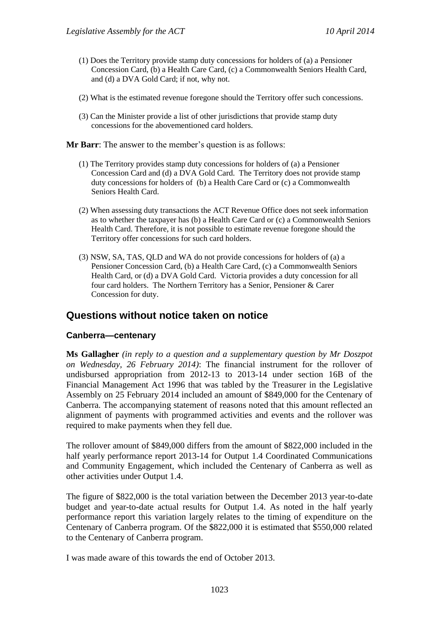- (1) Does the Territory provide stamp duty concessions for holders of (a) a Pensioner Concession Card, (b) a Health Care Card, (c) a Commonwealth Seniors Health Card, and (d) a DVA Gold Card; if not, why not.
- (2) What is the estimated revenue foregone should the Territory offer such concessions.
- (3) Can the Minister provide a list of other jurisdictions that provide stamp duty concessions for the abovementioned card holders.

**Mr Barr:** The answer to the member's question is as follows:

- (1) The Territory provides stamp duty concessions for holders of (a) a Pensioner Concession Card and (d) a DVA Gold Card. The Territory does not provide stamp duty concessions for holders of (b) a Health Care Card or (c) a Commonwealth Seniors Health Card.
- (2) When assessing duty transactions the ACT Revenue Office does not seek information as to whether the taxpayer has (b) a Health Care Card or (c) a Commonwealth Seniors Health Card. Therefore, it is not possible to estimate revenue foregone should the Territory offer concessions for such card holders.
- (3) NSW, SA, TAS, QLD and WA do not provide concessions for holders of (a) a Pensioner Concession Card, (b) a Health Care Card, (c) a Commonwealth Seniors Health Card, or (d) a DVA Gold Card. Victoria provides a duty concession for all four card holders. The Northern Territory has a Senior, Pensioner & Carer Concession for duty.

# **Questions without notice taken on notice**

#### **Canberra—centenary**

**Ms Gallagher** *(in reply to a question and a supplementary question by Mr Doszpot on Wednesday, 26 February 2014)*: The financial instrument for the rollover of undisbursed appropriation from 2012-13 to 2013-14 under section 16B of the Financial Management Act 1996 that was tabled by the Treasurer in the Legislative Assembly on 25 February 2014 included an amount of \$849,000 for the Centenary of Canberra. The accompanying statement of reasons noted that this amount reflected an alignment of payments with programmed activities and events and the rollover was required to make payments when they fell due.

The rollover amount of \$849,000 differs from the amount of \$822,000 included in the half yearly performance report 2013-14 for Output 1.4 Coordinated Communications and Community Engagement, which included the Centenary of Canberra as well as other activities under Output 1.4.

The figure of \$822,000 is the total variation between the December 2013 year-to-date budget and year-to-date actual results for Output 1.4. As noted in the half yearly performance report this variation largely relates to the timing of expenditure on the Centenary of Canberra program. Of the \$822,000 it is estimated that \$550,000 related to the Centenary of Canberra program.

I was made aware of this towards the end of October 2013.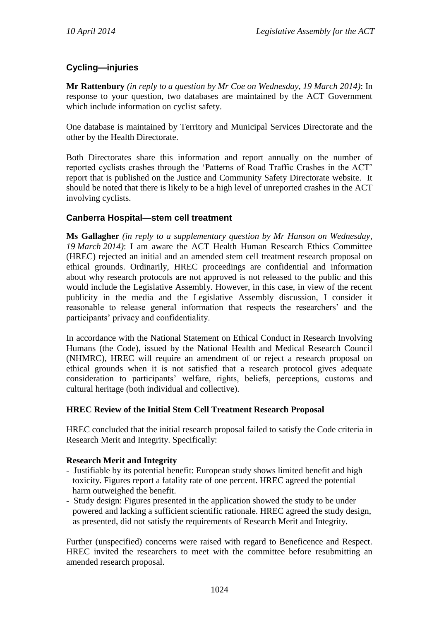# **Cycling—injuries**

**Mr Rattenbury** *(in reply to a question by Mr Coe on Wednesday, 19 March 2014)*: In response to your question, two databases are maintained by the ACT Government which include information on cyclist safety.

One database is maintained by Territory and Municipal Services Directorate and the other by the Health Directorate.

Both Directorates share this information and report annually on the number of reported cyclists crashes through the 'Patterns of Road Traffic Crashes in the ACT' report that is published on the Justice and Community Safety Directorate website. It should be noted that there is likely to be a high level of unreported crashes in the ACT involving cyclists.

## **Canberra Hospital—stem cell treatment**

**Ms Gallagher** *(in reply to a supplementary question by Mr Hanson on Wednesday, 19 March 2014)*: I am aware the ACT Health Human Research Ethics Committee (HREC) rejected an initial and an amended stem cell treatment research proposal on ethical grounds. Ordinarily, HREC proceedings are confidential and information about why research protocols are not approved is not released to the public and this would include the Legislative Assembly. However, in this case, in view of the recent publicity in the media and the Legislative Assembly discussion, I consider it reasonable to release general information that respects the researchers' and the participants' privacy and confidentiality.

In accordance with the National Statement on Ethical Conduct in Research Involving Humans (the Code), issued by the National Health and Medical Research Council (NHMRC), HREC will require an amendment of or reject a research proposal on ethical grounds when it is not satisfied that a research protocol gives adequate consideration to participants' welfare, rights, beliefs, perceptions, customs and cultural heritage (both individual and collective).

## **HREC Review of the Initial Stem Cell Treatment Research Proposal**

HREC concluded that the initial research proposal failed to satisfy the Code criteria in Research Merit and Integrity. Specifically:

## **Research Merit and Integrity**

- Justifiable by its potential benefit: European study shows limited benefit and high toxicity. Figures report a fatality rate of one percent. HREC agreed the potential harm outweighed the benefit.
- Study design: Figures presented in the application showed the study to be under powered and lacking a sufficient scientific rationale. HREC agreed the study design, as presented, did not satisfy the requirements of Research Merit and Integrity.

Further (unspecified) concerns were raised with regard to Beneficence and Respect. HREC invited the researchers to meet with the committee before resubmitting an amended research proposal.